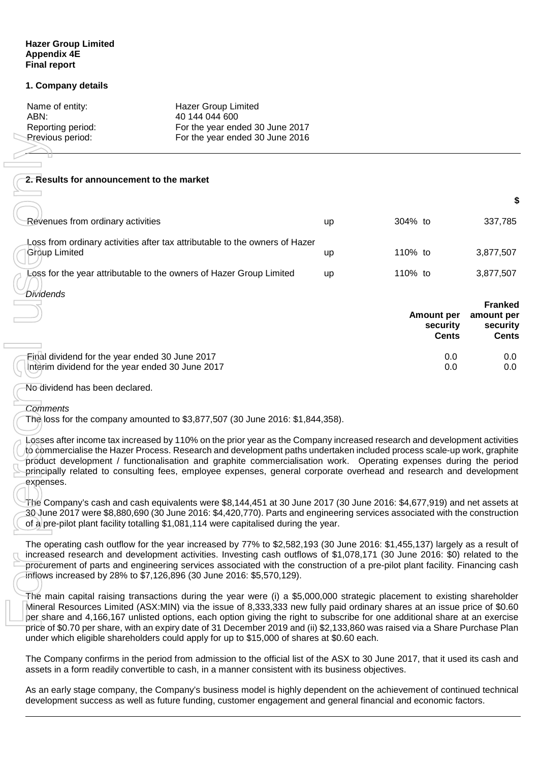### **Hazer Group Limited Appendix 4E Final report**

### **1. Company details**

| Hazer Group Limited             |
|---------------------------------|
| 40 144 044 600                  |
| For the year ended 30 June 2017 |
| For the year ended 30 June 2016 |
|                                 |

### **2. Results for announcement to the market**

| Previous period:                                                    | For the year ended 30 June 2016                                                                                                                                                                                                                                                                                                                                                                                                                                                                                                                                                                                    |    |                                               |                                        |
|---------------------------------------------------------------------|--------------------------------------------------------------------------------------------------------------------------------------------------------------------------------------------------------------------------------------------------------------------------------------------------------------------------------------------------------------------------------------------------------------------------------------------------------------------------------------------------------------------------------------------------------------------------------------------------------------------|----|-----------------------------------------------|----------------------------------------|
|                                                                     |                                                                                                                                                                                                                                                                                                                                                                                                                                                                                                                                                                                                                    |    |                                               |                                        |
| 2. Results for announcement to the market                           |                                                                                                                                                                                                                                                                                                                                                                                                                                                                                                                                                                                                                    |    |                                               |                                        |
|                                                                     |                                                                                                                                                                                                                                                                                                                                                                                                                                                                                                                                                                                                                    |    |                                               | \$                                     |
| Révenues from ordinary activities                                   |                                                                                                                                                                                                                                                                                                                                                                                                                                                                                                                                                                                                                    | up | 304% to                                       | 337,785                                |
| <b>Group Limited</b>                                                | Loss from ordinary activities after tax attributable to the owners of Hazer                                                                                                                                                                                                                                                                                                                                                                                                                                                                                                                                        | up | 110% to                                       | 3,877,507                              |
| Loss for the year attributable to the owners of Hazer Group Limited |                                                                                                                                                                                                                                                                                                                                                                                                                                                                                                                                                                                                                    | up | 110% to                                       | 3,877,507                              |
| <b>Dividends</b>                                                    |                                                                                                                                                                                                                                                                                                                                                                                                                                                                                                                                                                                                                    |    |                                               | <b>Franked</b>                         |
|                                                                     |                                                                                                                                                                                                                                                                                                                                                                                                                                                                                                                                                                                                                    |    | <b>Amount per</b><br>security<br><b>Cents</b> | amount per<br>security<br><b>Cents</b> |
| Einal dividend for the year ended 30 June 2017                      |                                                                                                                                                                                                                                                                                                                                                                                                                                                                                                                                                                                                                    |    | $0.0\,$                                       | 0.0                                    |
| Interim dividend for the year ended 30 June 2017                    |                                                                                                                                                                                                                                                                                                                                                                                                                                                                                                                                                                                                                    |    | 0.0                                           | 0.0                                    |
| No dividend has been declared.                                      |                                                                                                                                                                                                                                                                                                                                                                                                                                                                                                                                                                                                                    |    |                                               |                                        |
| <b>Comments</b>                                                     | The loss for the company amounted to \$3,877,507 (30 June 2016: \$1,844,358).                                                                                                                                                                                                                                                                                                                                                                                                                                                                                                                                      |    |                                               |                                        |
| expenses.                                                           | Losses after income tax increased by 110% on the prior year as the Company increased research and development activities<br>to commercialise the Hazer Process. Research and development paths undertaken included process scale-up work, graphite<br>product development / functionalisation and graphite commercialisation work. Operating expenses during the period<br>principally related to consulting fees, employee expenses, general corporate overhead and research and development                                                                                                                      |    |                                               |                                        |
|                                                                     | The Company's cash and cash equivalents were \$8,144,451 at 30 June 2017 (30 June 2016: \$4,677,919) and net assets at<br>30 June 2017 were \$8,880,690 (30 June 2016: \$4,420,770). Parts and engineering services associated with the construction<br>of a pre-pilot plant facility totalling \$1,081,114 were capitalised during the year.                                                                                                                                                                                                                                                                      |    |                                               |                                        |
|                                                                     | The operating cash outflow for the year increased by 77% to \$2,582,193 (30 June 2016: \$1,455,137) largely as a result of<br>increased research and development activities. Investing cash outflows of \$1,078,171 (30 June 2016: \$0) related to the<br>procurement of parts and engineering services associated with the construction of a pre-pilot plant facility. Financing cash<br>inflows increased by 28% to \$7,126,896 (30 June 2016: \$5,570,129).                                                                                                                                                     |    |                                               |                                        |
|                                                                     | The main capital raising transactions during the year were (i) a \$5,000,000 strategic placement to existing shareholder<br>Mineral Resources Limited (ASX:MIN) via the issue of 8,333,333 new fully paid ordinary shares at an issue price of \$0.60<br>per share and 4,166,167 unlisted options, each option giving the right to subscribe for one additional share at an exercise<br>price of \$0.70 per share, with an expiry date of 31 December 2019 and (ii) \$2,133,860 was raised via a Share Purchase Plan<br>under which eligible shareholders could apply for up to \$15,000 of shares at \$0.60 each. |    |                                               |                                        |
|                                                                     | The Company confirms in the period from admission to the official list of the ASX to 30 June 2017, that it used its cash and<br>assets in a form readily convertible to cash, in a manner consistent with its business objectives.                                                                                                                                                                                                                                                                                                                                                                                 |    |                                               |                                        |
|                                                                     | As an early stage company, the Company's business model is highly dependent on the achievement of continued technical<br>development success as well as future funding, customer engagement and general financial and economic factors.                                                                                                                                                                                                                                                                                                                                                                            |    |                                               |                                        |

#### *Comments*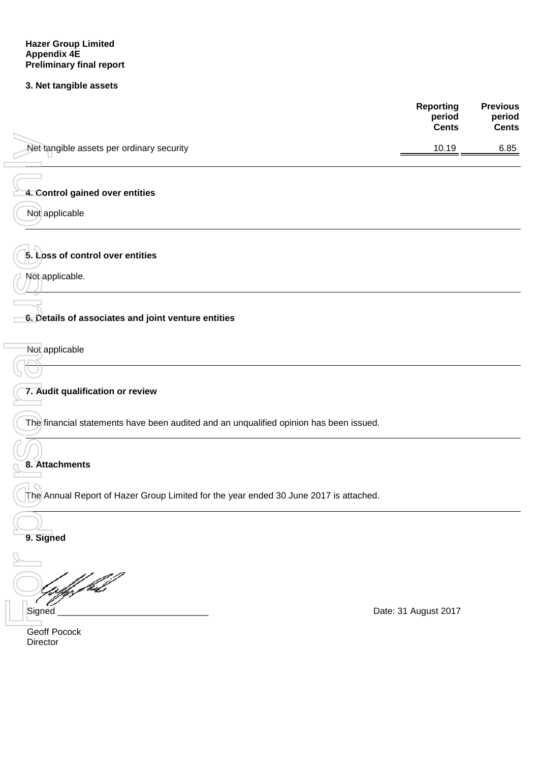# **3. Net tangible assets**

|                                                                                        | <b>Reporting</b><br>period<br><b>Cents</b> | <b>Previous</b><br>period<br><b>Cents</b> |
|----------------------------------------------------------------------------------------|--------------------------------------------|-------------------------------------------|
| Net tangible assets per ordinary security                                              | 10.19                                      | 6.85                                      |
|                                                                                        |                                            |                                           |
| 4. Control gained over entities                                                        |                                            |                                           |
| Not applicable                                                                         |                                            |                                           |
| 5. Loss of control over entities                                                       |                                            |                                           |
| Not applicable.                                                                        |                                            |                                           |
| 6. Details of associates and joint venture entities                                    |                                            |                                           |
| Not applicable                                                                         |                                            |                                           |
| 7. Audit qualification or review                                                       |                                            |                                           |
| The financial statements have been audited and an unqualified opinion has been issued. |                                            |                                           |
| 8. Attachments                                                                         |                                            |                                           |
| The Annual Report of Hazer Group Limited for the year ended 30 June 2017 is attached.  |                                            |                                           |
| 9. Signed                                                                              |                                            |                                           |
|                                                                                        |                                            |                                           |
| Gaffy fide                                                                             |                                            |                                           |
| Signed                                                                                 | Date: 31 August 2017                       |                                           |
| Geoff Pocock<br>Director                                                               |                                            |                                           |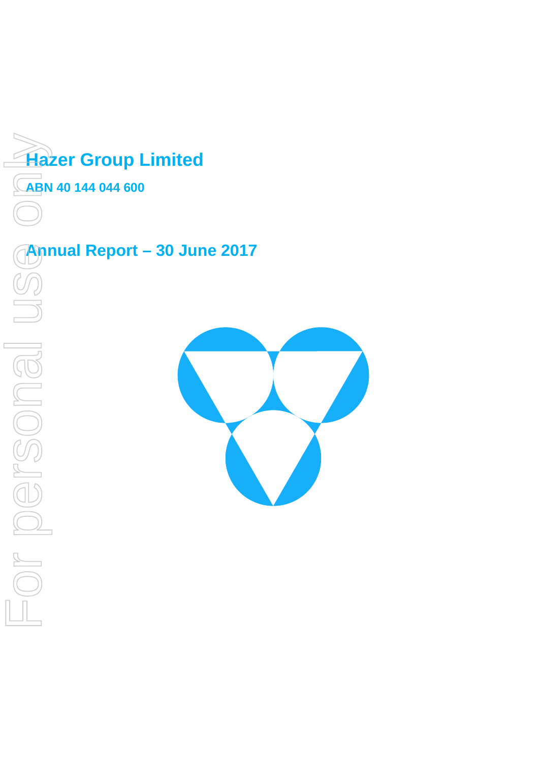

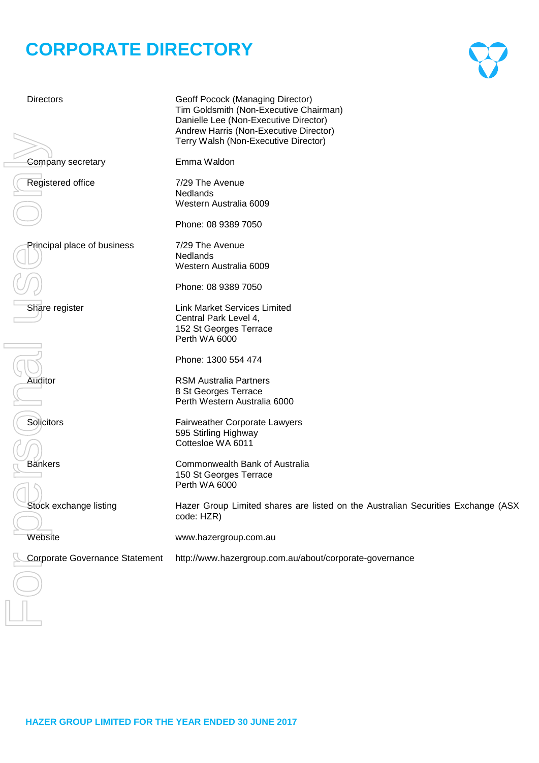# **CORPORATE DIRECTORY**

Corporate Governance Statement http://www.hazergroup.com.au/<br>
Corporate Governance Statement http://www.hazergroup.com.au/about/corporate-governance<br>
Corporate Corporate Governance Statement http://www.hartalia.com/<br>
Corpo

Directors Geoff Pocock (Managing Director) Tim Goldsmith (Non-Executive Chairman) Danielle Lee (Non-Executive Director) Andrew Harris (Non-Executive Director) Terry Walsh (Non-Executive Director)

Company secretary **Emma Waldon** 

Registered office 7/29 The Avenue

Principal place of business 7/29 The Avenue

Phone: 08 9389 7050

Western Australia 6009

Phone: 08 9389 7050

Western Australia 6009

Nedlands

**Nedlands** 

Share register Link Market Services Limited Central Park Level 4, 152 St Georges Terrace Perth WA 6000

Phone: 1300 554 474

Auditor **Auditor** RSM Australia Partners 8 St Georges Terrace Perth Western Australia 6000

Solicitors **Fairweather Corporate Lawyers** 595 Stirling Highway Cottesloe WA 6011

Bankers **Bankers** Commonwealth Bank of Australia 150 St Georges Terrace Perth WA 6000

Stock exchange listing **Hazer Group Limited shares are listed on the Australian Securities Exchange (ASX** code: HZR)

Website www.hazergroup.com.au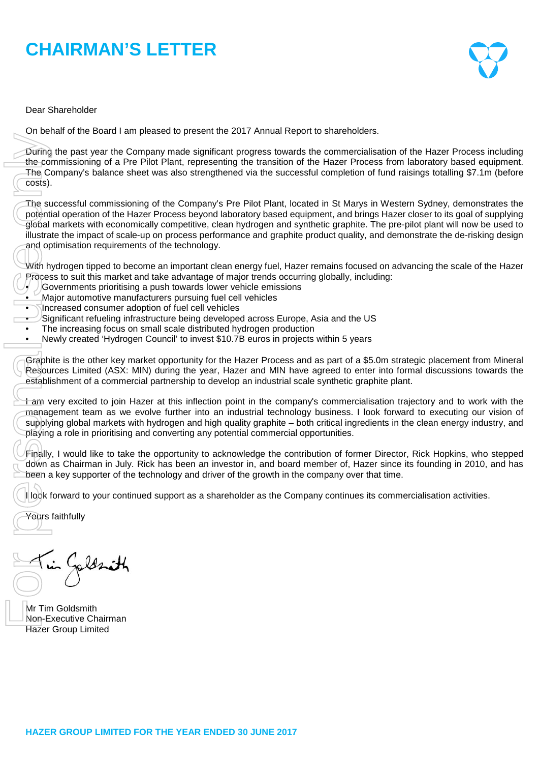# **CHAIRMAN'S LETTER**



Dear Shareholder

On behalf of the Board I am pleased to present the 2017 Annual Report to shareholders.

During the past year the Company made significant progress towards the commercialisation of the Hazer Process including the commissioning of a Pre Pilot Plant, representing the transition of the Hazer Process from laboratory based equipment. The Company's balance sheet was also strengthened via the successful completion of fund raisings totalling \$7.1m (before costs).

The successful commissioning of the Company's Pre Pilot Plant, located in St Marys in Western Sydney, demonstrates the potential operation of the Hazer Process beyond laboratory based equipment, and brings Hazer closer to its goal of supplying global markets with economically competitive, clean hydrogen and synthetic graphite. The pre-pilot plant will now be used to illustrate the impact of scale-up on process performance and graphite product quality, and demonstrate the de-risking design and optimisation requirements of the technology. During the past year<br>
The Company's bala<br>
Costs).<br>
The successful comments of<br>
potential operation of<br>
global markets with e<br>
illustrate the impact c<br>
and optimisation requires<br>
With hydrogen tipped<br>
Process to suit this m

With hydrogen tipped to become an important clean energy fuel, Hazer remains focused on advancing the scale of the Hazer Process to suit this market and take advantage of major trends occurring globally, including:

- Governments prioritising a push towards lower vehicle emissions
- Major automotive manufacturers pursuing fuel cell vehicles
- Increased consumer adoption of fuel cell vehicles
- Significant refueling infrastructure being developed across Europe, Asia and the US
- The increasing focus on small scale distributed hydrogen production
- Newly created 'Hydrogen Council' to invest \$10.7B euros in projects within 5 years

Graphite is the other key market opportunity for the Hazer Process and as part of a \$5.0m strategic placement from Mineral Resources Limited (ASX: MIN) during the year, Hazer and MIN have agreed to enter into formal discussions towards the establishment of a commercial partnership to develop an industrial scale synthetic graphite plant.

I am very excited to join Hazer at this inflection point in the company's commercialisation trajectory and to work with the management team as we evolve further into an industrial technology business. I look forward to executing our vision of supplying global markets with hydrogen and high quality graphite – both critical ingredients in the clean energy industry, and playing a role in prioritising and converting any potential commercial opportunities.

Finally, I would like to take the opportunity to acknowledge the contribution of former Director, Rick Hopkins, who stepped down as Chairman in July. Rick has been an investor in, and board member of, Hazer since its founding in 2010, and has been a key supporter of the technology and driver of the growth in the company over that time.

I look forward to your continued support as a shareholder as the Company continues its commercialisation activities.

Yours faithfully

Mr Tim Goldsmith Non-Executive Chairman<br>Hazer Group Limited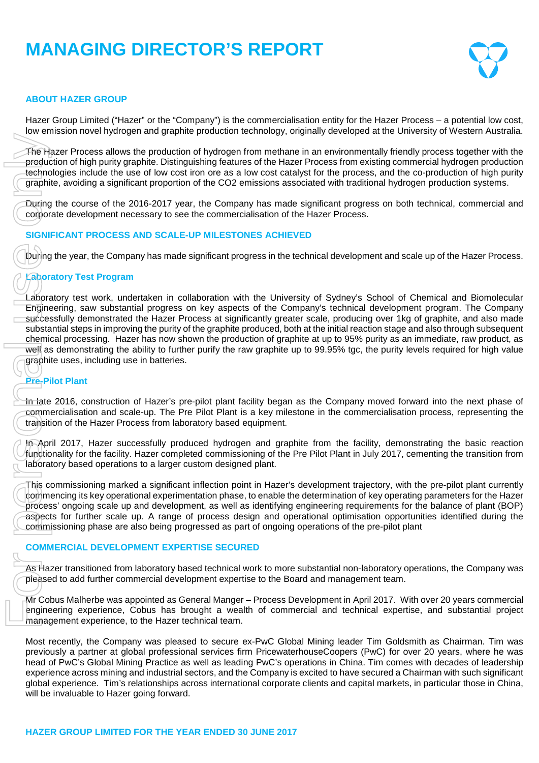# **MANAGING DIRECTOR'S REPORT**



# **ABOUT HAZER GROUP**

Hazer Group Limited ("Hazer" or the "Company") is the commercialisation entity for the Hazer Process – a potential low cost, low emission novel hydrogen and graphite production technology, originally developed at the University of Western Australia.

The Hazer Process allows the production of hydrogen from methane in an environmentally friendly process together with the production of high purity graphite. Distinguishing features of the Hazer Process from existing commercial hydrogen production technologies include the use of low cost iron ore as a low cost catalyst for the process, and the co-production of high purity graphite, avoiding a significant proportion of the CO2 emissions associated with traditional hydrogen production systems.

During the course of the 2016-2017 year, the Company has made significant progress on both technical, commercial and corporate development necessary to see the commercialisation of the Hazer Process.

### **SIGNIFICANT PROCESS AND SCALE-UP MILESTONES ACHIEVED**

During the year, the Company has made significant progress in the technical development and scale up of the Hazer Process.

# **Laboratory Test Program**

Laboratory test work, undertaken in collaboration with the University of Sydney's School of Chemical and Biomolecular Engineering, saw substantial progress on key aspects of the Company's technical development program. The Company successfully demonstrated the Hazer Process at significantly greater scale, producing over 1kg of graphite, and also made substantial steps in improving the purity of the graphite produced, both at the initial reaction stage and also through subsequent chemical processing. Hazer has now shown the production of graphite at up to 95% purity as an immediate, raw product, as well as demonstrating the ability to further purify the raw graphite up to 99.95% tgc, the purity levels required for high value graphite uses, including use in batteries. The Hazer Process allows the production production of high purity graphite. Distingeton (graphite, avoiding a significant proportion (graphite, avoiding a significant proportion comporate development necessary to see SIGNI

# **Pre-Pilot Plant**

In late 2016, construction of Hazer's pre-pilot plant facility began as the Company moved forward into the next phase of commercialisation and scale-up. The Pre Pilot Plant is a key milestone in the commercialisation process, representing the transition of the Hazer Process from laboratory based equipment.

In April 2017, Hazer successfully produced hydrogen and graphite from the facility, demonstrating the basic reaction functionality for the facility. Hazer completed commissioning of the Pre Pilot Plant in July 2017, cementing the transition from laboratory based operations to a larger custom designed plant.

This commissioning marked a significant inflection point in Hazer's development trajectory, with the pre-pilot plant currently commencing its key operational experimentation phase, to enable the determination of key operating parameters for the Hazer process' ongoing scale up and development, as well as identifying engineering requirements for the balance of plant (BOP) aspects for further scale up. A range of process design and operational optimisation opportunities identified during the commissioning phase are also being progressed as part of ongoing operations of the pre-pilot plant

#### **COMMERCIAL DEVELOPMENT EXPERTISE SECURED**

As Hazer transitioned from laboratory based technical work to more substantial non-laboratory operations, the Company was pleased to add further commercial development expertise to the Board and management team.

Mr Cobus Malherbe was appointed as General Manger – Process Development in April 2017. With over 20 years commercial engineering experience, Cobus has brought a wealth of commercial and technical expertise, and substantial project management experience, to the Hazer technical team.

Most recently, the Company was pleased to secure ex-PwC Global Mining leader Tim Goldsmith as Chairman. Tim was previously a partner at global professional services firm PricewaterhouseCoopers (PwC) for over 20 years, where he was head of PwC's Global Mining Practice as well as leading PwC's operations in China. Tim comes with decades of leadership experience across mining and industrial sectors, and the Company is excited to have secured a Chairman with such significant global experience. Tim's relationships across international corporate clients and capital markets, in particular those in China, will be invaluable to Hazer going forward.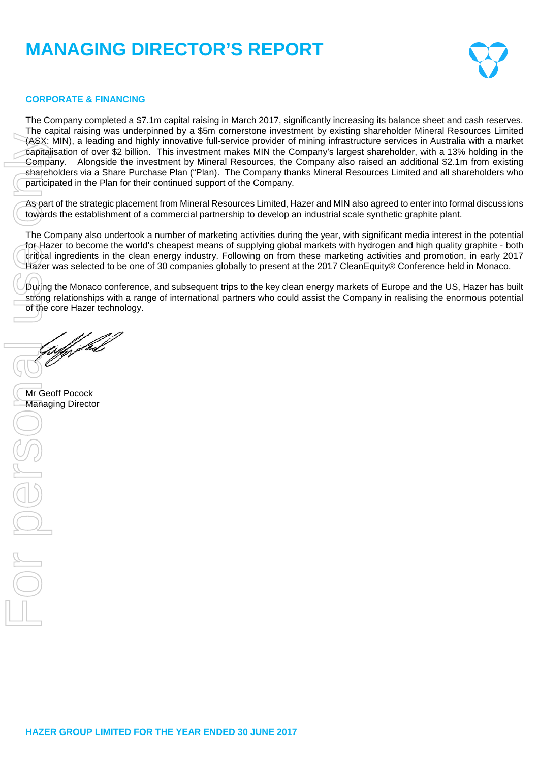# **MANAGING DIRECTOR'S REPORT**



### **CORPORATE & FINANCING**

The Company completed a \$7.1m capital raising in March 2017, significantly increasing its balance sheet and cash reserves. The capital raising was underpinned by a \$5m cornerstone investment by existing shareholder Mineral Resources Limited (ASX: MIN), a leading and highly innovative full-service provider of mining infrastructure services in Australia with a market capitalisation of over \$2 billion. This investment makes MIN the Company's largest shareholder, with a 13% holding in the Company. Alongside the investment by Mineral Resources, the Company also raised an additional \$2.1m from existing shareholders via a Share Purchase Plan ("Plan). The Company thanks Mineral Resources Limited and all shareholders who participated in the Plan for their continued support of the Company.

As part of the strategic placement from Mineral Resources Limited, Hazer and MIN also agreed to enter into formal discussions towards the establishment of a commercial partnership to develop an industrial scale synthetic graphite plant.

The Company also undertook a number of marketing activities during the year, with significant media interest in the potential for Hazer to become the world's cheapest means of supplying global markets with hydrogen and high quality graphite - both critical ingredients in the clean energy industry. Following on from these marketing activities and promotion, in early 2017 Hazer was selected to be one of 30 companies globally to present at the 2017 CleanEquity® Conference held in Monaco.

During the Monaco conference, and subsequent trips to the key clean energy markets of Europe and the US, Hazer has built strong relationships with a range of international partners who could assist the Company in realising the enormous potential of the core Hazer technology.

uff fril

Mr Geoff Pocock<br>Managing Director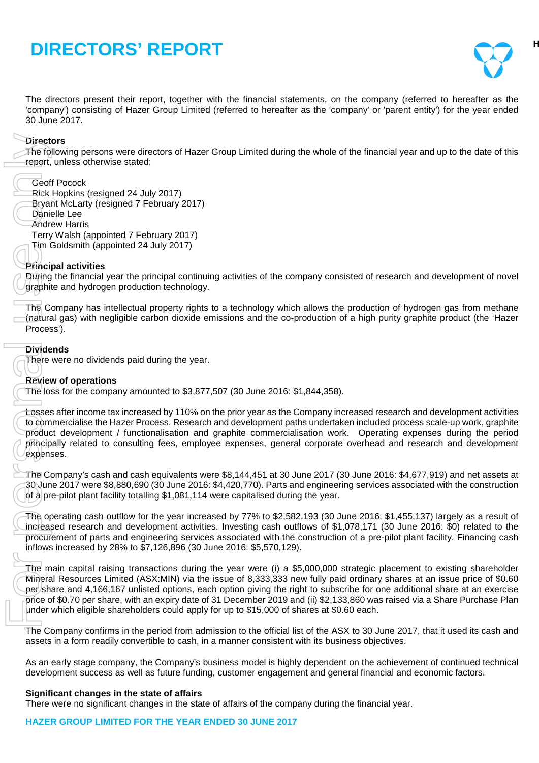

The directors present their report, together with the financial statements, on the company (referred to hereafter as the 'company') consisting of Hazer Group Limited (referred to hereafter as the 'company' or 'parent entity') for the year ended 30 June 2017.

# **Directors**

The following persons were directors of Hazer Group Limited during the whole of the financial year and up to the date of this report, unless otherwise stated:

- Geoff Pocock
- Rick Hopkins (resigned 24 July 2017)
- Bryant McLarty (resigned 7 February 2017)
- Danielle Lee
- Andrew Harris

Terry Walsh (appointed 7 February 2017)

Tim Goldsmith (appointed 24 July 2017)

# **Principal activities**

During the financial year the principal continuing activities of the company consisted of research and development of novel graphite and hydrogen production technology.

The Company has intellectual property rights to a technology which allows the production of hydrogen gas from methane (natural gas) with negligible carbon dioxide emissions and the co-production of a high purity graphite product (the 'Hazer Process').

# **Dividends**

There were no dividends paid during the year.

### **Review of operations**

The loss for the company amounted to \$3,877,507 (30 June 2016: \$1,844,358).

Losses after income tax increased by 110% on the prior year as the Company increased research and development activities to commercialise the Hazer Process. Research and development paths undertaken included process scale-up work, graphite product development / functionalisation and graphite commercialisation work. Operating expenses during the period principally related to consulting fees, employee expenses, general corporate overhead and research and development expenses. There were no significant changes in the state of the state of the financial year.<br>
The following persons at the state of affairs of the state of affairs of the state of the state of the state of the state of the state of

The Company's cash and cash equivalents were \$8,144,451 at 30 June 2017 (30 June 2016: \$4,677,919) and net assets at 30 June 2017 were \$8,880,690 (30 June 2016: \$4,420,770). Parts and engineering services associated with the construction of a pre-pilot plant facility totalling \$1,081,114 were capitalised during the year.

The operating cash outflow for the year increased by 77% to \$2,582,193 (30 June 2016: \$1,455,137) largely as a result of increased research and development activities. Investing cash outflows of \$1,078,171 (30 June 2016: \$0) related to the procurement of parts and engineering services associated with the construction of a pre-pilot plant facility. Financing cash inflows increased by 28% to \$7,126,896 (30 June 2016: \$5,570,129).

The main capital raising transactions during the year were (i) a \$5,000,000 strategic placement to existing shareholder Mineral Resources Limited (ASX:MIN) via the issue of 8,333,333 new fully paid ordinary shares at an issue price of \$0.60 per share and 4,166,167 unlisted options, each option giving the right to subscribe for one additional share at an exercise price of \$0.70 per share, with an expiry date of 31 December 2019 and (ii) \$2,133,860 was raised via a Share Purchase Plan under which eligible shareholders could apply for up to \$15,000 of shares at \$0.60 each.

The Company confirms in the period from admission to the official list of the ASX to 30 June 2017, that it used its cash and assets in a form readily convertible to cash, in a manner consistent with its business objectives.

As an early stage company, the Company's business model is highly dependent on the achievement of continued technical development success as well as future funding, customer engagement and general financial and economic factors.

# **Significant changes in the state of affairs**

# **HAZER GROUP LIMITED FOR THE YEAR ENDED 30 JUNE 2017**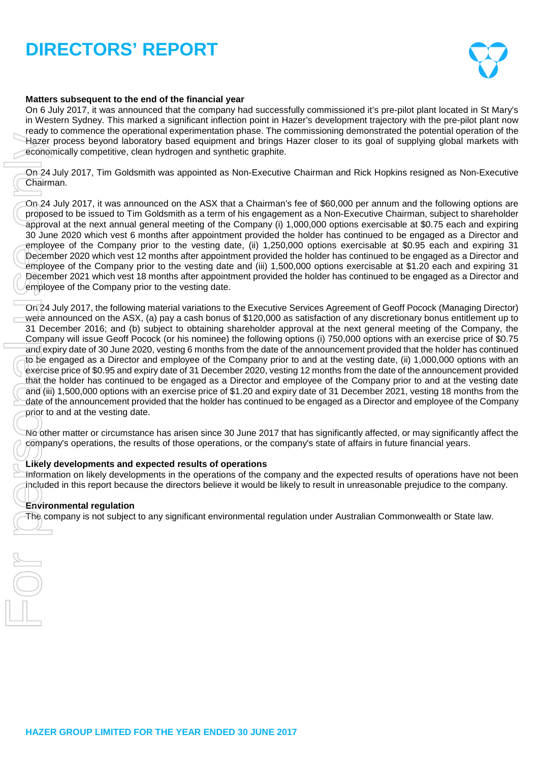

# **Matters subsequent to the end of the financial year**

On 6 July 2017, it was announced that the company had successfully commissioned it's pre-pilot plant located in St Mary's in Western Sydney. This marked a significant inflection point in Hazer's development trajectory with the pre-pilot plant now ready to commence the operational experimentation phase. The commissioning demonstrated the potential operation of the Hazer process beyond laboratory based equipment and brings Hazer closer to its goal of supplying global markets with economically competitive, clean hydrogen and synthetic graphite.

On 24 July 2017, Tim Goldsmith was appointed as Non-Executive Chairman and Rick Hopkins resigned as Non-Executive Chairman.

On 24 July 2017, it was announced on the ASX that a Chairman's fee of \$60,000 per annum and the following options are proposed to be issued to Tim Goldsmith as a term of his engagement as a Non-Executive Chairman, subject to shareholder approval at the next annual general meeting of the Company (i) 1,000,000 options exercisable at \$0.75 each and expiring 30 June 2020 which vest 6 months after appointment provided the holder has continued to be engaged as a Director and employee of the Company prior to the vesting date, (ii) 1,250,000 options exercisable at \$0.95 each and expiring 31 December 2020 which vest 12 months after appointment provided the holder has continued to be engaged as a Director and employee of the Company prior to the vesting date and (iii) 1,500,000 options exercisable at \$1.20 each and expiring 31 December 2021 which vest 18 months after appointment provided the holder has continued to be engaged as a Director and employee of the Company prior to the vesting date.

On 24 July 2017, the following material variations to the Executive Services Agreement of Geoff Pocock (Managing Director) were announced on the ASX, (a) pay a cash bonus of \$120,000 as satisfaction of any discretionary bonus entitlement up to 31 December 2016; and (b) subject to obtaining shareholder approval at the next general meeting of the Company, the Company will issue Geoff Pocock (or his nominee) the following options (i) 750,000 options with an exercise price of \$0.75 and expiry date of 30 June 2020, vesting 6 months from the date of the announcement provided that the holder has continued to be engaged as a Director and employee of the Company prior to and at the vesting date, (ii) 1,000,000 options with an exercise price of \$0.95 and expiry date of 31 December 2020, vesting 12 months from the date of the announcement provided that the holder has continued to be engaged as a Director and employee of the Company prior to and at the vesting date and (iii) 1,500,000 options with an exercise price of \$1.20 and expiry date of 31 December 2021, vesting 18 months from the date of the announcement provided that the holder has continued to be engaged as a Director and employee of the Company prior to and at the vesting date. The company is not subject to any subject to any significant environmental regulation under the company is not subject to any significant environmental regulation under ASK that a Chairman set of \$60,000 per amum and Rick

No other matter or circumstance has arisen since 30 June 2017 that has significantly affected, or may significantly affect the company's operations, the results of those operations, or the company's state of affairs in future financial years.

# **Likely developments and expected results of operations**

Information on likely developments in the operations of the company and the expected results of operations have not been included in this report because the directors believe it would be likely to result in unreasonable prejudice to the company.

**Environmental regulation**<br>The company is not subiect to any significant environmental regulation under Australian Commonwealth or State law.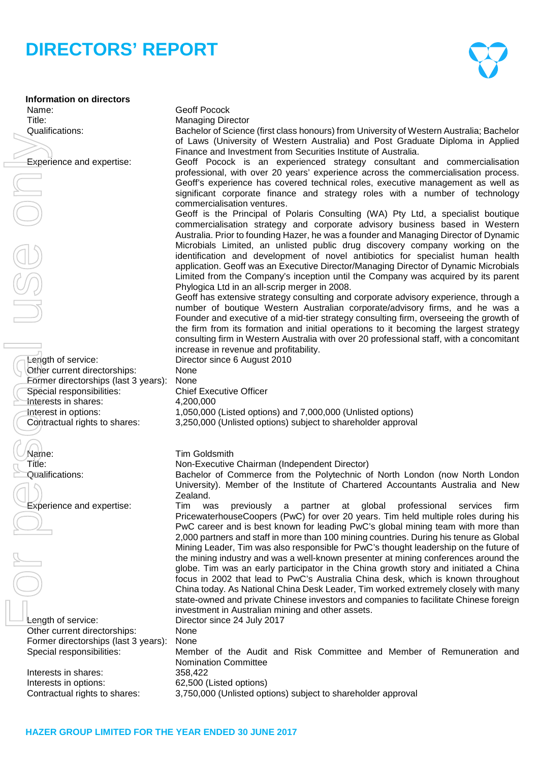

**Information on directors** Name: Geoff Pocock Title: Managing Director

Length of service: Director since 6 August 2010 Other current directorships: None Former directorships (last 3 years): None Special responsibilities: Interests in shares: 4,200,000

Length of service: Director since 24 July 2017 Other current directorships: None Former directorships (last 3 years): None

Interests in shares: 358,422 Interests in options: 62,500 (Listed options)

Qualifications: Bachelor of Science (first class honours) from University of Western Australia; Bachelor of Laws (University of Western Australia) and Post Graduate Diploma in Applied Finance and Investment from Securities Institute of Australia.

Experience and expertise: Geoff Pocock is an experienced strategy consultant and commercialisation professional, with over 20 years' experience across the commercialisation process. Geoff's experience has covered technical roles, executive management as well as significant corporate finance and strategy roles with a number of technology commercialisation ventures.

Geoff is the Principal of Polaris Consulting (WA) Pty Ltd, a specialist boutique commercialisation strategy and corporate advisory business based in Western Australia. Prior to founding Hazer, he was a founder and Managing Director of Dynamic Microbials Limited, an unlisted public drug discovery company working on the identification and development of novel antibiotics for specialist human health application. Geoff was an Executive Director/Managing Director of Dynamic Microbials Limited from the Company's inception until the Company was acquired by its parent Phylogica Ltd in an all-scrip merger in 2008.

Geoff has extensive strategy consulting and corporate advisory experience, through a number of boutique Western Australian corporate/advisory firms, and he was a Founder and executive of a mid-tier strategy consulting firm, overseeing the growth of the firm from its formation and initial operations to it becoming the largest strategy consulting firm in Western Australia with over 20 professional staff, with a concomitant increase in revenue and profitability.

Interest in options: 1,050,000 (Listed options) and 7,000,000 (Unlisted options)<br>Contractual rights to shares: 3.250.000 (Unlisted options) subject to shareholder approva 3,250,000 (Unlisted options) subject to shareholder approval

Name: Tim Goldsmith

Title: Non-Executive Chairman (Independent Director)

Qualifications: Bachelor of Commerce from the Polytechnic of North London (now North London University). Member of the Institute of Chartered Accountants Australia and New Zealand.

Experience and expertise: Tim was previously a partner at global professional services PricewaterhouseCoopers (PwC) for over 20 years. Tim held multiple roles during his PwC career and is best known for leading PwC's global mining team with more than 2,000 partners and staff in more than 100 mining countries. During his tenure as Global Mining Leader, Tim was also responsible for PwC's thought leadership on the future of the mining industry and was a well-known presenter at mining conferences around the globe. Tim was an early participator in the China growth story and initiated a China focus in 2002 that lead to PwC's Australia China desk, which is known throughout China today. As National China Desk Leader, Tim worked extremely closely with many state-owned and private Chinese investors and companies to facilitate Chinese foreign investment in Australian mining and other assets. Contractual rights to shares:  $\frac{1}{2}$  Contractus) ( $\alpha$  Contractus) ( $\alpha$  Contractus) is the shareholder approval temperature of personal rights to shareholder approach temperature of personal use of the shareholder app

Special responsibilities: Member of the Audit and Risk Committee and Member of Remuneration and Nomination Committee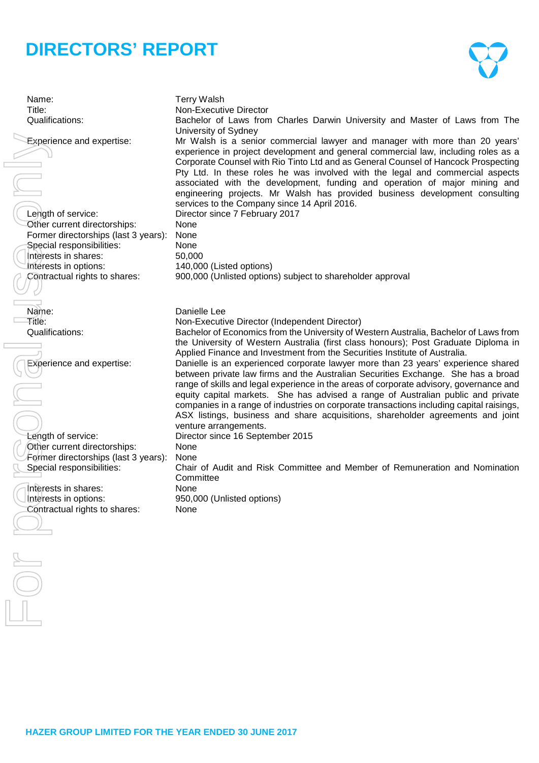$\left\langle \cdot \right\rangle$ 

| Name:<br>Title:                                                                                                                                                                                                                               | <b>Terry Walsh</b><br>Non-Executive Director                                                                                                                                                                                                                                                                                                                                                                                                                                                                                                                                                                                                                                                                                                                                                                                                                                                                                     |
|-----------------------------------------------------------------------------------------------------------------------------------------------------------------------------------------------------------------------------------------------|----------------------------------------------------------------------------------------------------------------------------------------------------------------------------------------------------------------------------------------------------------------------------------------------------------------------------------------------------------------------------------------------------------------------------------------------------------------------------------------------------------------------------------------------------------------------------------------------------------------------------------------------------------------------------------------------------------------------------------------------------------------------------------------------------------------------------------------------------------------------------------------------------------------------------------|
| Qualifications:                                                                                                                                                                                                                               | Bachelor of Laws from Charles Darwin University and Master of Laws from The<br>University of Sydney                                                                                                                                                                                                                                                                                                                                                                                                                                                                                                                                                                                                                                                                                                                                                                                                                              |
| <b>Experience and expertise:</b><br>Length of service:<br>Other current directorships:<br>Former directorships (last 3 years):<br>Special responsibilities:<br>Interests in shares:<br>Interests in options:<br>Contractual rights to shares: | Mr Walsh is a senior commercial lawyer and manager with more than 20 years'<br>experience in project development and general commercial law, including roles as a<br>Corporate Counsel with Rio Tinto Ltd and as General Counsel of Hancock Prospecting<br>Pty Ltd. In these roles he was involved with the legal and commercial aspects<br>associated with the development, funding and operation of major mining and<br>engineering projects. Mr Walsh has provided business development consulting<br>services to the Company since 14 April 2016.<br>Director since 7 February 2017<br>None<br>None<br>None<br>50,000<br>140,000 (Listed options)<br>900,000 (Unlisted options) subject to shareholder approval                                                                                                                                                                                                              |
|                                                                                                                                                                                                                                               | Danielle Lee                                                                                                                                                                                                                                                                                                                                                                                                                                                                                                                                                                                                                                                                                                                                                                                                                                                                                                                     |
| Name:<br>Title:                                                                                                                                                                                                                               | Non-Executive Director (Independent Director)                                                                                                                                                                                                                                                                                                                                                                                                                                                                                                                                                                                                                                                                                                                                                                                                                                                                                    |
| Qualifications:                                                                                                                                                                                                                               | Bachelor of Economics from the University of Western Australia, Bachelor of Laws from                                                                                                                                                                                                                                                                                                                                                                                                                                                                                                                                                                                                                                                                                                                                                                                                                                            |
| <b>Experience and expertise:</b><br>Length of service:<br>Other current directorships:<br>Former directorships (last 3 years):<br>Special responsibilities:<br>Interests in shares:<br>Interests in options:<br>Contractual rights to shares: | the University of Western Australia (first class honours); Post Graduate Diploma in<br>Applied Finance and Investment from the Securities Institute of Australia.<br>Danielle is an experienced corporate lawyer more than 23 years' experience shared<br>between private law firms and the Australian Securities Exchange. She has a broad<br>range of skills and legal experience in the areas of corporate advisory, governance and<br>equity capital markets. She has advised a range of Australian public and private<br>companies in a range of industries on corporate transactions including capital raisings,<br>ASX listings, business and share acquisitions, shareholder agreements and joint<br>venture arrangements.<br>Director since 16 September 2015<br>None<br>None<br>Chair of Audit and Risk Committee and Member of Remuneration and Nomination<br>Committee<br>None<br>950,000 (Unlisted options)<br>None |
|                                                                                                                                                                                                                                               |                                                                                                                                                                                                                                                                                                                                                                                                                                                                                                                                                                                                                                                                                                                                                                                                                                                                                                                                  |
|                                                                                                                                                                                                                                               |                                                                                                                                                                                                                                                                                                                                                                                                                                                                                                                                                                                                                                                                                                                                                                                                                                                                                                                                  |
|                                                                                                                                                                                                                                               |                                                                                                                                                                                                                                                                                                                                                                                                                                                                                                                                                                                                                                                                                                                                                                                                                                                                                                                                  |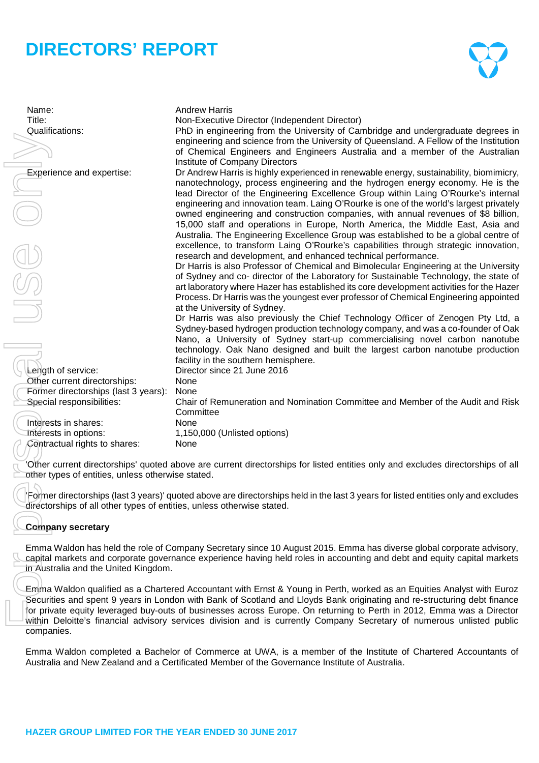

Name: Andrew Harris Title: Non-Executive Director (Independent Director) Qualifications: PhD in engineering from the University of Cambridge and undergraduate degrees in engineering and science from the University of Queensland. A Fellow of the Institution of Chemical Engineers and Engineers Australia and a member of the Australian Institute of Company Directors Experience and expertise: Dr Andrew Harris is highly experienced in renewable energy, sustainability, biomimicry, nanotechnology, process engineering and the hydrogen energy economy. He is the lead Director of the Engineering Excellence Group within Laing O'Rourke's internal engineering and innovation team. Laing O'Rourke is one of the world's largest privately owned engineering and construction companies, with annual revenues of \$8 billion, 15,000 staff and operations in Europe, North America, the Middle East, Asia and Australia. The Engineering Excellence Group was established to be a global centre of excellence, to transform Laing O'Rourke's capabilities through strategic innovation, research and development, and enhanced technical performance. Dr Harris is also Professor of Chemical and Bimolecular Engineering at the University of Sydney and co- director of the Laboratory for Sustainable Technology, the state of art laboratory where Hazer has established its core development activities for the Hazer Process. Dr Harris was the youngest ever professor of Chemical Engineering appointed at the University of Sydney. Dr Harris was also previously the Chief Technology Officer of Zenogen Pty Ltd, a Sydney-based hydrogen production technology company, and was a co-founder of Oak Nano, a University of Sydney start-up commercialising novel carbon nanotube technology. Oak Nano designed and built the largest carbon nanotube production facility in the southern hemisphere. Length of service: Director since 21 June 2016 Other current directorships: None Former directorships (last 3 years): None Special responsibilities: Chair of Remuneration and Nomination Committee and Member of the Audit and Risk **Committee** Interests in shares: None<br>
Interests in options: 1.150 1,150,000 (Unlisted options)<br>None Contractual rights to shares: 'Other current directorships' quoted above are current directorships for listed entities only and excludes directorships of all other types of entities, unless otherwise stated. Australia and the Certification and the Certification of Certification of Certification of Certification of Certification of Certification of Certification of Certification of the Theoretical Certification of the Certific

'Former directorships (last 3 years)' quoted above are directorships held in the last 3 years for listed entities only and excludes directorships of all other types of entities, unless otherwise stated.

# **Company secretary**

Emma Waldon has held the role of Company Secretary since 10 August 2015. Emma has diverse global corporate advisory, capital markets and corporate governance experience having held roles in accounting and debt and equity capital markets in Australia and the United Kingdom.

Emma Waldon qualified as a Chartered Accountant with Ernst & Young in Perth, worked as an Equities Analyst with Euroz Securities and spent 9 years in London with Bank of Scotland and Lloyds Bank originating and re-structuring debt finance for private equity leveraged buy-outs of businesses across Europe. On returning to Perth in 2012, Emma was a Director within Deloitte's financial advisory services division and is currently Company Secretary of numerous unlisted public companies.

Emma Waldon completed a Bachelor of Commerce at UWA, is a member of the Institute of Chartered Accountants of<br>Australia and New Zealand and a Certificated Member of the Governance Institute of Australia.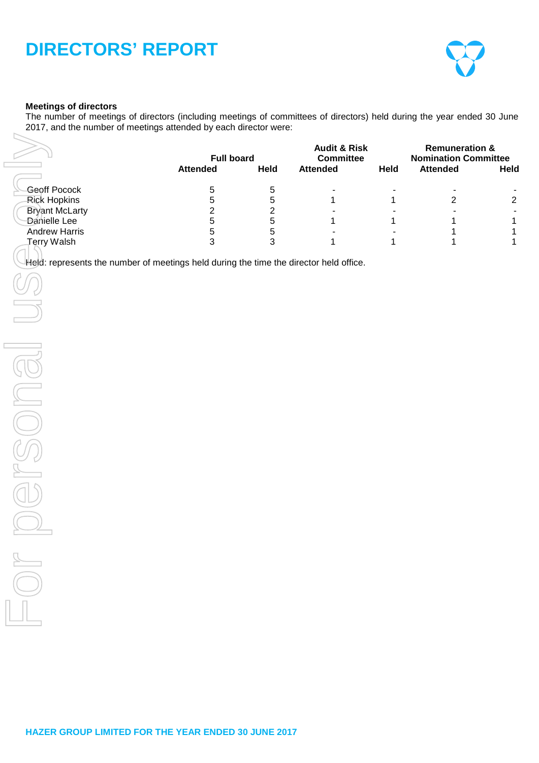

# **Meetings of directors**

The number of meetings of directors (including meetings of committees of directors) held during the year ended 30 June 2017, and the number of meetings attended by each director were:

|                                                                                                                     | <b>Full board</b><br><b>Attended</b>                                         | Held                                                                               | <b>Audit &amp; Risk</b><br><b>Committee</b><br><b>Attended</b> | Held                  | <b>Remuneration &amp;</b><br><b>Nomination Committee</b><br><b>Attended</b> | Held                                                                          |
|---------------------------------------------------------------------------------------------------------------------|------------------------------------------------------------------------------|------------------------------------------------------------------------------------|----------------------------------------------------------------|-----------------------|-----------------------------------------------------------------------------|-------------------------------------------------------------------------------|
| Geoff Pocock<br><b>Rick Hopkins</b><br><b>Bryant McLarty</b><br>Danielle Lee<br><b>Andrew Harris</b><br>Terry Walsh | $\bf 5$<br>$\overline{5}$<br>$\overline{c}$<br>$\sqrt{5}$<br>$\sqrt{5}$<br>3 | $\,$ 5 $\,$<br>$\,$ 5 $\,$<br>$\overline{c}$<br>5<br>$\,$ 5 $\,$<br>$\mathfrak{S}$ | 1<br>1<br>1                                                    | 1<br>$\mathbf 1$<br>1 | $\overline{\phantom{a}}$<br>$\overline{2}$<br>$\blacksquare$<br>1<br>1<br>1 | $\overline{c}$<br>$\blacksquare$<br>$\mathbf 1$<br>$\mathbf 1$<br>$\mathbf 1$ |
| Held: represents the number of meetings held during the time the director held office.                              |                                                                              |                                                                                    |                                                                |                       |                                                                             |                                                                               |
|                                                                                                                     |                                                                              |                                                                                    |                                                                |                       |                                                                             |                                                                               |
|                                                                                                                     |                                                                              |                                                                                    |                                                                |                       |                                                                             |                                                                               |
|                                                                                                                     |                                                                              |                                                                                    |                                                                |                       |                                                                             |                                                                               |
| $\sim$                                                                                                              |                                                                              |                                                                                    |                                                                |                       |                                                                             |                                                                               |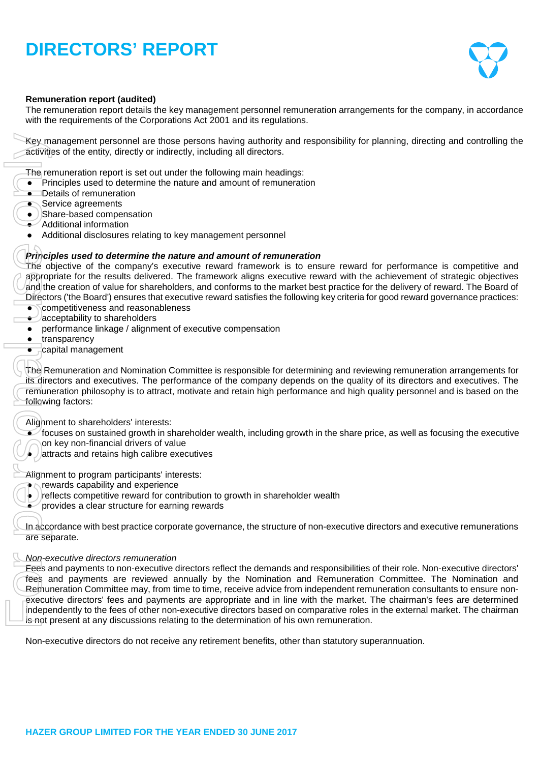

# **Remuneration report (audited)**

The remuneration report details the key management personnel remuneration arrangements for the company, in accordance with the requirements of the Corporations Act 2001 and its regulations.

Key management personnel are those persons having authority and responsibility for planning, directing and controlling the activities of the entity, directly or indirectly, including all directors.

The remuneration report is set out under the following main headings:

- Principles used to determine the nature and amount of remuneration
- Details of remuneration
- Service agreements
- Share-based compensation
- $\bullet$  Additional information
- Additional disclosures relating to key management personnel

#### *Principles used to determine the nature and amount of remuneration*

The objective of the company's executive reward framework is to ensure reward for performance is competitive and appropriate for the results delivered. The framework aligns executive reward with the achievement of strategic objectives and the creation of value for shareholders, and conforms to the market best practice for the delivery of reward. The Board of Directors ('the Board') ensures that executive reward satisfies the following key criteria for good reward governance practices:

- $\bullet$  competitiveness and reasonableness
- $\rightarrow$  acceptability to shareholders
- performance linkage / alignment of executive compensation
- transparency
- capital management

The Remuneration and Nomination Committee is responsible for determining and reviewing remuneration arrangements for its directors and executives. The performance of the company depends on the quality of its directors and executives. The remuneration philosophy is to attract, motivate and retain high performance and high quality personnel and is based on the following factors:

Alignment to shareholders' interests:

- $\bullet$  focuses on sustained growth in shareholder wealth, including growth in the share price, as well as focusing the executive
- on key non-financial drivers of value
- $\bullet$  attracts and retains high calibre executives

Alignment to program participants' interests:

- **rewards capability and experience**
- $\bullet$ ) reflects competitive reward for contribution to growth in shareholder wealth
- provides a clear structure for earning rewards

In accordance with best practice corporate governance, the structure of non-executive directors and executive remunerations are separate.

#### *Non-executive directors remuneration*

Fees and payments to non-executive directors reflect the demands and responsibilities of their role. Non-executive directors' fees and payments are reviewed annually by the Nomination and Remuneration Committee. The Nomination and Remuneration Committee may, from time to time, receive advice from independent remuneration consultants to ensure nonexecutive directors' fees and payments are appropriate and in line with the market. The chairman's fees are determined independently to the fees of other non-executive directors based on comparative roles in the external market. The chairman is not present at any discussions relating to the determination of his own remuneration. Non-management<br>
Non-management are those persons having a utility and responsibility for planning, directors<br>
The remuneration report is set out user the following main headings:<br>
The remuneration report is set out user th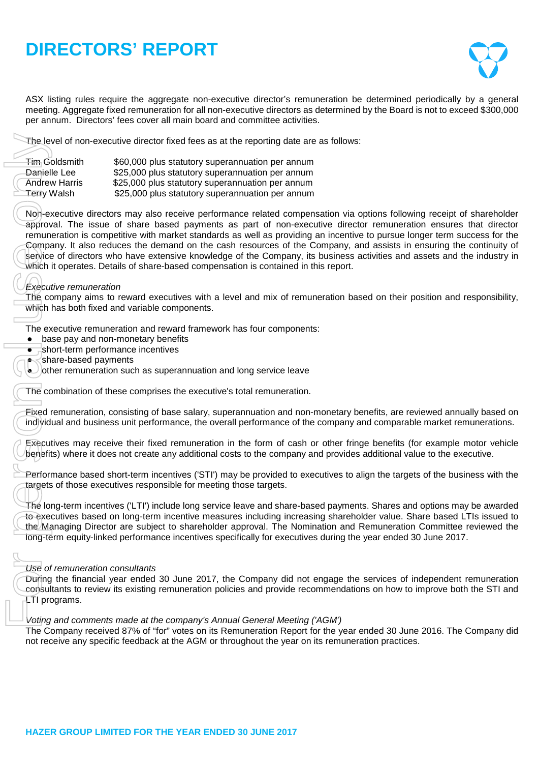

ASX listing rules require the aggregate non-executive director's remuneration be determined periodically by a general meeting. Aggregate fixed remuneration for all non-executive directors as determined by the Board is not to exceed \$300,000 per annum. Directors' fees cover all main board and committee activities.

The level of non-executive director fixed fees as at the reporting date are as follows:

| <del>Tim</del> Goldsmith | \$60,000 plus statutory superannuation per annum |
|--------------------------|--------------------------------------------------|
| Danielle Lee             | \$25,000 plus statutory superannuation per annum |
| <b>Andrew Harris</b>     | \$25,000 plus statutory superannuation per annum |
| Terry Walsh              | \$25,000 plus statutory superannuation per annum |

Non-executive directors may also receive performance related compensation via options following receipt of shareholder approval. The issue of share based payments as part of non-executive director remuneration ensures that director remuneration is competitive with market standards as well as providing an incentive to pursue longer term success for the Company. It also reduces the demand on the cash resources of the Company, and assists in ensuring the continuity of service of directors who have extensive knowledge of the Company, its business activities and assets and the industry in which it operates. Details of share-based compensation is contained in this report. The level of non-executive director fixed fees as at the reporting date are<br>Tim Goldsmith 560,000 plus statutory superannuation per annum<br>Androw Harris \$25,000 plus statutory superannuation per annum<br>Androw Harris \$25,000

# *Executive remuneration*

The company aims to reward executives with a level and mix of remuneration based on their position and responsibility, which has both fixed and variable components.

The executive remuneration and reward framework has four components:

- base pay and non-monetary benefits
- short-term performance incentives
- share-based payments
- $\cup$  other remuneration such as superannuation and long service leave

The combination of these comprises the executive's total remuneration.

Fixed remuneration, consisting of base salary, superannuation and non-monetary benefits, are reviewed annually based on individual and business unit performance, the overall performance of the company and comparable market remunerations.

Executives may receive their fixed remuneration in the form of cash or other fringe benefits (for example motor vehicle benefits) where it does not create any additional costs to the company and provides additional value to the executive.

Performance based short-term incentives ('STI') may be provided to executives to align the targets of the business with the targets of those executives responsible for meeting those targets.

The long-term incentives ('LTI') include long service leave and share-based payments. Shares and options may be awarded to executives based on long-term incentive measures including increasing shareholder value. Share based LTIs issued to the Managing Director are subject to shareholder approval. The Nomination and Remuneration Committee reviewed the long-term equity-linked performance incentives specifically for executives during the year ended 30 June 2017.

# *Use of remuneration consultants*

During the financial year ended 30 June 2017, the Company did not engage the services of independent remuneration consultants to review its existing remuneration policies and provide recommendations on how to improve both the STI and LTI programs.

#### *Voting and comments made at the company's Annual General Meeting ('AGM')*

The Company received 87% of "for" votes on its Remuneration Report for the year ended 30 June 2016. The Company did not receive any specific feedback at the AGM or throughout the year on its remuneration practices.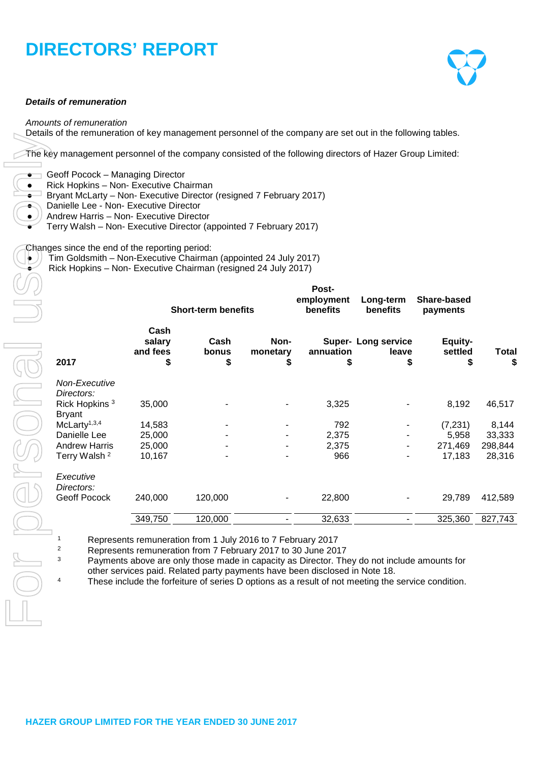#### *Details of remuneration*

#### *Amounts of remuneration*

Details of the remuneration of key management personnel of the company are set out in the following tables.

The key management personnel of the company consisted of the following directors of Hazer Group Limited:

- $\bullet$  Geoff Pocock Managing Director
- Rick Hopkins Non- Executive Chairman
- Bryant McLarty Non- Executive Director (resigned 7 February 2017)
- Danielle Lee Non- Executive Director
- Andrew Harris Non- Executive Director
- Terry Walsh Non- Executive Director (appointed 7 February 2017)

Changes since the end of the reporting period:

- Tim Goldsmith Non-Executive Chairman (appointed 24 July 2017)
- Rick Hopkins Non- Executive Chairman (resigned 24 July 2017)

|                                            | <b>Short-term benefits</b>       |                     |                       | Post-<br>employment<br>benefits | Long-term<br>benefits                    | Share-based<br>payments  |             |  |
|--------------------------------------------|----------------------------------|---------------------|-----------------------|---------------------------------|------------------------------------------|--------------------------|-------------|--|
| 2017                                       | Cash<br>salary<br>and fees<br>\$ | Cash<br>bonus<br>\$ | Non-<br>monetary<br>S | annuation<br>\$                 | <b>Super-Long service</b><br>leave<br>\$ | Equity-<br>settled<br>\$ | Total<br>\$ |  |
| Non-Executive<br>Directors:                |                                  |                     |                       |                                 |                                          |                          |             |  |
| Rick Hopkins <sup>3</sup><br><b>Bryant</b> | 35,000                           |                     |                       | 3,325                           |                                          | 8,192                    | 46,517      |  |
| McLaty <sup>1,3,4</sup>                    | 14,583                           |                     |                       | 792                             |                                          | (7, 231)                 | 8,144       |  |
| Danielle Lee                               | 25,000                           |                     |                       | 2,375                           |                                          | 5,958                    | 33,333      |  |
| <b>Andrew Harris</b>                       | 25,000                           |                     |                       | 2,375                           |                                          | 271,469                  | 298,844     |  |
| Terry Walsh <sup>2</sup>                   | 10,167                           |                     |                       | 966                             |                                          | 17,183                   | 28,316      |  |
| Executive<br>Directors:                    |                                  |                     |                       |                                 |                                          |                          |             |  |
| <b>Geoff Pocock</b>                        | 240,000                          | 120,000             |                       | 22,800                          |                                          | 29,789                   | 412,589     |  |
|                                            | 349,750                          | 120,000             |                       | 32,633                          |                                          | 325,360                  | 827,743     |  |

1 Represents remuneration from 1 July 2016 to 7 February 2017<br>2 Represents remuneration from 7 February 2017 to 30 June 201

<sup>2</sup> Represents remuneration from 7 February 2017 to 30 June 2017<br><sup>3</sup> Payments above are only those made in canacity as Director. The

Payments above are only those made in capacity as Director. They do not include amounts for other services paid. Related party payments have been disclosed in Note 18.

<sup>4</sup> These include the forfeiture of series D options as a result of not meeting the service condition.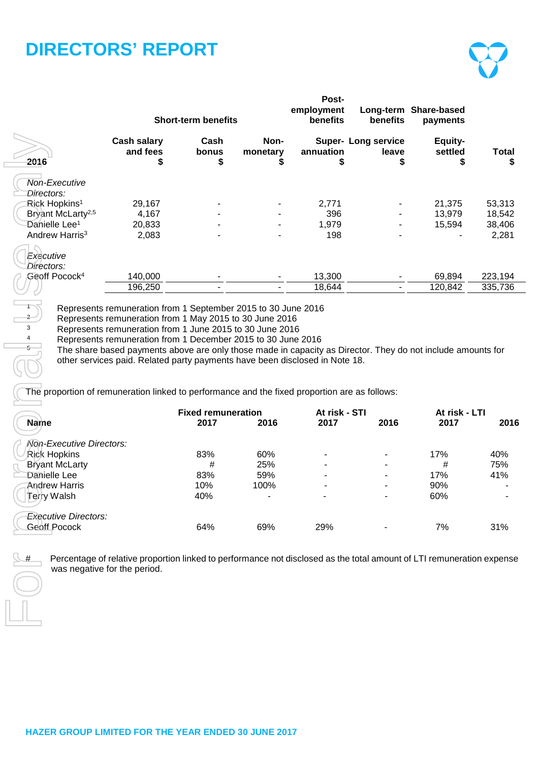|                                                                                                              |                                                                                                                                                                                                                                                                                                                        | <b>Short-term benefits</b>        |                  | Post-<br>employment<br>benefits | benefits                            | Long-term Share-based<br>payments |                  |
|--------------------------------------------------------------------------------------------------------------|------------------------------------------------------------------------------------------------------------------------------------------------------------------------------------------------------------------------------------------------------------------------------------------------------------------------|-----------------------------------|------------------|---------------------------------|-------------------------------------|-----------------------------------|------------------|
| 2016                                                                                                         | <b>Cash salary</b><br>and fees                                                                                                                                                                                                                                                                                         | Cash<br>bonus<br>S                | Non-<br>monetary | annuation                       | <b>Super- Long service</b><br>leave | Equity-<br>settled<br>S           | <b>Total</b>     |
| Non-Executive<br>Directors:                                                                                  |                                                                                                                                                                                                                                                                                                                        |                                   |                  |                                 |                                     |                                   |                  |
| Rick Hopkins <sup>1</sup>                                                                                    | 29,167                                                                                                                                                                                                                                                                                                                 |                                   |                  | 2,771                           |                                     | 21,375                            | 53,313           |
| Bryant McLarty <sup>2,5</sup><br>Danielle Lee <sup>1</sup>                                                   | 4,167<br>20,833                                                                                                                                                                                                                                                                                                        |                                   |                  | 396<br>1,979                    |                                     | 13,979<br>15,594                  | 18,542<br>38,406 |
| Andrew Harris <sup>3</sup>                                                                                   | 2,083                                                                                                                                                                                                                                                                                                                  |                                   |                  | 198                             |                                     |                                   | 2,281            |
| Executive<br>Directors:<br>Geoff Pocock <sup>4</sup>                                                         | 140,000                                                                                                                                                                                                                                                                                                                |                                   |                  | 13,300                          |                                     | 69,894                            | 223,194          |
|                                                                                                              | 196,250                                                                                                                                                                                                                                                                                                                |                                   |                  | 18,644                          |                                     | 120,842                           | 335,736          |
|                                                                                                              |                                                                                                                                                                                                                                                                                                                        |                                   |                  |                                 |                                     |                                   |                  |
| 3<br>4<br>5<br>The proportion of remuneration linked to performance and the fixed proportion are as follows: | Represents remuneration from 1 June 2015 to 30 June 2016<br>Represents remuneration from 1 December 2015 to 30 June 2016<br>The share based payments above are only those made in capacity as Director. They do not include amounts for<br>other services paid. Related party payments have been disclosed in Note 18. |                                   |                  |                                 |                                     |                                   |                  |
| Name                                                                                                         |                                                                                                                                                                                                                                                                                                                        | <b>Fixed remuneration</b><br>2017 | 2016             | At risk - STI<br>2017           | 2016                                | At risk - LTI<br>2017             | 2016             |
| Non-Executive Directors:                                                                                     |                                                                                                                                                                                                                                                                                                                        |                                   |                  |                                 |                                     |                                   |                  |
| <b>Rick Hopkins</b>                                                                                          |                                                                                                                                                                                                                                                                                                                        | 83%                               | 60%              |                                 |                                     | 17%                               | 40%              |
| <b>Bryant McLarty</b>                                                                                        |                                                                                                                                                                                                                                                                                                                        | #                                 | 25%              |                                 |                                     | #                                 | 75%              |
| Danielle Lee                                                                                                 |                                                                                                                                                                                                                                                                                                                        | 83%                               | 59%              |                                 |                                     | 17%                               | 41%              |
| <b>Andrew Harris</b>                                                                                         |                                                                                                                                                                                                                                                                                                                        | 10%                               | 100%             |                                 |                                     | 90%                               |                  |
| Terry Walsh                                                                                                  |                                                                                                                                                                                                                                                                                                                        | 40%                               |                  |                                 |                                     | 60%                               |                  |
| <b>Executive Directors:</b>                                                                                  |                                                                                                                                                                                                                                                                                                                        |                                   |                  |                                 |                                     |                                   |                  |
| <b>Geoff Pocock</b>                                                                                          |                                                                                                                                                                                                                                                                                                                        | 64%                               | 69%              | 29%                             |                                     | 7%                                | 31%              |
|                                                                                                              | Percentage of relative proportion linked to performance not disclosed as the total amount of LTI remuneration expense<br>was negative for the period.                                                                                                                                                                  |                                   |                  |                                 |                                     |                                   |                  |

|                             | <b>Fixed remuneration</b> |      | At risk - STI |                | At risk - LTI |      |
|-----------------------------|---------------------------|------|---------------|----------------|---------------|------|
| <b>Name</b>                 | 2017                      | 2016 | 2017          | 2016           | 2017          | 2016 |
| Non-Executive Directors:    |                           |      |               |                |               |      |
| Rick Hopkins                | 83%                       | 60%  |               |                | 17%           | 40%  |
| <b>Bryant McLarty</b>       | #                         | 25%  |               |                | #             | 75%  |
| Danielle Lee                | 83%                       | 59%  | -             | $\blacksquare$ | 17%           | 41%  |
| <b>Andrew Harris</b>        | 10%                       | 100% |               |                | 90%           |      |
| Terry Walsh                 | 40%                       | ٠    |               | ۰              | 60%           |      |
| <b>Executive Directors:</b> |                           |      |               |                |               |      |
| Geoff Pocock                | 64%                       | 69%  | 29%           |                | 7%            | 31%  |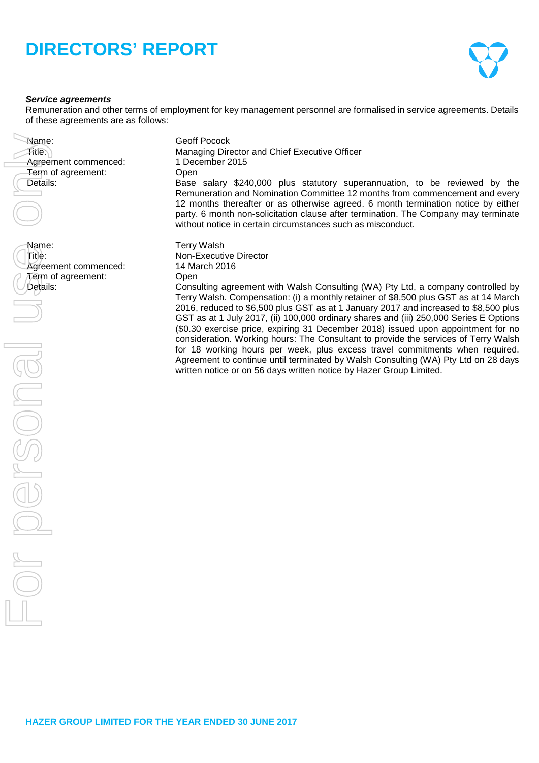

#### *Service agreements*

Remuneration and other terms of employment for key management personnel are formalised in service agreements. Details of these agreements are as follows:

| Name:<br>$F$ iti $e$ .)<br>Agreement commenced:<br>Term of agreement:<br>Details: | Geoff Pocock<br>Managing Director and Chief Executive Officer<br>1 December 2015<br>Open<br>Base salary \$240,000 plus statutory superannuation, to be reviewed by the<br>Remuneration and Nomination Committee 12 months from commencement and every<br>12 months thereafter or as otherwise agreed. 6 month termination notice by either<br>party. 6 month non-solicitation clause after termination. The Company may terminate<br>without notice in certain circumstances such as misconduct.                                                                                                                                                                                                                                                                                                                                                             |
|-----------------------------------------------------------------------------------|--------------------------------------------------------------------------------------------------------------------------------------------------------------------------------------------------------------------------------------------------------------------------------------------------------------------------------------------------------------------------------------------------------------------------------------------------------------------------------------------------------------------------------------------------------------------------------------------------------------------------------------------------------------------------------------------------------------------------------------------------------------------------------------------------------------------------------------------------------------|
| Name:<br>Title:<br>Agreement commenced:<br>Term of agreement:<br>Details:         | <b>Terry Walsh</b><br>Non-Executive Director<br>14 March 2016<br>Open<br>Consulting agreement with Walsh Consulting (WA) Pty Ltd, a company controlled by<br>Terry Walsh. Compensation: (i) a monthly retainer of \$8,500 plus GST as at 14 March<br>2016, reduced to \$6,500 plus GST as at 1 January 2017 and increased to \$8,500 plus<br>GST as at 1 July 2017, (ii) 100,000 ordinary shares and (iii) 250,000 Series E Options<br>(\$0.30 exercise price, expiring 31 December 2018) issued upon appointment for no<br>consideration. Working hours: The Consultant to provide the services of Terry Walsh<br>for 18 working hours per week, plus excess travel commitments when required.<br>Agreement to continue until terminated by Walsh Consulting (WA) Pty Ltd on 28 days<br>written notice or on 56 days written notice by Hazer Group Limited. |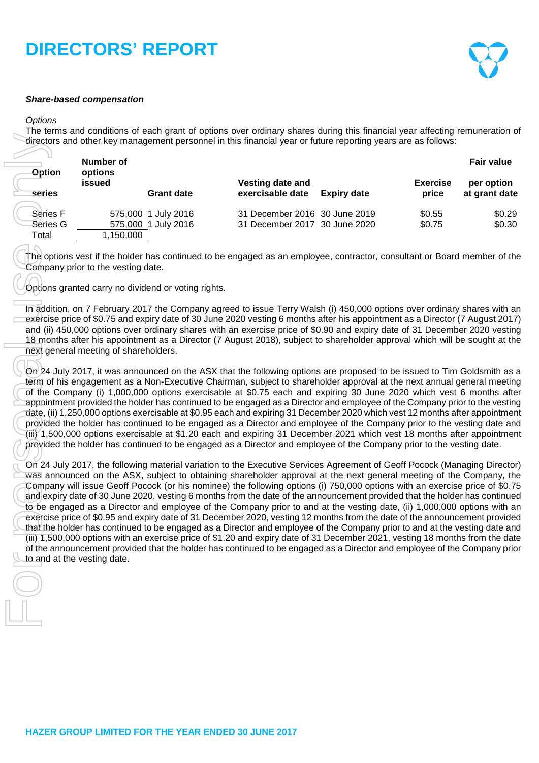### *Share-based compensation*

#### *Options*

The terms and conditions of each grant of options over ordinary shares during this financial year affecting remuneration of directors and other key management personnel in this financial year or future reporting years are as follows:

| <b>Option</b>               | Number of<br>options |                                            |                                                                |                    |                          | <b>Fair value</b>           |
|-----------------------------|----------------------|--------------------------------------------|----------------------------------------------------------------|--------------------|--------------------------|-----------------------------|
| series                      | issued               | <b>Grant date</b>                          | Vesting date and<br>exercisable date                           | <b>Expiry date</b> | <b>Exercise</b><br>price | per option<br>at grant date |
| <b>Series F</b><br>Series G |                      | 575,000 1 July 2016<br>575,000 1 July 2016 | 31 December 2016 30 June 2019<br>31 December 2017 30 June 2020 |                    | \$0.55<br>\$0.75         | \$0.29<br>\$0.30            |
| Total                       | 1,150,000            |                                            |                                                                |                    |                          |                             |

The options vest if the holder has continued to be engaged as an employee, contractor, consultant or Board member of the Company prior to the vesting date.

Options granted carry no dividend or voting rights.

In addition, on 7 February 2017 the Company agreed to issue Terry Walsh (i) 450,000 options over ordinary shares with an exercise price of \$0.75 and expiry date of 30 June 2020 vesting 6 months after his appointment as a Director (7 August 2017) and (ii) 450,000 options over ordinary shares with an exercise price of \$0.90 and expiry date of 31 December 2020 vesting 18 months after his appointment as a Director (7 August 2018), subject to shareholder approval which will be sought at the next general meeting of shareholders.

On 24 July 2017, it was announced on the ASX that the following options are proposed to be issued to Tim Goldsmith as a term of his engagement as a Non-Executive Chairman, subject to shareholder approval at the next annual general meeting of the Company (i) 1,000,000 options exercisable at \$0.75 each and expiring 30 June 2020 which vest 6 months after appointment provided the holder has continued to be engaged as a Director and employee of the Company prior to the vesting date, (ii) 1,250,000 options exercisable at \$0.95 each and expiring 31 December 2020 which vest 12 months after appointment provided the holder has continued to be engaged as a Director and employee of the Company prior to the vesting date and (iii) 1,500,000 options exercisable at \$1.20 each and expiring 31 December 2021 which vest 18 months after appointment provided the holder has continued to be engaged as a Director and employee of the Company prior to the vesting date.

On 24 July 2017, the following material variation to the Executive Services Agreement of Geoff Pocock (Managing Director) was announced on the ASX, subject to obtaining shareholder approval at the next general meeting of the Company, the Company will issue Geoff Pocock (or his nominee) the following options (i) 750,000 options with an exercise price of \$0.75 and expiry date of 30 June 2020, vesting 6 months from the date of the announcement provided that the holder has continued to be engaged as a Director and employee of the Company prior to and at the vesting date, (ii) 1,000,000 options with an exercise price of \$0.95 and expiry date of 31 December 2020, vesting 12 months from the date of the announcement provided that the holder has continued to be engaged as a Director and employee of the Company prior to and at the vesting date and (iii) 1,500,000 options with an exercise price of \$1.20 and expiry date of 31 December 2021, vesting 18 months from the date of the announcement provided that the holder has continued to be engaged as a Director and employee of the Company prior directors and other key may be **a**<br> **Series France of the vesting date.**<br>
Series G<br>
Series G<br>
Series G<br>
Series G<br>
Series G<br>
Total<br>
The options vest if the hold Company prior to the vest<br>
Company prior to the vest<br>
Company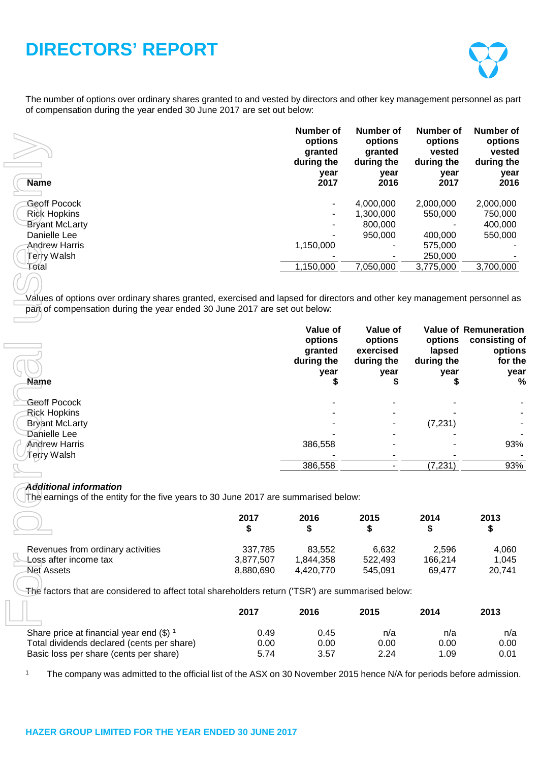The number of options over ordinary shares granted to and vested by directors and other key management personnel as part of compensation during the year ended 30 June 2017 are set out below:

| <b>Name</b>           | Number of<br>options<br>granted<br>during the<br>year<br>2017 | Number of<br>options<br>granted<br>during the<br>year<br>2016 | Number of<br>options<br>vested<br>during the<br>year<br>2017 | Number of<br>options<br>vested<br>during the<br>year<br>2016 |
|-----------------------|---------------------------------------------------------------|---------------------------------------------------------------|--------------------------------------------------------------|--------------------------------------------------------------|
| Geoff Pocock          |                                                               | 4.000.000                                                     | 2,000,000                                                    | 2,000,000                                                    |
| Rick Hopkins          |                                                               | 1.300.000                                                     | 550,000                                                      | 750,000                                                      |
| <b>Bryant McLarty</b> |                                                               | 800,000                                                       |                                                              | 400,000                                                      |
| Danielle Lee          |                                                               | 950,000                                                       | 400.000                                                      | 550,000                                                      |
| Andrew Harris         | 1,150,000                                                     | ۰                                                             | 575,000                                                      |                                                              |
| Terry Walsh           |                                                               |                                                               | 250,000                                                      |                                                              |
| Total                 | 1,150,000                                                     | 7.050.000                                                     | 3,775,000                                                    | 3,700,000                                                    |
|                       |                                                               |                                                               |                                                              |                                                              |

| <b>Name</b>                                                                                                                                                                                            |            | options<br>granted<br>during the<br>year<br>2017     | options<br>granted<br>during the<br>year<br>2016             | options<br>vested<br>during the<br>year<br>2017 | options<br>vested<br>during the<br>year<br>2016                                  |
|--------------------------------------------------------------------------------------------------------------------------------------------------------------------------------------------------------|------------|------------------------------------------------------|--------------------------------------------------------------|-------------------------------------------------|----------------------------------------------------------------------------------|
| <b>Geoff Pocock</b>                                                                                                                                                                                    |            |                                                      | 4,000,000                                                    | 2,000,000                                       | 2,000,000                                                                        |
| <b>Rick Hopkins</b>                                                                                                                                                                                    |            |                                                      | 1,300,000                                                    | 550,000                                         | 750,000                                                                          |
| <b>Bryant McLarty</b>                                                                                                                                                                                  |            |                                                      | 800,000                                                      |                                                 | 400,000                                                                          |
| Danielle Lee                                                                                                                                                                                           |            |                                                      | 950,000                                                      | 400,000                                         | 550,000                                                                          |
| <b>Andrew Harris</b>                                                                                                                                                                                   |            | 1,150,000                                            |                                                              | 575,000                                         |                                                                                  |
| <b>Terry Walsh</b>                                                                                                                                                                                     |            |                                                      |                                                              | 250,000                                         |                                                                                  |
| Total                                                                                                                                                                                                  |            | 1,150,000                                            | 7,050,000                                                    | 3,775,000                                       | 3,700,000                                                                        |
|                                                                                                                                                                                                        |            |                                                      |                                                              |                                                 |                                                                                  |
| Values of options over ordinary shares granted, exercised and lapsed for directors and other key management personnel as<br>part of compensation during the year ended 30 June 2017 are set out below: |            |                                                      |                                                              |                                                 |                                                                                  |
| <b>Name</b>                                                                                                                                                                                            |            | Value of<br>options<br>granted<br>during the<br>year | Value of<br>options<br>exercised<br>during the<br>year<br>\$ | options<br>lapsed<br>during the<br>year         | <b>Value of Remuneration</b><br>consisting of<br>options<br>for the<br>year<br>% |
|                                                                                                                                                                                                        |            |                                                      |                                                              |                                                 |                                                                                  |
| <b>Geoff Pocock</b>                                                                                                                                                                                    |            |                                                      |                                                              |                                                 |                                                                                  |
| <b>Rick Hopkins</b><br><b>Bryant McLarty</b>                                                                                                                                                           |            |                                                      |                                                              | (7, 231)                                        |                                                                                  |
| Danielle Lee                                                                                                                                                                                           |            |                                                      |                                                              |                                                 |                                                                                  |
| <b>Andrew Harris</b>                                                                                                                                                                                   |            | 386,558                                              |                                                              |                                                 | 93%                                                                              |
| Γerry Walsh                                                                                                                                                                                            |            |                                                      |                                                              |                                                 |                                                                                  |
|                                                                                                                                                                                                        |            | 386,558                                              |                                                              | (7, 231)                                        | 93%                                                                              |
| <b>Additional information</b><br>The earnings of the entity for the five years to 30 June 2017 are summarised below:                                                                                   | 2017<br>\$ | 2016<br>\$                                           | 2015<br>\$                                                   | 2014<br>\$                                      | 2013<br>\$                                                                       |
|                                                                                                                                                                                                        |            |                                                      |                                                              |                                                 |                                                                                  |
| Revenues from ordinary activities                                                                                                                                                                      | 337,785    | 83,552                                               | 6,632                                                        | 2,596                                           | 4,060                                                                            |
| Loss after income tax                                                                                                                                                                                  | 3,877,507  | 1,844,358                                            | 522,493                                                      | 166,214                                         | 1,045                                                                            |
| <b>Net Assets</b>                                                                                                                                                                                      | 8,880,690  | 4,420,770                                            | 545,091                                                      | 69,477                                          | 20,741                                                                           |
| The factors that are considered to affect total shareholders return ('TSR') are summarised below:                                                                                                      |            |                                                      |                                                              |                                                 |                                                                                  |
|                                                                                                                                                                                                        | 2017       | 2016                                                 | 2015                                                         | 2014                                            | 2013                                                                             |
| Share price at financial year end $(\$)$ <sup>1</sup>                                                                                                                                                  | 0.49       | 0.45                                                 | n/a                                                          | n/a                                             | n/a                                                                              |
| Total dividends declared (cents per share)                                                                                                                                                             | 0.00       | 0.00                                                 | 0.00                                                         | 0.00                                            | 0.00                                                                             |
| Basic loss per share (cents per share)                                                                                                                                                                 | 5.74       | 3.57                                                 | 2.24                                                         | 1.09                                            | 0.01                                                                             |
| $\mathbf{1}$<br>The company was admitted to the official list of the ASX on 30 November 2015 hence N/A for periods before admission.                                                                   |            |                                                      |                                                              |                                                 |                                                                                  |

# *Additional information*

|                                   | 2017      | 2016      | 2015    | 2014    | 2013   |
|-----------------------------------|-----------|-----------|---------|---------|--------|
| Revenues from ordinary activities | 337.785   | 83.552    | 6.632   | 2.596   | 4.060  |
| Loss after income tax             | 3.877.507 | 1.844.358 | 522.493 | 166.214 | 1.045  |
| Net Assets                        | 8.880.690 | 4.420.770 | 545.091 | 69.477  | 20,741 |

|                                            | 2017 | 2016 | 2015 | 2014 | 2013 |
|--------------------------------------------|------|------|------|------|------|
| Share price at financial year end $(\$)$ 1 | 0.49 | 0.45 | n/a  | n/a  | n/a  |
| Total dividends declared (cents per share) | 0.00 | 0.00 | 0.00 | 0.00 | 0.00 |
| Basic loss per share (cents per share)     | 5.74 | 3.57 | 2.24 | 1.09 | 0.01 |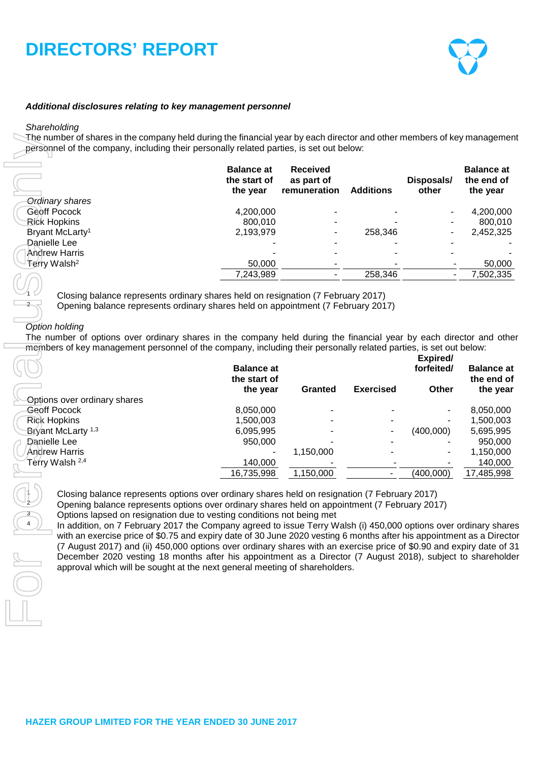

### *Additional disclosures relating to key management personnel*

#### *Shareholding*

The number of shares in the company held during the financial year by each director and other members of key management personnel of the company, including their personally related parties, is set out below:

|                             | <b>Balance at</b><br>the start of<br>the year | <b>Received</b><br>as part of<br>remuneration | <b>Additions</b> | Disposals/<br>other      | <b>Balance at</b><br>the end of<br>the year |
|-----------------------------|-----------------------------------------------|-----------------------------------------------|------------------|--------------------------|---------------------------------------------|
| <b>Ordinary shares</b>      |                                               |                                               |                  |                          |                                             |
| Geoff Pocock                | 4,200,000                                     |                                               |                  | -                        | 4,200,000                                   |
| Rick Hopkins                | 800.010                                       |                                               |                  | ٠.                       | 800,010                                     |
| Bryant McLarty <sup>1</sup> | 2,193,979                                     |                                               | 258.346          | ۰                        | 2,452,325                                   |
| Danielle Lee                |                                               |                                               |                  | $\overline{\phantom{a}}$ |                                             |
| <b>Andrew Harris</b>        |                                               |                                               |                  |                          |                                             |
| Terry Walsh <sup>2</sup>    | 50,000                                        |                                               |                  |                          | 50,000                                      |
|                             | 7,243,989                                     |                                               | 258,346          |                          | 7,502,335                                   |
|                             |                                               |                                               |                  |                          |                                             |

### *Option holding*

| Closing balance represents ordinary shares held on resignation (7 February 2017)<br>Opening balance represents ordinary shares held on appointment (7 February 2017)<br><b>Granted</b> | 258,346<br>258,346                                                                                                                                                            | The number of options over ordinary shares in the company held during the financial year by each director and othe<br>members of key management personnel of the company, including their personally related parties, is set out below:<br>Expired/<br>forfeited/ |                                                                                                                                                                                                                                                                                                                                                                                                                                                                                                                                                                                                                                                                                                          |
|----------------------------------------------------------------------------------------------------------------------------------------------------------------------------------------|-------------------------------------------------------------------------------------------------------------------------------------------------------------------------------|-------------------------------------------------------------------------------------------------------------------------------------------------------------------------------------------------------------------------------------------------------------------|----------------------------------------------------------------------------------------------------------------------------------------------------------------------------------------------------------------------------------------------------------------------------------------------------------------------------------------------------------------------------------------------------------------------------------------------------------------------------------------------------------------------------------------------------------------------------------------------------------------------------------------------------------------------------------------------------------|
|                                                                                                                                                                                        |                                                                                                                                                                               |                                                                                                                                                                                                                                                                   | 4,200,000<br>800,010<br>2,452,325<br>7,502,335                                                                                                                                                                                                                                                                                                                                                                                                                                                                                                                                                                                                                                                           |
|                                                                                                                                                                                        |                                                                                                                                                                               |                                                                                                                                                                                                                                                                   |                                                                                                                                                                                                                                                                                                                                                                                                                                                                                                                                                                                                                                                                                                          |
|                                                                                                                                                                                        |                                                                                                                                                                               |                                                                                                                                                                                                                                                                   | 50,000<br><b>Balance at</b><br>the end of                                                                                                                                                                                                                                                                                                                                                                                                                                                                                                                                                                                                                                                                |
|                                                                                                                                                                                        |                                                                                                                                                                               |                                                                                                                                                                                                                                                                   |                                                                                                                                                                                                                                                                                                                                                                                                                                                                                                                                                                                                                                                                                                          |
|                                                                                                                                                                                        |                                                                                                                                                                               |                                                                                                                                                                                                                                                                   |                                                                                                                                                                                                                                                                                                                                                                                                                                                                                                                                                                                                                                                                                                          |
|                                                                                                                                                                                        |                                                                                                                                                                               |                                                                                                                                                                                                                                                                   |                                                                                                                                                                                                                                                                                                                                                                                                                                                                                                                                                                                                                                                                                                          |
|                                                                                                                                                                                        |                                                                                                                                                                               |                                                                                                                                                                                                                                                                   |                                                                                                                                                                                                                                                                                                                                                                                                                                                                                                                                                                                                                                                                                                          |
|                                                                                                                                                                                        |                                                                                                                                                                               |                                                                                                                                                                                                                                                                   |                                                                                                                                                                                                                                                                                                                                                                                                                                                                                                                                                                                                                                                                                                          |
|                                                                                                                                                                                        |                                                                                                                                                                               |                                                                                                                                                                                                                                                                   |                                                                                                                                                                                                                                                                                                                                                                                                                                                                                                                                                                                                                                                                                                          |
|                                                                                                                                                                                        | <b>Exercised</b>                                                                                                                                                              | Other                                                                                                                                                                                                                                                             | the year                                                                                                                                                                                                                                                                                                                                                                                                                                                                                                                                                                                                                                                                                                 |
|                                                                                                                                                                                        |                                                                                                                                                                               |                                                                                                                                                                                                                                                                   |                                                                                                                                                                                                                                                                                                                                                                                                                                                                                                                                                                                                                                                                                                          |
|                                                                                                                                                                                        |                                                                                                                                                                               |                                                                                                                                                                                                                                                                   | 8,050,000<br>1,500,003                                                                                                                                                                                                                                                                                                                                                                                                                                                                                                                                                                                                                                                                                   |
|                                                                                                                                                                                        |                                                                                                                                                                               |                                                                                                                                                                                                                                                                   | 5,695,995                                                                                                                                                                                                                                                                                                                                                                                                                                                                                                                                                                                                                                                                                                |
|                                                                                                                                                                                        |                                                                                                                                                                               |                                                                                                                                                                                                                                                                   | 950,000                                                                                                                                                                                                                                                                                                                                                                                                                                                                                                                                                                                                                                                                                                  |
|                                                                                                                                                                                        |                                                                                                                                                                               |                                                                                                                                                                                                                                                                   | 1,150,000                                                                                                                                                                                                                                                                                                                                                                                                                                                                                                                                                                                                                                                                                                |
|                                                                                                                                                                                        |                                                                                                                                                                               |                                                                                                                                                                                                                                                                   | 140,000                                                                                                                                                                                                                                                                                                                                                                                                                                                                                                                                                                                                                                                                                                  |
|                                                                                                                                                                                        |                                                                                                                                                                               |                                                                                                                                                                                                                                                                   | 17,485,998                                                                                                                                                                                                                                                                                                                                                                                                                                                                                                                                                                                                                                                                                               |
|                                                                                                                                                                                        | 1,150,000<br>1,150,000<br>Options lapsed on resignation due to vesting conditions not being met<br>approval which will be sought at the next general meeting of shareholders. |                                                                                                                                                                                                                                                                   | (400,000)<br>(400,000)<br>Closing balance represents options over ordinary shares held on resignation (7 February 2017)<br>Opening balance represents options over ordinary shares held on appointment (7 February 2017)<br>In addition, on 7 February 2017 the Company agreed to issue Terry Walsh (i) 450,000 options over ordinary share<br>with an exercise price of \$0.75 and expiry date of 30 June 2020 vesting 6 months after his appointment as a Directo<br>(7 August 2017) and (ii) 450,000 options over ordinary shares with an exercise price of \$0.90 and expiry date of 3<br>December 2020 vesting 18 months after his appointment as a Director (7 August 2018), subject to shareholde |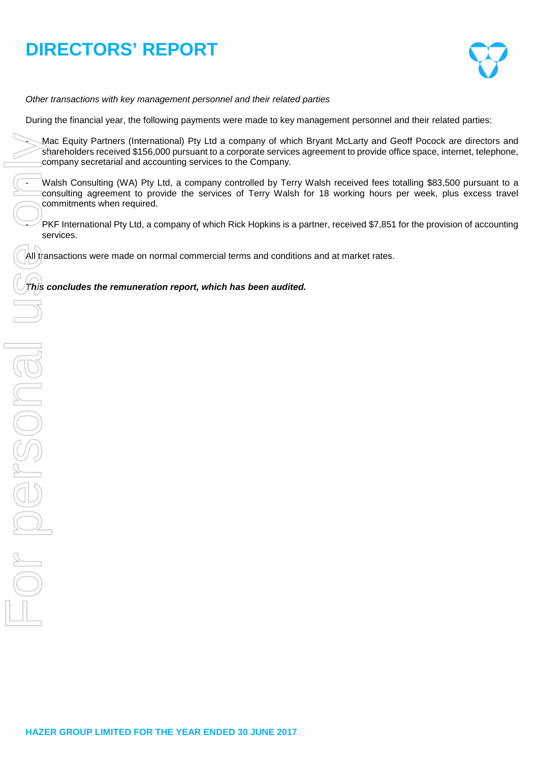

*Other transactions with key management personnel and their related parties*

During the financial year, the following payments were made to key management personnel and their related parties:

Mac Equity Partners (International) Pty Ltd a company of which Bryant McLarty and Geoff Pocock are directors and shareholders received \$156,000 pursuant to a corporate services agreement to provide office space, internet, telephone, company secretarial and accounting services to the Company.

Walsh Consulting (WA) Pty Ltd, a company controlled by Terry Walsh received fees totalling \$83,500 pursuant to a consulting agreement to provide the services of Terry Walsh for 18 working hours per week, plus excess travel commitments when required.

PKF International Pty Ltd, a company of which Rick Hopkins is a partner, received \$7,851 for the provision of accounting services.

All transactions were made on normal commercial terms and conditions and at market rates.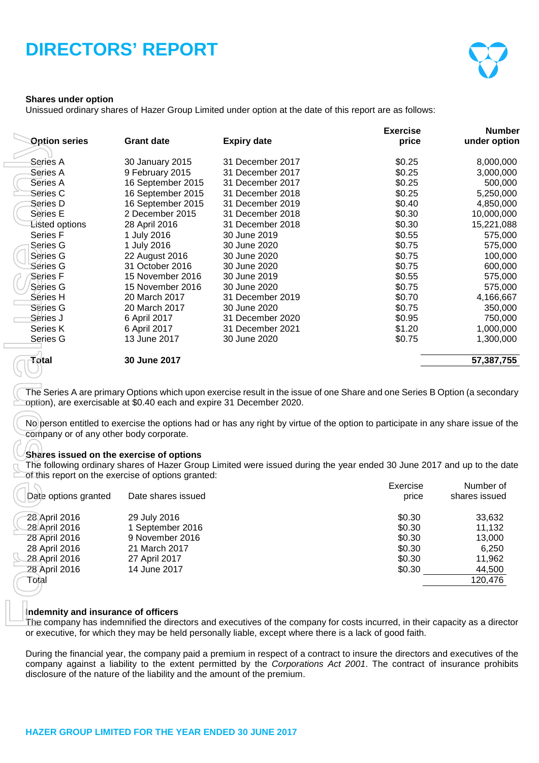

### **Shares under option**

Unissued ordinary shares of Hazer Group Limited under option at the date of this report are as follows:

|                                                                                     |                                                                          |                                                                                                                                                                                                                                                       | <b>Exercise</b> | <b>Number</b> |
|-------------------------------------------------------------------------------------|--------------------------------------------------------------------------|-------------------------------------------------------------------------------------------------------------------------------------------------------------------------------------------------------------------------------------------------------|-----------------|---------------|
| <b>Option series</b>                                                                | <b>Grant date</b>                                                        | <b>Expiry date</b>                                                                                                                                                                                                                                    | price           | under option  |
|                                                                                     |                                                                          |                                                                                                                                                                                                                                                       |                 |               |
| Series A                                                                            | 30 January 2015                                                          | 31 December 2017                                                                                                                                                                                                                                      | \$0.25          | 8,000,000     |
| Series A                                                                            | 9 February 2015                                                          | 31 December 2017                                                                                                                                                                                                                                      | \$0.25          | 3,000,000     |
| Series A                                                                            | 16 September 2015                                                        | 31 December 2017                                                                                                                                                                                                                                      | \$0.25          | 500,000       |
| Series C                                                                            | 16 September 2015                                                        | 31 December 2018                                                                                                                                                                                                                                      | \$0.25          | 5,250,000     |
| Series D                                                                            | 16 September 2015                                                        | 31 December 2019                                                                                                                                                                                                                                      | \$0.40          | 4,850,000     |
| Series E                                                                            | 2 December 2015                                                          | 31 December 2018                                                                                                                                                                                                                                      | \$0.30          | 10,000,000    |
| Listed options                                                                      | 28 April 2016                                                            | 31 December 2018                                                                                                                                                                                                                                      | \$0.30          | 15,221,088    |
| Series F                                                                            | 1 July 2016                                                              | 30 June 2019                                                                                                                                                                                                                                          | \$0.55          | 575,000       |
| Series G                                                                            | 1 July 2016                                                              | 30 June 2020                                                                                                                                                                                                                                          | \$0.75          | 575,000       |
| Series G                                                                            | 22 August 2016                                                           | 30 June 2020                                                                                                                                                                                                                                          | \$0.75          | 100,000       |
| Séries G                                                                            | 31 October 2016                                                          | 30 June 2020                                                                                                                                                                                                                                          | \$0.75          | 600,000       |
| Series F                                                                            | 15 November 2016                                                         | 30 June 2019                                                                                                                                                                                                                                          | \$0.55          | 575,000       |
| Series G                                                                            | 15 November 2016                                                         | 30 June 2020                                                                                                                                                                                                                                          | \$0.75          | 575,000       |
| Series H                                                                            | 20 March 2017                                                            | 31 December 2019                                                                                                                                                                                                                                      | \$0.70          | 4,166,667     |
| Series G                                                                            | 20 March 2017                                                            | 30 June 2020                                                                                                                                                                                                                                          | \$0.75          | 350,000       |
| Series J                                                                            | 6 April 2017                                                             | 31 December 2020                                                                                                                                                                                                                                      | \$0.95          | 750,000       |
| Series K                                                                            | 6 April 2017                                                             | 31 December 2021                                                                                                                                                                                                                                      | \$1.20          | 1,000,000     |
| Series G                                                                            | 13 June 2017                                                             | 30 June 2020                                                                                                                                                                                                                                          | \$0.75          | 1,300,000     |
| Total                                                                               | 30 June 2017                                                             |                                                                                                                                                                                                                                                       |                 | 57,387,755    |
| company or of any other body corporate.<br>Shares issued on the exercise of options |                                                                          | The following ordinary shares of Hazer Group Limited were issued during the year ended 30 June 2017 and up to the date                                                                                                                                |                 |               |
|                                                                                     | of this report on the exercise of options granted:                       |                                                                                                                                                                                                                                                       |                 |               |
|                                                                                     |                                                                          |                                                                                                                                                                                                                                                       | Exercise        | Number of     |
| Date options granted                                                                | Date shares issued                                                       |                                                                                                                                                                                                                                                       | price           | shares issued |
| 28 April 2016                                                                       | 29 July 2016                                                             |                                                                                                                                                                                                                                                       | \$0.30          | 33,632        |
| 28 April 2016                                                                       | 1 September 2016                                                         |                                                                                                                                                                                                                                                       | \$0.30          | 11,132        |
| 28 April 2016                                                                       | 9 November 2016                                                          |                                                                                                                                                                                                                                                       | \$0.30          | 13,000        |
| 28 April 2016                                                                       | 21 March 2017                                                            |                                                                                                                                                                                                                                                       | \$0.30          | 6,250         |
| 28 April 2016                                                                       | 27 April 2017                                                            |                                                                                                                                                                                                                                                       | \$0.30          | 11,962        |
| 28 April 2016                                                                       | 14 June 2017                                                             |                                                                                                                                                                                                                                                       | \$0.30          | 44,500        |
| Total                                                                               |                                                                          |                                                                                                                                                                                                                                                       |                 | 120,476       |
| Indemnity and insurance of officers                                                 |                                                                          | The company has indemnified the directors and executives of the company for costs incurred, in their capacity as a director                                                                                                                           |                 |               |
|                                                                                     |                                                                          | or executive, for which they may be held personally liable, except where there is a lack of good faith.                                                                                                                                               |                 |               |
|                                                                                     | disclosure of the nature of the liability and the amount of the premium. | During the financial year, the company paid a premium in respect of a contract to insure the directors and executives of the<br>company against a liability to the extent permitted by the Corporations Act 2001. The contract of insurance prohibits |                 |               |

#### **Shares issued on the exercise of options**

| Date options granted | Date shares issued | Exercise<br>price | Number of<br>shares issued |
|----------------------|--------------------|-------------------|----------------------------|
| 28 April 2016        | 29 July 2016       | \$0.30            | 33,632                     |
| 28 April 2016        | 1 September 2016   | \$0.30            | 11.132                     |
| 28 April 2016        | 9 November 2016    | \$0.30            | 13,000                     |
| 28 April 2016        | 21 March 2017      | \$0.30            | 6,250                      |
| 28 April 2016        | 27 April 2017      | \$0.30            | 11,962                     |
| 28 April 2016        | 14 June 2017       | \$0.30            | 44,500                     |
| Total                |                    |                   | 120,476                    |
|                      |                    |                   |                            |

#### **Indemnity and insurance of officers**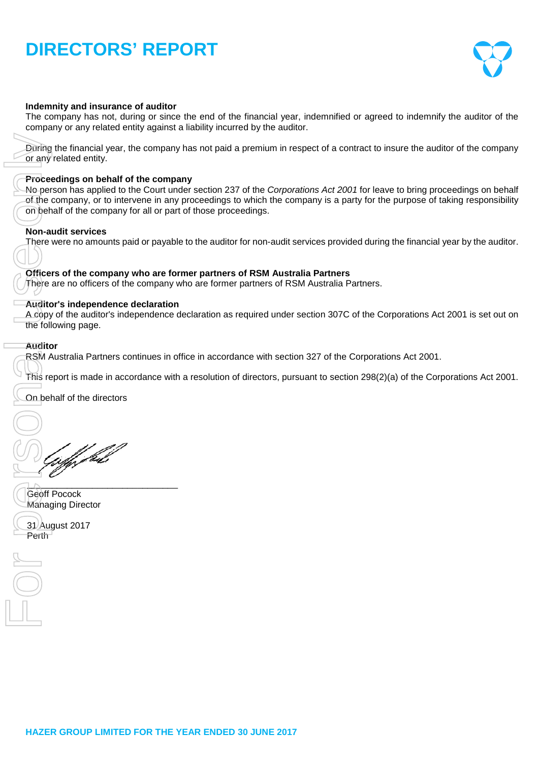

### **Indemnity and insurance of auditor**

The company has not, during or since the end of the financial year, indemnified or agreed to indemnify the auditor of the company or any related entity against a liability incurred by the auditor.

During the financial year, the company has not paid a premium in respect of a contract to insure the auditor of the company or any related entity.

#### **Proceedings on behalf of the company**

No person has applied to the Court under section 237 of the *Corporations Act 2001* for leave to bring proceedings on behalf of the company, or to intervene in any proceedings to which the company is a party for the purpose of taking responsibility on behalf of the company for all or part of those proceedings.

#### **Non-audit services**

There were no amounts paid or payable to the auditor for non-audit services provided during the financial year by the auditor.

#### **Officers of the company who are former partners of RSM Australia Partners**

There are no officers of the company who are former partners of RSM Australia Partners.

#### **Auditor's independence declaration**

A copy of the auditor's independence declaration as required under section 307C of the Corporations Act 2001 is set out on the following page.

### **Auditor**

RSM Australia Partners continues in office in accordance with section 327 of the Corporations Act 2001.

This report is made in accordance with a resolution of directors, pursuant to section 298(2)(a) of the Corporations Act 2001.

On behalf of the directors

uffyddil

 $1\bigwedge$  , and the set of the set of the set of the set of the set of the set of the set of the set of the set of the set of the set of the set of the set of the set of the set of the set of the set of the set of the set o Geoff Pocock Managing Director

31<sup>)</sup> August 2017<br>Perth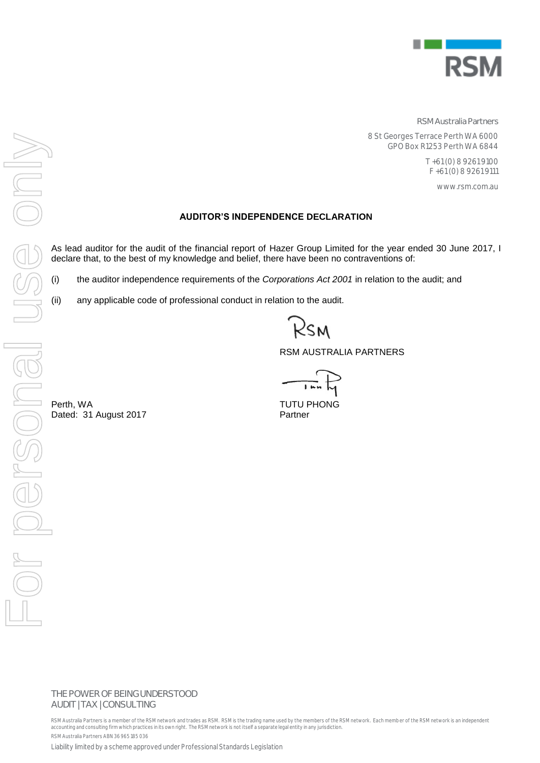

**RSM Australia Partners**

8 St Georges Terrace Perth WA 6000 GPO Box R1253 Perth WA 6844

> T +61 (0) 8 9261 9100 F +61 (0) 8 9261 9111

> > www.rsm.com.au

# **AUDITOR'S INDEPENDENCE DECLARATION**

As lead auditor for the audit of the financial report of Hazer Group Limited for the year ended 30 June 2017, I declare that, to the best of my knowledge and belief, there have been no contraventions of:

(i) the auditor independence requirements of the *Corporations Act 2001* in relation to the audit; and

(ii) any applicable code of professional conduct in relation to the audit.

RSM AUSTRALIA PARTNERS

**THE POWER OF BEING UNDERSTOOD** AUDIT | TAX | CONSULTING

RSM Australia Partners is a member of the RSM network and trades as RSM. RSM is the trading name used by the members of the RSM network. Each memb er of the RSM network is an independent accounting and consulting firm which practices in its own right. The RSM network is not itself a separate legal entity in any jurisdiction. RSM Australia Partners ABN 36 965 185 036

Liability limited by a scheme approved under Professional Standards Legislation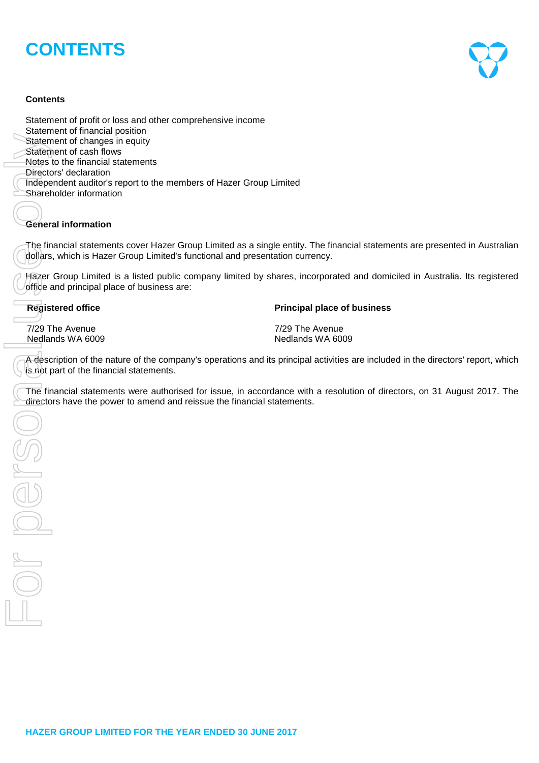# **CONTENTS**

# **Contents**

Statement of profit or loss and other comprehensive income Statement of financial position Statement of changes in equity Statement of cash flows Notes to the financial statements Directors' declaration Independent auditor's report to the members of Hazer Group Limited Shareholder information Siziement of changes in equity<br>
Siziement of ceash to the financial statements<br>
Directors declaration<br>
Once<br>
Once to the members of Hazer Group Limited<br>
Shareholder information<br>
Concernal information<br>
Concernal information

# **General information**

The financial statements cover Hazer Group Limited as a single entity. The financial statements are presented in Australian dollars, which is Hazer Group Limited's functional and presentation currency.

Hazer Group Limited is a listed public company limited by shares, incorporated and domiciled in Australia. Its registered office and principal place of business are:

7/29 The Avenue 7/29 The Avenue Nedlands WA 6009 Nedlands WA 6009

#### **Registered office Principal place of business**

A description of the nature of the company's operations and its principal activities are included in the directors' report, which is not part of the financial statements.

The financial statements were authorised for issue, in accordance with a resolution of directors, on 31 August 2017. The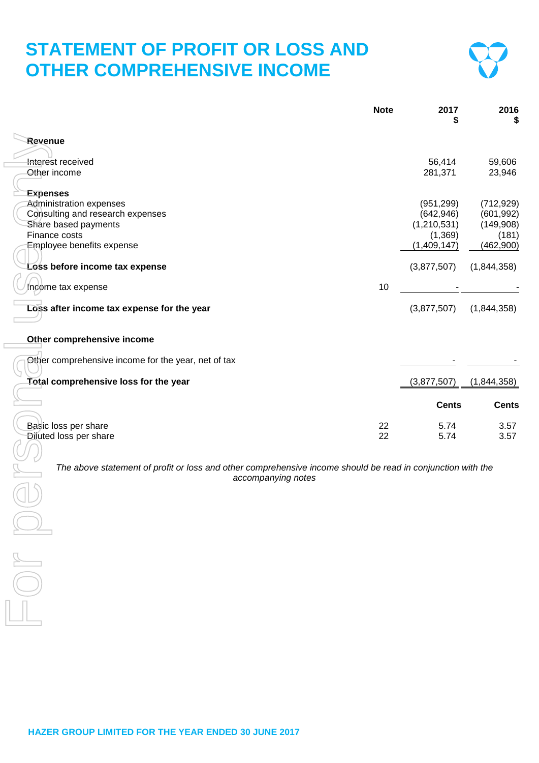# **STATEMENT OF PROFIT OR LOSS AND OTHER COMPREHENSIVE INCOME**



|                                                     | <b>Note</b> | 2017<br>S    | 2016<br>S    |
|-----------------------------------------------------|-------------|--------------|--------------|
| Revenue                                             |             |              |              |
|                                                     |             |              |              |
| Interest received                                   |             | 56,414       | 59,606       |
| Other income                                        |             | 281,371      | 23,946       |
|                                                     |             |              |              |
| <b>Expenses</b>                                     |             |              |              |
| <b>Administration expenses</b>                      |             | (951, 299)   | (712, 929)   |
| Consulting and research expenses                    |             | (642, 946)   | (601, 992)   |
| Share based payments                                |             | (1,210,531)  | (149,908)    |
| Finance costs                                       |             | (1,369)      | (181)        |
| Employee benefits expense                           |             | (1,409,147)  | (462,900)    |
| Loss before income tax expense                      |             | (3,877,507)  | (1,844,358)  |
|                                                     |             |              |              |
| Income tax expense                                  | 10          |              |              |
| Loss after income tax expense for the year          |             | (3,877,507)  | (1,844,358)  |
| Other comprehensive income                          |             |              |              |
| Other comprehensive income for the year, net of tax |             |              |              |
| Total comprehensive loss for the year               |             | (3,877,507)  | (1,844,358)  |
|                                                     |             | <b>Cents</b> | <b>Cents</b> |
| Basic loss per share                                | 22          | 5.74         | 3.57         |
| <b>Diluted loss per share</b>                       | 22          | 5.74         | 3.57         |
|                                                     |             |              |              |

**The above statement of profit or loss and other comprehensive income should be read in conjunction with the accompanying notes** *accompanying notes*

 $\overline{\phantom{a}}$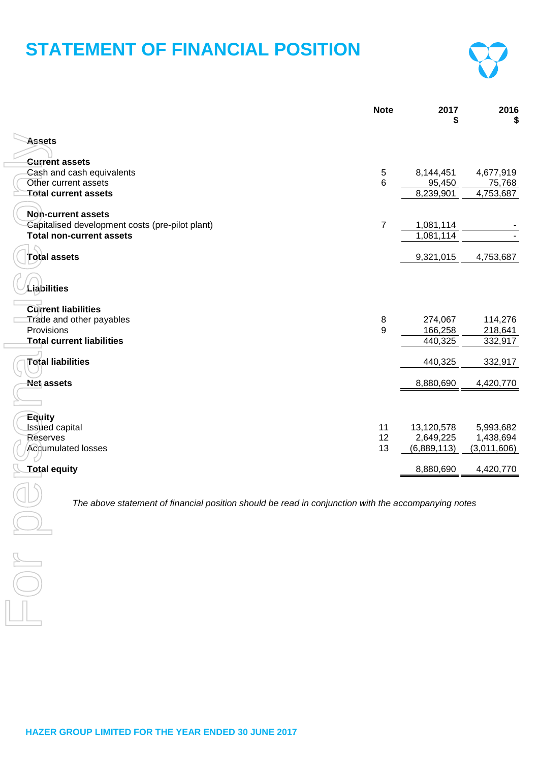# **STATEMENT OF FINANCIAL POSITION**



|                                                                                                     | <b>Note</b>      | 2017<br>\$          | 2016<br>S           |
|-----------------------------------------------------------------------------------------------------|------------------|---------------------|---------------------|
| <b>Assets</b>                                                                                       |                  |                     |                     |
|                                                                                                     |                  |                     |                     |
| <b>Current assets</b>                                                                               |                  |                     |                     |
| Cash and cash equivalents<br>Other current assets                                                   | $\,$ 5 $\,$<br>6 | 8,144,451<br>95,450 | 4,677,919<br>75,768 |
| <b>Total current assets</b>                                                                         |                  | 8,239,901           | 4,753,687           |
|                                                                                                     |                  |                     |                     |
| Non-current assets                                                                                  |                  |                     |                     |
| Capitalised development costs (pre-pilot plant)                                                     | $\overline{7}$   | 1,081,114           |                     |
| <b>Total non-current assets</b>                                                                     |                  | 1,081,114           |                     |
|                                                                                                     |                  |                     |                     |
| <b>Total assets</b>                                                                                 |                  | 9,321,015           | 4,753,687           |
|                                                                                                     |                  |                     |                     |
|                                                                                                     |                  |                     |                     |
| Liabilities                                                                                         |                  |                     |                     |
| <b>Current liabilities</b>                                                                          |                  |                     |                     |
| Trade and other payables                                                                            | 8                | 274,067             | 114,276             |
| Provisions                                                                                          | 9                | 166,258             | 218,641             |
| <b>Total current liabilities</b>                                                                    |                  | 440,325             | 332,917             |
|                                                                                                     |                  |                     |                     |
| <b>Total liabilities</b>                                                                            |                  | 440,325             | 332,917             |
| <b>Net assets</b>                                                                                   |                  | 8,880,690           | 4,420,770           |
|                                                                                                     |                  |                     |                     |
| <b>Equity</b>                                                                                       |                  |                     |                     |
| Issued capital                                                                                      | 11               | 13,120,578          | 5,993,682           |
| <b>Reserves</b>                                                                                     | 12               | 2,649,225           | 1,438,694           |
| <b>Accumulated losses</b>                                                                           | 13               | (6,889,113)         | (3,011,606)         |
| <b>Total equity</b>                                                                                 |                  | 8,880,690           | 4,420,770           |
|                                                                                                     |                  |                     |                     |
|                                                                                                     |                  |                     |                     |
| The above statement of financial position should be read in conjunction with the accompanying notes |                  |                     |                     |
|                                                                                                     |                  |                     |                     |
|                                                                                                     |                  |                     |                     |
|                                                                                                     |                  |                     |                     |
|                                                                                                     |                  |                     |                     |
|                                                                                                     |                  |                     |                     |
|                                                                                                     |                  |                     |                     |
|                                                                                                     |                  |                     |                     |
|                                                                                                     |                  |                     |                     |

 $\overline{\phantom{a}}$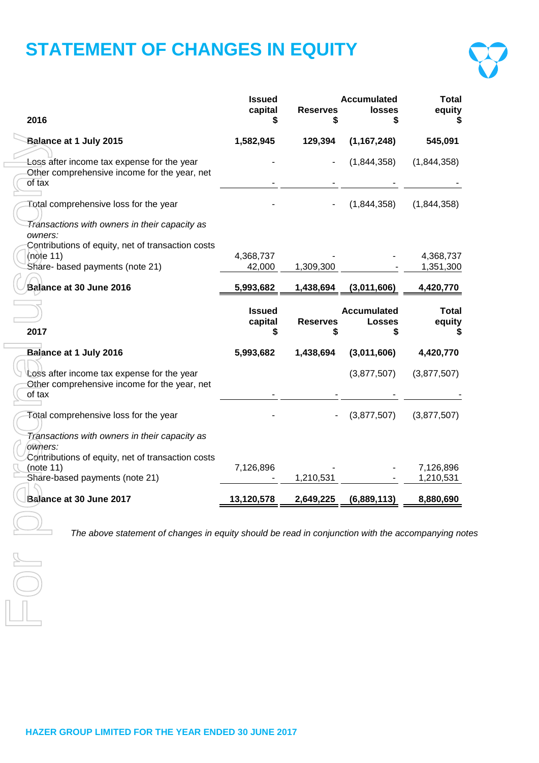# **STATEMENT OF CHANGES IN EQUITY**



| 2016                                                                                                                                                          | <b>Issued</b><br>capital | <b>Reserves</b>      | <b>Accumulated</b><br><b>losses</b> | <b>Total</b><br>equity |
|---------------------------------------------------------------------------------------------------------------------------------------------------------------|--------------------------|----------------------|-------------------------------------|------------------------|
| Balance at 1 July 2015                                                                                                                                        | 1,582,945                | 129,394              | (1, 167, 248)                       | 545,091                |
| Loss after income tax expense for the year<br>Other comprehensive income for the year, net<br>of tax                                                          |                          |                      | (1,844,358)                         | (1,844,358)            |
| Total comprehensive loss for the year                                                                                                                         |                          |                      | (1,844,358)                         | (1,844,358)            |
| Transactions with owners in their capacity as<br>owners:<br>Contributions of equity, net of transaction costs<br>(note 11)<br>Share- based payments (note 21) | 4,368,737<br>42,000      | 1,309,300            |                                     | 4,368,737<br>1,351,300 |
| Balance at 30 June 2016                                                                                                                                       | 5,993,682                | 1,438,694            | (3,011,606)                         | 4,420,770              |
| 2017                                                                                                                                                          | <b>Issued</b><br>capital | <b>Reserves</b><br>S | <b>Accumulated</b><br><b>Losses</b> | <b>Total</b><br>equity |
| Balance at 1 July 2016                                                                                                                                        | 5,993,682                | 1,438,694            | (3,011,606)                         | 4,420,770              |
| Loss after income tax expense for the year<br>Other comprehensive income for the year, net<br>of tax                                                          |                          |                      | (3,877,507)                         | (3,877,507)            |
| Fotal comprehensive loss for the year                                                                                                                         |                          |                      | (3,877,507)                         | (3,877,507)            |
| Transactions with owners in their capacity as<br>owners:<br>Contributions of equity, net of transaction costs                                                 |                          |                      |                                     |                        |
| (note 11)<br>Share-based payments (note 21)                                                                                                                   | 7,126,896                | 1,210,531            |                                     | 7,126,896<br>1,210,531 |
| Balance at 30 June 2017                                                                                                                                       | 13,120,578               | 2,649,225            | (6,889,113)                         | 8,880,690              |
| The above statement of changes in equity should be read in conjunction with the accompanying no                                                               |                          |                      |                                     |                        |
|                                                                                                                                                               |                          |                      |                                     |                        |
|                                                                                                                                                               |                          |                      |                                     |                        |

 $\Box$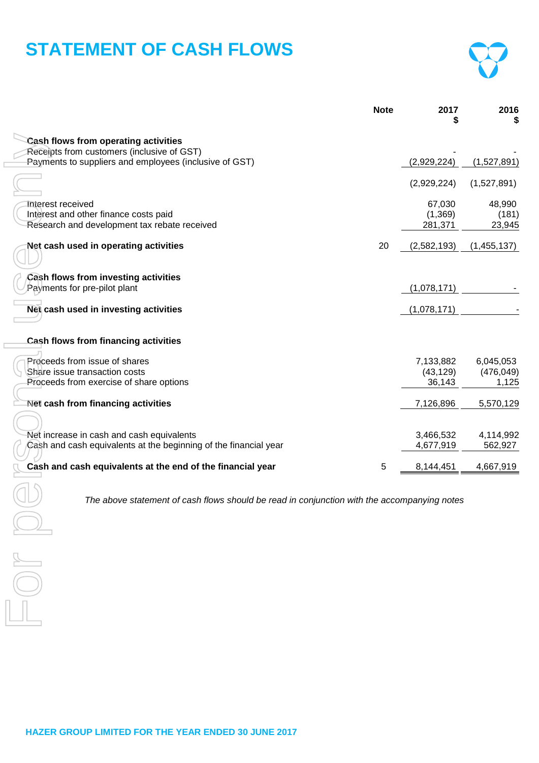# **STATEMENT OF CASH FLOWS**



|                                                                                                               | <b>Note</b> | 2017                             | 2016                             |
|---------------------------------------------------------------------------------------------------------------|-------------|----------------------------------|----------------------------------|
| <b>Cash flows from operating activities</b>                                                                   |             |                                  |                                  |
| Receipts from customers (inclusive of GST)<br>Payments to suppliers and employees (inclusive of GST)          |             | (2,929,224)                      | (1,527,891)                      |
|                                                                                                               |             | (2,929,224)                      | (1,527,891)                      |
| Interest received<br>Interest and other finance costs paid<br>Research and development tax rebate received    |             | 67,030<br>(1,369)<br>281,371     | 48,990<br>(181)<br>23,945        |
| Net cash used in operating activities                                                                         | 20          | (2,582,193)                      | (1,455,137)                      |
| Cash flows from investing activities<br>Payments for pre-pilot plant                                          |             | (1,078,171)                      |                                  |
| Net cash used in investing activities                                                                         |             | (1,078,171)                      |                                  |
| Cash flows from financing activities                                                                          |             |                                  |                                  |
| Proceeds from issue of shares<br>Share issue transaction costs<br>Proceeds from exercise of share options     |             | 7,133,882<br>(43, 129)<br>36,143 | 6,045,053<br>(476, 049)<br>1,125 |
| Net cash from financing activities                                                                            |             | 7,126,896                        | 5,570,129                        |
| Net increase in cash and cash equivalents<br>Cash and cash equivalents at the beginning of the financial year |             | 3,466,532<br>4,677,919           | 4,114,992<br>562,927             |
| Cash and cash equivalents at the end of the financial year                                                    | 5           | 8,144,451                        | 4,667,919                        |
| The above statement of cash flows should be read in conjunction with the accompanying notes                   |             |                                  |                                  |
|                                                                                                               |             |                                  |                                  |
|                                                                                                               |             |                                  |                                  |
|                                                                                                               |             |                                  |                                  |

 $\equiv$ 

 $\Box$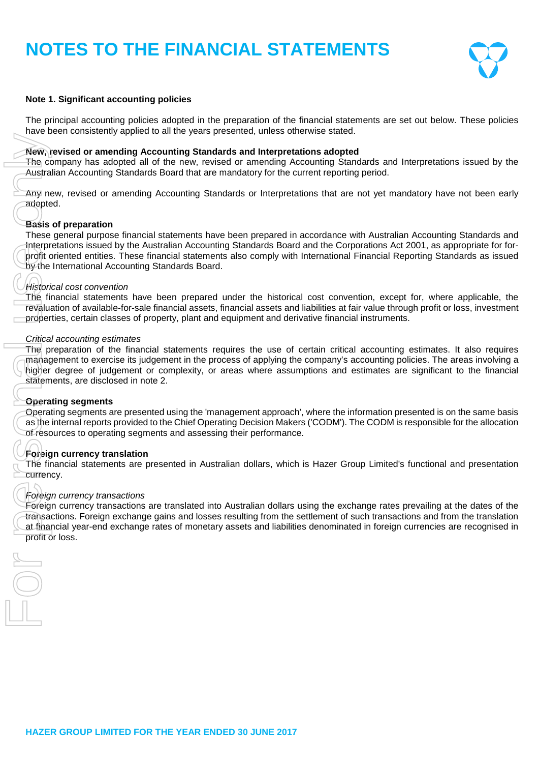

### **Note 1. Significant accounting policies**

The principal accounting policies adopted in the preparation of the financial statements are set out below. These policies have been consistently applied to all the years presented, unless otherwise stated.

#### **New, revised or amending Accounting Standards and Interpretations adopted**

The company has adopted all of the new, revised or amending Accounting Standards and Interpretations issued by the Australian Accounting Standards Board that are mandatory for the current reporting period.

Any new, revised or amending Accounting Standards or Interpretations that are not yet mandatory have not been early adopted.

#### **Basis of preparation**

These general purpose financial statements have been prepared in accordance with Australian Accounting Standards and Interpretations issued by the Australian Accounting Standards Board and the Corporations Act 2001, as appropriate for forprofit oriented entities. These financial statements also comply with International Financial Reporting Standards as issued by the International Accounting Standards Board.

#### *Historical cost convention*

The financial statements have been prepared under the historical cost convention, except for, where applicable, the revaluation of available-for-sale financial assets, financial assets and liabilities at fair value through profit or loss, investment properties, certain classes of property, plant and equipment and derivative financial instruments.

#### *Critical accounting estimates*

The preparation of the financial statements requires the use of certain critical accounting estimates. It also requires management to exercise its judgement in the process of applying the company's accounting policies. The areas involving a higher degree of judgement or complexity, or areas where assumptions and estimates are significant to the financial statements, are disclosed in note 2.

#### **Operating segments**

Operating segments are presented using the 'management approach', where the information presented is on the same basis as the internal reports provided to the Chief Operating Decision Makers ('CODM'). The CODM is responsible for the allocation of resources to operating segments and assessing their performance.

#### **Foreign currency translation**

The financial statements are presented in Australian dollars, which is Hazer Group Limited's functional and presentation currency.

#### *Foreign currency transactions*

Foreign currency transactions are translated into Australian dollars using the exchange rates prevailing at the dates of the transactions. Foreign exchange gains and losses resulting from the settlement of such transactions and from the translation at financial year-end exchange rates of monetary assets and liabilities denominated in foreign currencies are recognised in<br>profit or loss.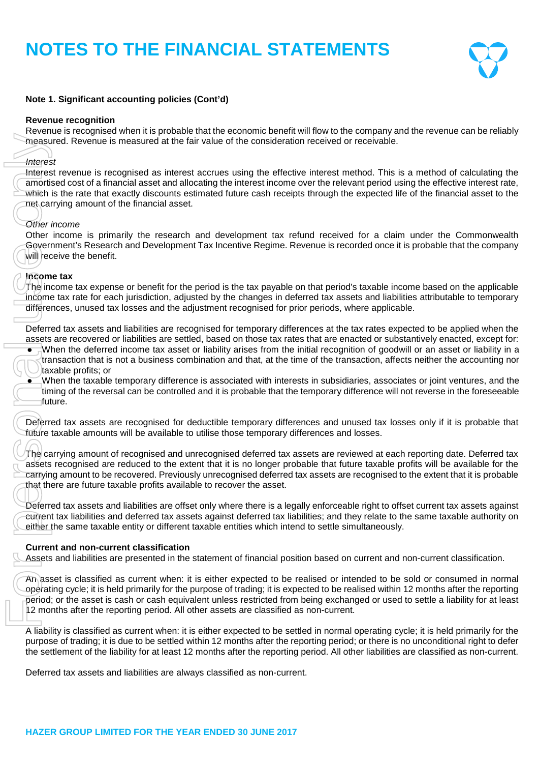

# **Note 1. Significant accounting policies (Cont'd)**

### **Revenue recognition**

Revenue is recognised when it is probable that the economic benefit will flow to the company and the revenue can be reliably measured. Revenue is measured at the fair value of the consideration received or receivable.

# *Interest*

Interest revenue is recognised as interest accrues using the effective interest method. This is a method of calculating the amortised cost of a financial asset and allocating the interest income over the relevant period using the effective interest rate, which is the rate that exactly discounts estimated future cash receipts through the expected life of the financial asset to the net carrying amount of the financial asset.

# *Other income*

Other income is primarily the research and development tax refund received for a claim under the Commonwealth Government's Research and Development Tax Incentive Regime. Revenue is recorded once it is probable that the company will receive the benefit.

### **Income tax**

The income tax expense or benefit for the period is the tax payable on that period's taxable income based on the applicable income tax rate for each jurisdiction, adjusted by the changes in deferred tax assets and liabilities attributable to temporary differences, unused tax losses and the adjustment recognised for prior periods, where applicable.

Deferred tax assets and liabilities are recognised for temporary differences at the tax rates expected to be applied when the assets are recovered or liabilities are settled, based on those tax rates that are enacted or substantively enacted, except for: • When the deferred income tax asset or liability arises from the initial recognition of goodwill or an asset or liability in a

transaction that is not a business combination and that, at the time of the transaction, affects neither the accounting nor taxable profits; or

● When the taxable temporary difference is associated with interests in subsidiaries, associates or joint ventures, and the timing of the reversal can be controlled and it is probable that the temporary difference will not reverse in the foreseeable future.

Deferred tax assets are recognised for deductible temporary differences and unused tax losses only if it is probable that future taxable amounts will be available to utilise those temporary differences and losses.

The carrying amount of recognised and unrecognised deferred tax assets are reviewed at each reporting date. Deferred tax assets recognised are reduced to the extent that it is no longer probable that future taxable profits will be available for the carrying amount to be recovered. Previously unrecognised deferred tax assets are recognised to the extent that it is probable that there are future taxable profits available to recover the asset. measured. Revenue is measured at the fair value of the consideration<br>
Interest<br>
Interest revenue is recognised as interest accrues using the effective<br>
anothered cost of a financial assets and allocating the interest incom

Deferred tax assets and liabilities are offset only where there is a legally enforceable right to offset current tax assets against current tax liabilities and deferred tax assets against deferred tax liabilities; and they relate to the same taxable authority on either the same taxable entity or different taxable entities which intend to settle simultaneously.

# **Current and non-current classification**

Assets and liabilities are presented in the statement of financial position based on current and non-current classification.

An asset is classified as current when: it is either expected to be realised or intended to be sold or consumed in normal operating cycle; it is held primarily for the purpose of trading; it is expected to be realised within 12 months after the reporting period; or the asset is cash or cash equivalent unless restricted from being exchanged or used to settle a liability for at least 12 months after the reporting period. All other assets are classified as non-current.

A liability is classified as current when: it is either expected to be settled in normal operating cycle; it is held primarily for the purpose of trading; it is due to be settled within 12 months after the reporting period; or there is no unconditional right to defer the settlement of the liability for at least 12 months after the reporting period. All other liabilities are classified as non-current.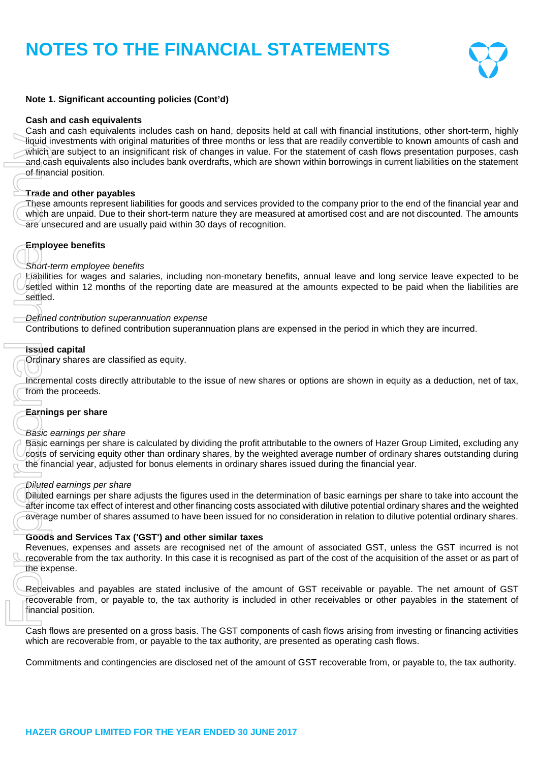

# **Note 1. Significant accounting policies (Cont'd)**

### **Cash and cash equivalents**

Cash and cash equivalents includes cash on hand, deposits held at call with financial institutions, other short-term, highly liquid investments with original maturities of three months or less that are readily convertible to known amounts of cash and which are subject to an insignificant risk of changes in value. For the statement of cash flows presentation purposes, cash and cash equivalents also includes bank overdrafts, which are shown within borrowings in current liabilities on the statement of financial position. Could interest and contingencies are disclosed net of the amount of the continents are continents and continents are disclosed net of the amount of CSI recoverable from the amount of CSI recoverable from the amount of the

### **Trade and other payables**

These amounts represent liabilities for goods and services provided to the company prior to the end of the financial year and which are unpaid. Due to their short-term nature they are measured at amortised cost and are not discounted. The amounts are unsecured and are usually paid within 30 days of recognition.

# **Employee benefits**

### *Short-term employee benefits*

Liabilities for wages and salaries, including non-monetary benefits, annual leave and long service leave expected to be settled within 12 months of the reporting date are measured at the amounts expected to be paid when the liabilities are settled.

#### *Defined contribution superannuation expense*

Contributions to defined contribution superannuation plans are expensed in the period in which they are incurred.

#### **Issued capital**

Ordinary shares are classified as equity.

Incremental costs directly attributable to the issue of new shares or options are shown in equity as a deduction, net of tax, from the proceeds.

### **Earnings per share**

#### *Basic earnings per share*

Basic earnings per share is calculated by dividing the profit attributable to the owners of Hazer Group Limited, excluding any costs of servicing equity other than ordinary shares, by the weighted average number of ordinary shares outstanding during the financial year, adjusted for bonus elements in ordinary shares issued during the financial year.

#### *Diluted earnings per share*

Diluted earnings per share adjusts the figures used in the determination of basic earnings per share to take into account the after income tax effect of interest and other financing costs associated with dilutive potential ordinary shares and the weighted average number of shares assumed to have been issued for no consideration in relation to dilutive potential ordinary shares.

### **Goods and Services Tax ('GST') and other similar taxes**

Revenues, expenses and assets are recognised net of the amount of associated GST, unless the GST incurred is not recoverable from the tax authority. In this case it is recognised as part of the cost of the acquisition of the asset or as part of the expense.

Receivables and payables are stated inclusive of the amount of GST receivable or payable. The net amount of GST recoverable from, or payable to, the tax authority is included in other receivables or other payables in the statement of financial position.

Cash flows are presented on a gross basis. The GST components of cash flows arising from investing or financing activities which are recoverable from, or payable to the tax authority, are presented as operating cash flows.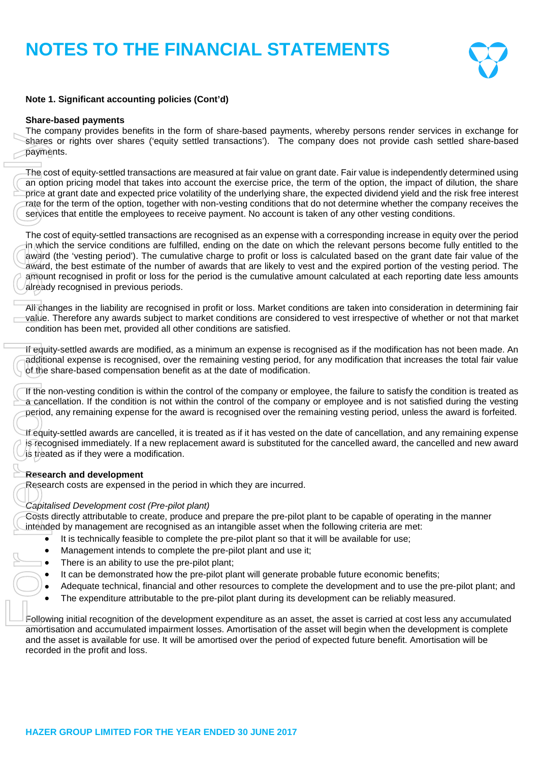

# **Note 1. Significant accounting policies (Cont'd)**

### **Share-based payments**

The company provides benefits in the form of share-based payments, whereby persons render services in exchange for shares or rights over shares ('equity settled transactions'). The company does not provide cash settled share-based payments.

The cost of equity-settled transactions are measured at fair value on grant date. Fair value is independently determined using an option pricing model that takes into account the exercise price, the term of the option, the impact of dilution, the share price at grant date and expected price volatility of the underlying share, the expected dividend yield and the risk free interest rate for the term of the option, together with non-vesting conditions that do not determine whether the company receives the services that entitle the employees to receive payment. No account is taken of any other vesting conditions.

The cost of equity-settled transactions are recognised as an expense with a corresponding increase in equity over the period in which the service conditions are fulfilled, ending on the date on which the relevant persons become fully entitled to the award (the 'vesting period'). The cumulative charge to profit or loss is calculated based on the grant date fair value of the award, the best estimate of the number of awards that are likely to vest and the expired portion of the vesting period. The amount recognised in profit or loss for the period is the cumulative amount calculated at each reporting date less amounts already recognised in previous periods. Frances or rights over shares or rights over shares payments.<br>The cost of equity-settled trans an expected profit and expected fraction rate for the term of the option, services that entitle the employ The cost of equity-s

All changes in the liability are recognised in profit or loss. Market conditions are taken into consideration in determining fair value. Therefore any awards subject to market conditions are considered to vest irrespective of whether or not that market condition has been met, provided all other conditions are satisfied.

If equity-settled awards are modified, as a minimum an expense is recognised as if the modification has not been made. An additional expense is recognised, over the remaining vesting period, for any modification that increases the total fair value of the share-based compensation benefit as at the date of modification.

If the non-vesting condition is within the control of the company or employee, the failure to satisfy the condition is treated as a cancellation. If the condition is not within the control of the company or employee and is not satisfied during the vesting period, any remaining expense for the award is recognised over the remaining vesting period, unless the award is forfeited.

If equity-settled awards are cancelled, it is treated as if it has vested on the date of cancellation, and any remaining expense is recognised immediately. If a new replacement award is substituted for the cancelled award, the cancelled and new award is treated as if they were a modification.

# **Research and development**

Research costs are expensed in the period in which they are incurred.

#### *Capitalised Development cost (Pre-pilot plant)*

Costs directly attributable to create, produce and prepare the pre-pilot plant to be capable of operating in the manner intended by management are recognised as an intangible asset when the following criteria are met:

- $\bullet$  It is technically feasible to complete the pre-pilot plant so that it will be available for use;
- Management intends to complete the pre-pilot plant and use it;
- There is an ability to use the pre-pilot plant;
- It can be demonstrated how the pre-pilot plant will generate probable future economic benefits;
- Adequate technical, financial and other resources to complete the development and to use the pre-pilot plant; and
- The expenditure attributable to the pre-pilot plant during its development can be reliably measured.

Following initial recognition of the development expenditure as an asset, the asset is carried at cost less any accumulated amortisation and accumulated impairment losses. Amortisation of the asset will begin when the development is complete and the asset is available for use. It will be amortised over the period of expected future benefit. Amortisation will be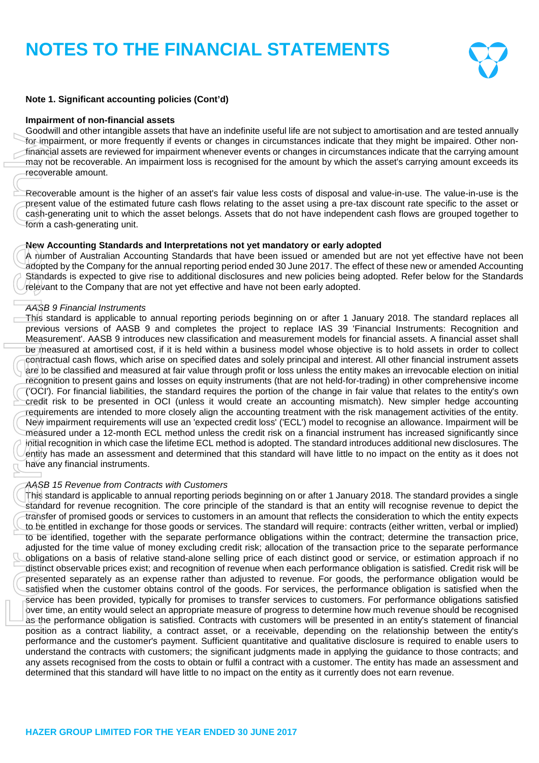

## **Note 1. Significant accounting policies (Cont'd)**

#### **Impairment of non-financial assets**

Goodwill and other intangible assets that have an indefinite useful life are not subject to amortisation and are tested annually for impairment, or more frequently if events or changes in circumstances indicate that they might be impaired. Other nonfinancial assets are reviewed for impairment whenever events or changes in circumstances indicate that the carrying amount may not be recoverable. An impairment loss is recognised for the amount by which the asset's carrying amount exceeds its recoverable amount.

Recoverable amount is the higher of an asset's fair value less costs of disposal and value-in-use. The value-in-use is the present value of the estimated future cash flows relating to the asset using a pre-tax discount rate specific to the asset or cash-generating unit to which the asset belongs. Assets that do not have independent cash flows are grouped together to form a cash-generating unit.

# **New Accounting Standards and Interpretations not yet mandatory or early adopted**

A number of Australian Accounting Standards that have been issued or amended but are not yet effective have not been adopted by the Company for the annual reporting period ended 30 June 2017. The effect of these new or amended Accounting Standards is expected to give rise to additional disclosures and new policies being adopted. Refer below for the Standards relevant to the Company that are not yet effective and have not been early adopted.

#### *AASB 9 Financial Instruments*

This standard is applicable to annual reporting periods beginning on or after 1 January 2018. The standard replaces all previous versions of AASB 9 and completes the project to replace IAS 39 'Financial Instruments: Recognition and Measurement'. AASB 9 introduces new classification and measurement models for financial assets. A financial asset shall be measured at amortised cost, if it is held within a business model whose objective is to hold assets in order to collect contractual cash flows, which arise on specified dates and solely principal and interest. All other financial instrument assets are to be classified and measured at fair value through profit or loss unless the entity makes an irrevocable election on initial recognition to present gains and losses on equity instruments (that are not held-for-trading) in other comprehensive income ('OCI'). For financial liabilities, the standard requires the portion of the change in fair value that relates to the entity's own credit risk to be presented in OCI (unless it would create an accounting mismatch). New simpler hedge accounting requirements are intended to more closely align the accounting treatment with the risk management activities of the entity. New impairment requirements will use an 'expected credit loss' ('ECL') model to recognise an allowance. Impairment will be measured under a 12-month ECL method unless the credit risk on a financial instrument has increased significantly since initial recognition in which case the lifetime ECL method is adopted. The standard introduces additional new disclosures. The entity has made an assessment and determined that this standard will have little to no impact on the entity as it does not have any financial instruments.

#### *AASB 15 Revenue from Contracts with Customers*

This standard is applicable to annual reporting periods beginning on or after 1 January 2018. The standard provides a single standard for revenue recognition. The core principle of the standard is that an entity will recognise revenue to depict the transfer of promised goods or services to customers in an amount that reflects the consideration to which the entity expects to be entitled in exchange for those goods or services. The standard will require: contracts (either written, verbal or implied) to be identified, together with the separate performance obligations within the contract; determine the transaction price, adjusted for the time value of money excluding credit risk; allocation of the transaction price to the separate performance obligations on a basis of relative stand-alone selling price of each distinct good or service, or estimation approach if no distinct observable prices exist; and recognition of revenue when each performance obligation is satisfied. Credit risk will be presented separately as an expense rather than adjusted to revenue. For goods, the performance obligation would be satisfied when the customer obtains control of the goods. For services, the performance obligation is satisfied when the service has been provided, typically for promises to transfer services to customers. For performance obligations satisfied over time, an entity would select an appropriate measure of progress to determine how much revenue should be recognised as the performance obligation is satisfied. Contracts with customers will be presented in an entity's statement of financial position as a contract liability, a contract asset, or a receivable, depending on the relationship between the entity's performance and the customer's payment. Sufficient quantitative and qualitative disclosure is required to enable users to understand the contracts with customers; the significant judgments made in applying the guidance to those contracts; and any assets recognised from the costs to obtain or fulfil a contract with a customer. The entity has made an assessment and<br>determined that this standard will have little to no impact on the entity as it currently does not To impact on the entity in every interest is change in circumstances indicate that they may be the entity as it currently does not entity as it currently does no impact on the entity as it current is the entity as it curre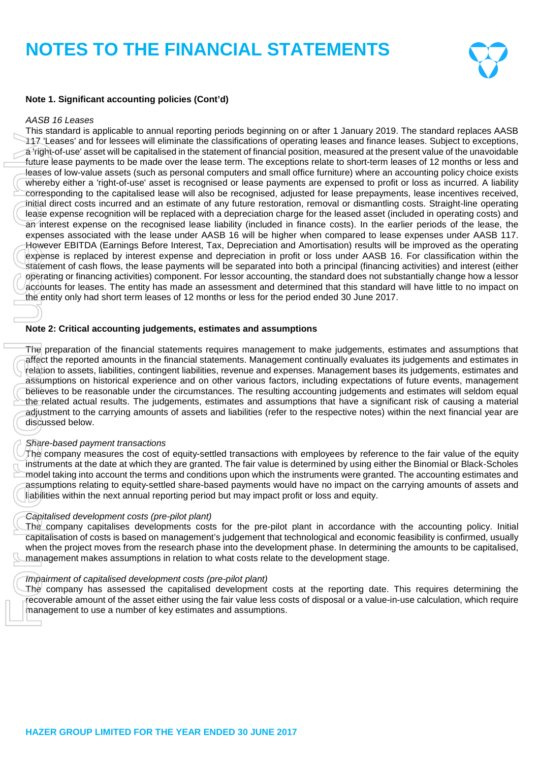

# **Note 1. Significant accounting policies (Cont'd)**

#### *AASB 16 Leases*

This standard is applicable to annual reporting periods beginning on or after 1 January 2019. The standard replaces AASB 117 'Leases' and for lessees will eliminate the classifications of operating leases and finance leases. Subject to exceptions, a right-of-use' asset will be capitalised in the statement of financial position, measured at the present value of the unavoidable future lease payments to be made over the lease term. The exceptions relate to short-term leases of 12 months or less and leases of low-value assets (such as personal computers and small office furniture) where an accounting policy choice exists whereby either a 'right-of-use' asset is recognised or lease payments are expensed to profit or loss as incurred. A liability corresponding to the capitalised lease will also be recognised, adjusted for lease prepayments, lease incentives received, initial direct costs incurred and an estimate of any future restoration, removal or dismantling costs. Straight-line operating lease expense recognition will be replaced with a depreciation charge for the leased asset (included in operating costs) and an interest expense on the recognised lease liability (included in finance costs). In the earlier periods of the lease, the expenses associated with the lease under AASB 16 will be higher when compared to lease expenses under AASB 117. However EBITDA (Earnings Before Interest, Tax, Depreciation and Amortisation) results will be improved as the operating expense is replaced by interest expense and depreciation in profit or loss under AASB 16. For classification within the statement of cash flows, the lease payments will be separated into both a principal (financing activities) and interest (either operating or financing activities) component. For lessor accounting, the standard does not substantially change how a lessor accounts for leases. The entity has made an assessment and determined that this standard will have little to no impact on the entity only had short term leases of 12 months or less for the period ended 30 June 2017. 1117. Leases and for leases will elliminate the classifications of of the state will be capitalized in the statement of financial thuye lease powers will be capitalized in the statement The excepted with the statement of

#### **Note 2: Critical accounting judgements, estimates and assumptions**

The preparation of the financial statements requires management to make judgements, estimates and assumptions that affect the reported amounts in the financial statements. Management continually evaluates its judgements and estimates in relation to assets, liabilities, contingent liabilities, revenue and expenses. Management bases its judgements, estimates and assumptions on historical experience and on other various factors, including expectations of future events, management believes to be reasonable under the circumstances. The resulting accounting judgements and estimates will seldom equal the related actual results. The judgements, estimates and assumptions that have a significant risk of causing a material adjustment to the carrying amounts of assets and liabilities (refer to the respective notes) within the next financial year are discussed below.

#### *Share-based payment transactions*

The company measures the cost of equity-settled transactions with employees by reference to the fair value of the equity instruments at the date at which they are granted. The fair value is determined by using either the Binomial or Black-Scholes model taking into account the terms and conditions upon which the instruments were granted. The accounting estimates and assumptions relating to equity-settled share-based payments would have no impact on the carrying amounts of assets and liabilities within the next annual reporting period but may impact profit or loss and equity.

#### *Capitalised development costs (pre-pilot plant)*

The company capitalises developments costs for the pre-pilot plant in accordance with the accounting policy. Initial capitalisation of costs is based on management's judgement that technological and economic feasibility is confirmed, usually when the project moves from the research phase into the development phase. In determining the amounts to be capitalised, management makes assumptions in relation to what costs relate to the development stage.

#### *Impairment of capitalised development costs (pre-pilot plant)*

The company has assessed the capitalised development costs at the reporting date. This requires determining the recoverable amount of the asset either using the fair value less costs of disposal or a value-in-use calculation, which require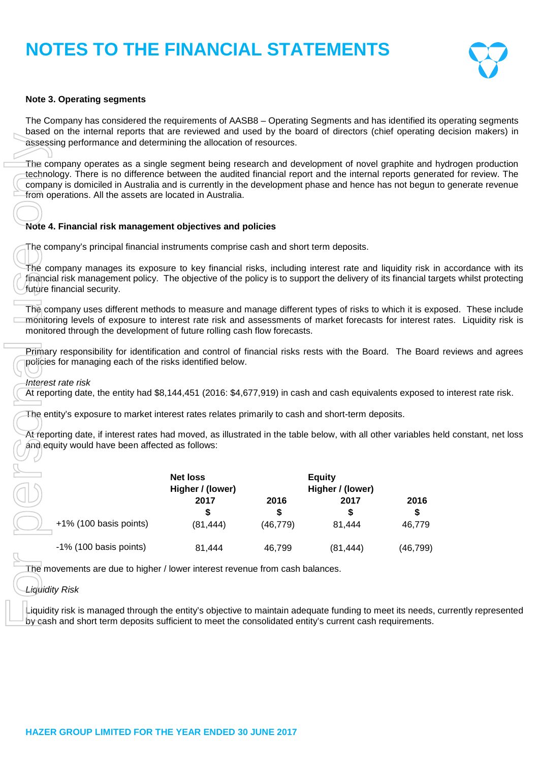

### **Note 3. Operating segments**

The Company has considered the requirements of AASB8 – Operating Segments and has identified its operating segments based on the internal reports that are reviewed and used by the board of directors (chief operating decision makers) in assessing performance and determining the allocation of resources.

The company operates as a single segment being research and development of novel graphite and hydrogen production technology. There is no difference between the audited financial report and the internal reports generated for review. The company is domiciled in Australia and is currently in the development phase and hence has not begun to generate revenue from operations. All the assets are located in Australia.

#### **Note 4. Financial risk management objectives and policies**

The company manages its exposure to key financial risks, including interest rate and liquidity risk in accordance with its financial risk management policy. The objective of the policy is to support the delivery of its financial targets whilst protecting future financial security.

The company uses different methods to measure and manage different types of risks to which it is exposed. These include monitoring levels of exposure to interest rate risk and assessments of market forecasts for interest rates. Liquidity risk is monitored through the development of future rolling cash flow forecasts.

Primary responsibility for identification and control of financial risks rests with the Board. The Board reviews and agrees policies for managing each of the risks identified below.

At reporting date, the entity had \$8,144,451 (2016: \$4,677,919) in cash and cash equivalents exposed to interest rate risk.

At reporting date, if interest rates had moved, as illustrated in the table below, with all other variables held constant, net loss and equity would have been affected as follows:

| assessing performance and determining the allocation of resources.                                                                                                                                                                                                                                                                                                          |                  |            |                  |            |
|-----------------------------------------------------------------------------------------------------------------------------------------------------------------------------------------------------------------------------------------------------------------------------------------------------------------------------------------------------------------------------|------------------|------------|------------------|------------|
| The company operates as a single segment being research and development of novel graphite and<br>technology. There is no difference between the audited financial report and the internal reports gener<br>company is domiciled in Australia and is currently in the development phase and hence has not begun<br>from operations. All the assets are located in Australia. |                  |            |                  |            |
|                                                                                                                                                                                                                                                                                                                                                                             |                  |            |                  |            |
| Note 4. Financial risk management objectives and policies                                                                                                                                                                                                                                                                                                                   |                  |            |                  |            |
| The company's principal financial instruments comprise cash and short term deposits.                                                                                                                                                                                                                                                                                        |                  |            |                  |            |
| The company manages its exposure to key financial risks, including interest rate and liquidity risk i<br>financial risk management policy. The objective of the policy is to support the delivery of its financial ta<br>future financial security.                                                                                                                         |                  |            |                  |            |
| The company uses different methods to measure and manage different types of risks to which it is exp<br>monitoring levels of exposure to interest rate risk and assessments of market forecasts for interest r<br>monitored through the development of future rolling cash flow forecasts.                                                                                  |                  |            |                  |            |
| Primary responsibility for identification and control of financial risks rests with the Board. The Board<br>policies for managing each of the risks identified below.<br>Interest rate risk<br>At reporting date, the entity had \$8,144,451 (2016: \$4,677,919) in cash and cash equivalents exposed                                                                       |                  |            |                  |            |
| The entity's exposure to market interest rates relates primarily to cash and short-term deposits.                                                                                                                                                                                                                                                                           |                  |            |                  |            |
| At reporting date, if interest rates had moved, as illustrated in the table below, with all other variables h                                                                                                                                                                                                                                                               |                  |            |                  |            |
| and equity would have been affected as follows:                                                                                                                                                                                                                                                                                                                             |                  |            |                  |            |
|                                                                                                                                                                                                                                                                                                                                                                             |                  |            |                  |            |
|                                                                                                                                                                                                                                                                                                                                                                             | <b>Net loss</b>  |            | <b>Equity</b>    |            |
|                                                                                                                                                                                                                                                                                                                                                                             | Higher / (lower) |            | Higher / (lower) |            |
|                                                                                                                                                                                                                                                                                                                                                                             | 2017<br>\$       | 2016<br>\$ | 2017<br>\$       | 2016<br>\$ |
| +1% (100 basis points)                                                                                                                                                                                                                                                                                                                                                      | (81, 444)        | (46, 779)  | 81,444           | 46,779     |
| -1% (100 basis points)                                                                                                                                                                                                                                                                                                                                                      | 81,444           | 46,799     | (81, 444)        | (46, 799)  |
| The movements are due to higher / lower interest revenue from cash balances.                                                                                                                                                                                                                                                                                                |                  |            |                  |            |
| Liquidity Risk                                                                                                                                                                                                                                                                                                                                                              |                  |            |                  |            |
| Liquidity risk is managed through the entity's objective to maintain adequate funding to meet its needs,<br>by gash and short term deposits sufficient to meet the consolidated entity's current cash requirements.                                                                                                                                                         |                  |            |                  |            |

# *Liquidity Risk*

Liquidity risk is managed through the entity's objective to maintain adequate funding to meet its needs, currently represented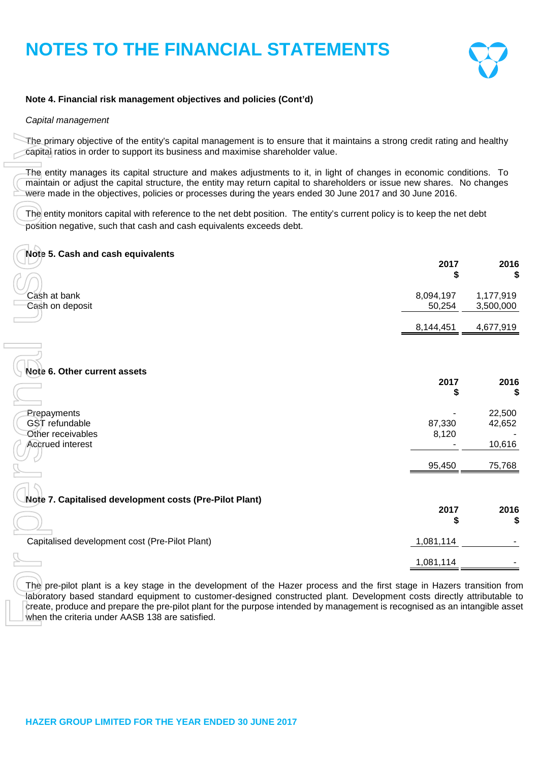

### **Note 4. Financial risk management objectives and policies (Cont'd)**

#### *Capital management*

| The primary objective of the entity's capital management is to ensure that it maintains a strong credit rating and healthy<br>capital ratios in order to support its business and maximise shareholder value.                                                                                                                                                                                                                      |                     |                        |
|------------------------------------------------------------------------------------------------------------------------------------------------------------------------------------------------------------------------------------------------------------------------------------------------------------------------------------------------------------------------------------------------------------------------------------|---------------------|------------------------|
| The entity manages its capital structure and makes adjustments to it, in light of changes in economic conditions. To<br>maintain or adjust the capital structure, the entity may return capital to shareholders or issue new shares. No changes<br>were made in the objectives, policies or processes during the years ended 30 June 2017 and 30 June 2016.                                                                        |                     |                        |
| The entity monitors capital with reference to the net debt position. The entity's current policy is to keep the net debt<br>position negative, such that cash and cash equivalents exceeds debt.                                                                                                                                                                                                                                   |                     |                        |
| Note 5. Cash and cash equivalents                                                                                                                                                                                                                                                                                                                                                                                                  | 2017                | 2016                   |
|                                                                                                                                                                                                                                                                                                                                                                                                                                    |                     |                        |
| Cash at bank<br>Cash on deposit                                                                                                                                                                                                                                                                                                                                                                                                    | 8,094,197<br>50,254 | 1,177,919<br>3,500,000 |
|                                                                                                                                                                                                                                                                                                                                                                                                                                    | 8,144,451           | 4,677,919              |
|                                                                                                                                                                                                                                                                                                                                                                                                                                    |                     |                        |
| Note 6. Other current assets                                                                                                                                                                                                                                                                                                                                                                                                       |                     |                        |
|                                                                                                                                                                                                                                                                                                                                                                                                                                    | 2017<br>5           | 2016                   |
| Prepayments                                                                                                                                                                                                                                                                                                                                                                                                                        |                     | 22,500                 |
| GST refundable<br>Other receivables                                                                                                                                                                                                                                                                                                                                                                                                | 87,330<br>8,120     | 42,652                 |
| Accrued interest                                                                                                                                                                                                                                                                                                                                                                                                                   |                     | 10,616                 |
|                                                                                                                                                                                                                                                                                                                                                                                                                                    | 95,450              | 75,768                 |
|                                                                                                                                                                                                                                                                                                                                                                                                                                    |                     |                        |
| Note 7. Capitalised development costs (Pre-Pilot Plant)                                                                                                                                                                                                                                                                                                                                                                            |                     |                        |
|                                                                                                                                                                                                                                                                                                                                                                                                                                    | 2017                | 2016<br>\$             |
| Capitalised development cost (Pre-Pilot Plant)                                                                                                                                                                                                                                                                                                                                                                                     | 1,081,114           |                        |
|                                                                                                                                                                                                                                                                                                                                                                                                                                    | 1,081,114           |                        |
| The pre-pilot plant is a key stage in the development of the Hazer process and the first stage in Hazers transition fror<br>laboratory based standard equipment to customer-designed constructed plant. Development costs directly attributable t<br>create, produce and prepare the pre-pilot plant for the purpose intended by management is recognised as an intangible asse<br>when the criteria under AASB 138 are satisfied. |                     |                        |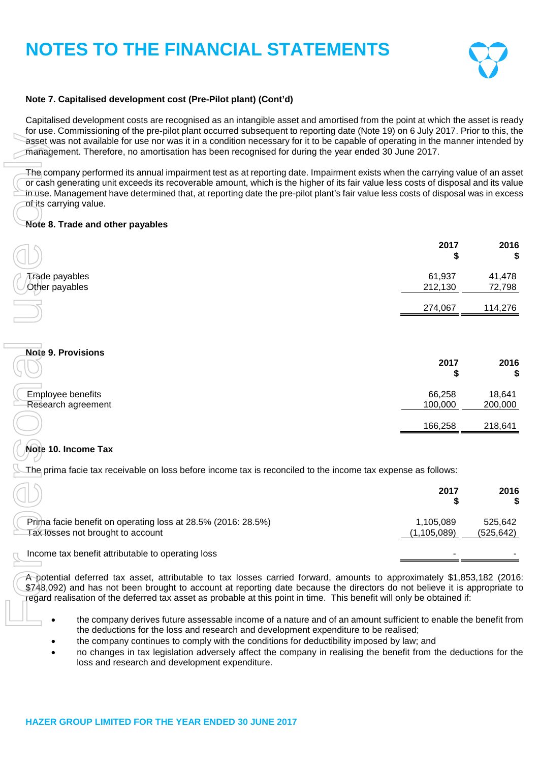

### **Note 7. Capitalised development cost (Pre-Pilot plant) (Cont'd)**

Capitalised development costs are recognised as an intangible asset and amortised from the point at which the asset is ready for use. Commissioning of the pre-pilot plant occurred subsequent to reporting date (Note 19) on 6 July 2017. Prior to this, the asset was not available for use nor was it in a condition necessary for it to be capable of operating in the manner intended by management. Therefore, no amortisation has been recognised for during the year ended 30 June 2017.

#### **Note 8. Trade and other payables**

| asset was not available for use nor was it in a condition necessary for it to be capable of operating in the manner intended by<br>management. Therefore, no amortisation has been recognised for during the year ended 30 June 2017.                                                                                                                                                                                          |                            |                      |
|--------------------------------------------------------------------------------------------------------------------------------------------------------------------------------------------------------------------------------------------------------------------------------------------------------------------------------------------------------------------------------------------------------------------------------|----------------------------|----------------------|
| The company performed its annual impairment test as at reporting date. Impairment exists when the carrying value of an asse<br>or cash generating unit exceeds its recoverable amount, which is the higher of its fair value less costs of disposal and its value<br>in use. Management have determined that, at reporting date the pre-pilot plant's fair value less costs of disposal was in exces<br>of its carrying value. |                            |                      |
| Note 8. Trade and other payables                                                                                                                                                                                                                                                                                                                                                                                               |                            |                      |
|                                                                                                                                                                                                                                                                                                                                                                                                                                | 2017<br>\$                 | 2016<br>5            |
| Trade payables<br>Other payables                                                                                                                                                                                                                                                                                                                                                                                               | 61,937<br>212,130          | 41,478<br>72,798     |
|                                                                                                                                                                                                                                                                                                                                                                                                                                | 274,067                    | 114,276              |
| <b>Note 9. Provisions</b>                                                                                                                                                                                                                                                                                                                                                                                                      |                            |                      |
|                                                                                                                                                                                                                                                                                                                                                                                                                                | 2017<br>\$                 | 2016                 |
| Employee benefits<br>Research agreement                                                                                                                                                                                                                                                                                                                                                                                        | 66,258<br>100,000          | 18,641<br>200,000    |
|                                                                                                                                                                                                                                                                                                                                                                                                                                | 166,258                    | 218,641              |
| Note 10. Income Tax                                                                                                                                                                                                                                                                                                                                                                                                            |                            |                      |
| The prima facie tax receivable on loss before income tax is reconciled to the income tax expense as follows:                                                                                                                                                                                                                                                                                                                   |                            |                      |
|                                                                                                                                                                                                                                                                                                                                                                                                                                | 2017<br>\$                 | 2016<br>S            |
| Prima facie benefit on operating loss at 28.5% (2016: 28.5%)<br>Tax losses not brought to account                                                                                                                                                                                                                                                                                                                              | 1,105,089<br>(1, 105, 089) | 525,642<br>(525,642) |
| Income tax benefit attributable to operating loss                                                                                                                                                                                                                                                                                                                                                                              |                            |                      |
| A potential deferred tax asset, attributable to tax losses carried forward, amounts to approximately \$1,853,182 (2016<br>\$748,092) and has not been brought to account at reporting date because the directors do not believe it is appropriate to<br>regard realisation of the deferred tax asset as probable at this point in time. This benefit will only be obtained if:                                                 |                            |                      |

# **Note 10. Income Tax**

|                                                                                                   | 2017                     | 2016                  |
|---------------------------------------------------------------------------------------------------|--------------------------|-----------------------|
| Prima facie benefit on operating loss at 28.5% (2016: 28.5%)<br>Tax losses not brought to account | 1,105,089<br>(1,105,089) | 525.642<br>(525, 642) |
| Income tax benefit attributable to operating loss                                                 |                          |                       |

- the company derives future assessable income of a nature and of an amount sufficient to enable the benefit from the deductions for the loss and research and development expenditure to be realised;
- the company continues to comply with the conditions for deductibility imposed by law; and
- no changes in tax legislation adversely affect the company in realising the benefit from the deductions for the loss and research and development expenditure.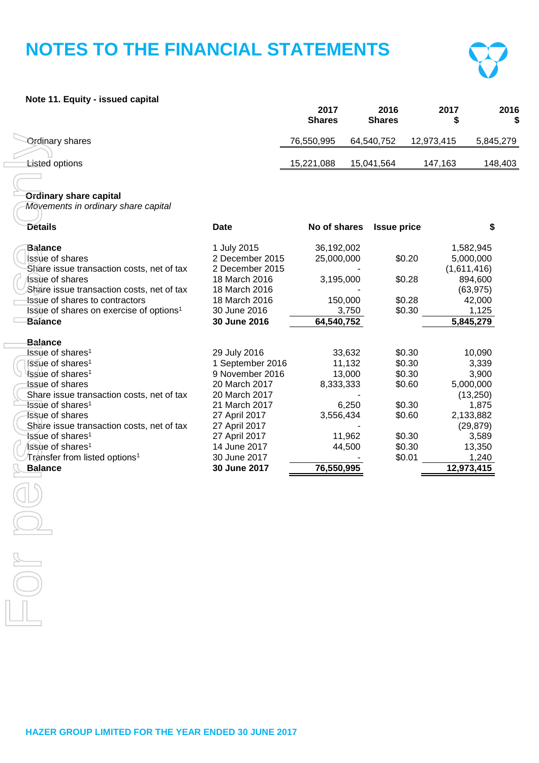

### **Note 11. Equity - issued capital**

|                        | 2017<br><b>Shares</b> | 2016<br><b>Shares</b> | 2017       | 2016<br>\$ |
|------------------------|-----------------------|-----------------------|------------|------------|
| <b>Ordinary shares</b> | 76,550,995            | 64,540,752            | 12,973,415 | 5,845,279  |
| <b>Listed options</b>  | 15,221,088            | 15,041,564            | 147.163    | 148.403    |

### **Ordinary share capital**

| <b>Ordinary shares</b>                              |                  | 76,550,995   | 64,540,752         | 12,973,415  | 5,845      |
|-----------------------------------------------------|------------------|--------------|--------------------|-------------|------------|
| <b>Listed options</b>                               |                  | 15,221,088   | 15,041,564         | 147,163     | 148        |
|                                                     |                  |              |                    |             |            |
| <b>Ordinary share capital</b>                       |                  |              |                    |             |            |
| Movements in ordinary share capital                 |                  |              |                    |             |            |
| <b>Details</b>                                      | <b>Date</b>      | No of shares | <b>Issue price</b> |             | \$         |
| <b>Balance</b>                                      | 1 July 2015      | 36,192,002   |                    |             | 1,582,945  |
| Issue of shares                                     | 2 December 2015  | 25,000,000   | \$0.20             |             | 5,000,000  |
| Share issue transaction costs, net of tax           | 2 December 2015  |              |                    | (1,611,416) |            |
| Issue of shares                                     | 18 March 2016    | 3,195,000    | \$0.28             |             | 894,600    |
| Share issue transaction costs, net of tax           | 18 March 2016    |              |                    |             | (63, 975)  |
| Issue of shares to contractors                      | 18 March 2016    | 150,000      | \$0.28             |             | 42,000     |
| Issue of shares on exercise of options <sup>1</sup> | 30 June 2016     | 3,750        | \$0.30             |             | 1,125      |
| <b>Balance</b>                                      | 30 June 2016     | 64,540,752   |                    |             | 5,845,279  |
| <b>Balance</b>                                      |                  |              |                    |             |            |
| Issue of shares <sup>1</sup>                        | 29 July 2016     | 33,632       | \$0.30             |             | 10,090     |
| Issue of shares <sup>1</sup>                        | 1 September 2016 | 11,132       | \$0.30             |             | 3,339      |
| Issue of shares <sup>1</sup>                        | 9 November 2016  | 13,000       | \$0.30             |             | 3,900      |
| <b>Issue of shares</b>                              | 20 March 2017    | 8,333,333    | \$0.60             |             | 5,000,000  |
| Share issue transaction costs, net of tax           | 20 March 2017    |              |                    |             | (13,250)   |
| Issue of shares <sup>1</sup>                        | 21 March 2017    | 6,250        | \$0.30             |             | 1,875      |
| <b>Issue of shares</b>                              | 27 April 2017    | 3,556,434    | \$0.60             |             | 2,133,882  |
| Share issue transaction costs, net of tax           | 27 April 2017    |              |                    |             | (29, 879)  |
| fssue of shares <sup>1</sup>                        | 27 April 2017    | 11,962       | \$0.30             |             | 3,589      |
| Issue of shares <sup>1</sup>                        | 14 June 2017     | 44,500       | \$0.30             |             | 13,350     |
| Transfer from listed options <sup>1</sup>           | 30 June 2017     |              | \$0.01             |             | 1,240      |
| <b>Balance</b>                                      | 30 June 2017     | 76,550,995   |                    |             | 12,973,415 |
|                                                     |                  |              |                    |             |            |
|                                                     |                  |              |                    |             |            |
|                                                     |                  |              |                    |             |            |
|                                                     |                  |              |                    |             |            |
|                                                     |                  |              |                    |             |            |
|                                                     |                  |              |                    |             |            |
|                                                     |                  |              |                    |             |            |
|                                                     |                  |              |                    |             |            |
|                                                     |                  |              |                    |             |            |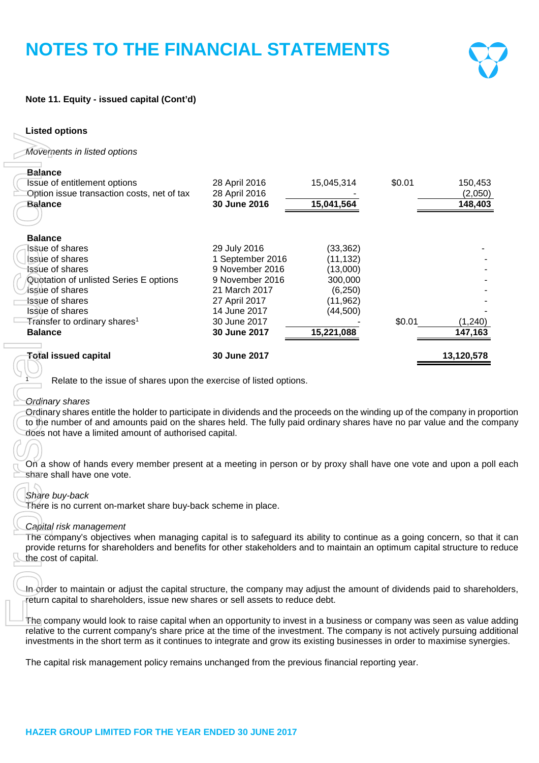

# **Note 11. Equity - issued capital (Cont'd)**

| <b>Listed options</b>                                                                                                                                                                                                                                                                                                                                                                  |                               |            |        |                     |
|----------------------------------------------------------------------------------------------------------------------------------------------------------------------------------------------------------------------------------------------------------------------------------------------------------------------------------------------------------------------------------------|-------------------------------|------------|--------|---------------------|
| Movements in listed options                                                                                                                                                                                                                                                                                                                                                            |                               |            |        |                     |
| <b>Balance</b><br><b>Issue of entitlement options</b>                                                                                                                                                                                                                                                                                                                                  | 28 April 2016                 | 15,045,314 | \$0.01 | 150,453             |
| Option issue transaction costs, net of tax<br><b>Balance</b>                                                                                                                                                                                                                                                                                                                           | 28 April 2016<br>30 June 2016 | 15,041,564 |        | (2,050)<br>148,403  |
|                                                                                                                                                                                                                                                                                                                                                                                        |                               |            |        |                     |
| <b>Balance</b>                                                                                                                                                                                                                                                                                                                                                                         |                               |            |        |                     |
| <b>Issue of shares</b>                                                                                                                                                                                                                                                                                                                                                                 | 29 July 2016                  | (33, 362)  |        |                     |
| Issue of shares                                                                                                                                                                                                                                                                                                                                                                        | 1 September 2016              | (11, 132)  |        |                     |
| <b>Issue of shares</b>                                                                                                                                                                                                                                                                                                                                                                 | 9 November 2016               | (13,000)   |        |                     |
| Quotation of unlisted Series E options                                                                                                                                                                                                                                                                                                                                                 | 9 November 2016               | 300,000    |        |                     |
| <i>lssue</i> of shares                                                                                                                                                                                                                                                                                                                                                                 | 21 March 2017                 | (6,250)    |        |                     |
| Issue of shares                                                                                                                                                                                                                                                                                                                                                                        | 27 April 2017                 | (11, 962)  |        |                     |
| Issue of shares                                                                                                                                                                                                                                                                                                                                                                        | 14 June 2017<br>30 June 2017  | (44,500)   | \$0.01 |                     |
| Transfer to ordinary shares <sup>1</sup><br><b>Balance</b>                                                                                                                                                                                                                                                                                                                             | 30 June 2017                  | 15,221,088 |        | (1, 240)<br>147,163 |
|                                                                                                                                                                                                                                                                                                                                                                                        |                               |            |        |                     |
| <b>Total issued capital</b><br>Relate to the issue of shares upon the exercise of listed options.                                                                                                                                                                                                                                                                                      | 30 June 2017                  |            |        | 13,120,578          |
| <b>Ordinary shares</b><br>Ordinary shares entitle the holder to participate in dividends and the proceeds on the winding up of the company in proportion<br>to the number of and amounts paid on the shares held. The fully paid ordinary shares have no par value and the company<br>does not have a limited amount of authorised capital.                                            |                               |            |        |                     |
| On a show of hands every member present at a meeting in person or by proxy shall have one vote and upon a poll each<br>share shall have one vote.                                                                                                                                                                                                                                      |                               |            |        |                     |
| Share buy-back<br>There is no current on-market share buy-back scheme in place.                                                                                                                                                                                                                                                                                                        |                               |            |        |                     |
| Capital risk management<br>The company's objectives when managing capital is to safeguard its ability to continue as a going concern, so that it can<br>provide returns for shareholders and benefits for other stakeholders and to maintain an optimum capital structure to reduce<br>the cost of capital.                                                                            |                               |            |        |                     |
|                                                                                                                                                                                                                                                                                                                                                                                        |                               |            |        |                     |
| In order to maintain or adjust the capital structure, the company may adjust the amount of dividends paid to shareholders,<br>return capital to shareholders, issue new shares or sell assets to reduce debt.                                                                                                                                                                          |                               |            |        |                     |
| The company would look to raise capital when an opportunity to invest in a business or company was seen as value adding<br>relative to the current company's share price at the time of the investment. The company is not actively pursuing additional<br>investments in the short term as it continues to integrate and grow its existing businesses in order to maximise synergies. |                               |            |        |                     |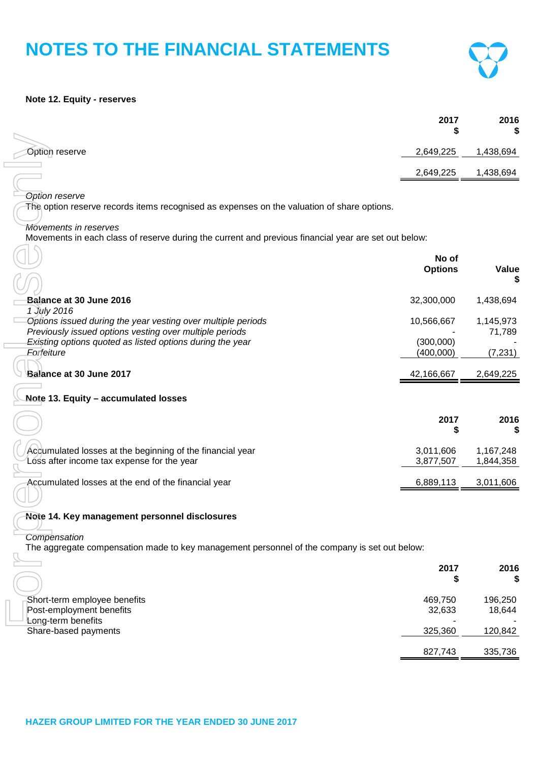#### **Note 12. Equity - reserves**

|                | 2017      | 2016<br>¢<br>ъĐ |
|----------------|-----------|-----------------|
| Option reserve | 2,649,225 | 1,438,694       |
|                | 2,649,225 | 1,438,694       |

 $\Gamma$ 

| Option reserve                                                                                                                | 2,649,225               | 1,438,694              |
|-------------------------------------------------------------------------------------------------------------------------------|-------------------------|------------------------|
|                                                                                                                               | 2,649,225               | 1,438,694              |
|                                                                                                                               |                         |                        |
| <b>Option reserve</b><br>The option reserve records items recognised as expenses on the valuation of share options.           |                         |                        |
|                                                                                                                               |                         |                        |
| Movements in reserves<br>Movements in each class of reserve during the current and previous financial year are set out below: |                         |                        |
|                                                                                                                               |                         |                        |
|                                                                                                                               | No of<br><b>Options</b> | <b>Value</b>           |
|                                                                                                                               |                         |                        |
| Balance at 30 June 2016                                                                                                       | 32,300,000              | 1,438,694              |
| 1 July 2016<br>Options issued during the year vesting over multiple periods                                                   | 10,566,667              | 1,145,973              |
| Previously issued options vesting over multiple periods                                                                       |                         | 71,789                 |
| Existing options quoted as listed options during the year                                                                     | (300,000)               |                        |
| Forfeiture                                                                                                                    | (400,000)               | (7, 231)               |
| Balance at 30 June 2017                                                                                                       | 42,166,667              | 2,649,225              |
| Note 13. Equity - accumulated losses                                                                                          |                         |                        |
|                                                                                                                               |                         |                        |
|                                                                                                                               | 2017<br>\$              | 2016                   |
|                                                                                                                               |                         |                        |
| Accumulated losses at the beginning of the financial year<br>Loss after income tax expense for the year                       | 3,011,606<br>3,877,507  | 1,167,248<br>1,844,358 |
|                                                                                                                               |                         |                        |
| Accumulated losses at the end of the financial year                                                                           | 6,889,113               | 3,011,606              |
|                                                                                                                               |                         |                        |
| Note 14. Key management personnel disclosures                                                                                 |                         |                        |
| Compensation                                                                                                                  |                         |                        |
| The aggregate compensation made to key management personnel of the company is set out below:                                  |                         |                        |
|                                                                                                                               | 2017                    | 2016                   |
|                                                                                                                               | \$                      | S                      |
| Short-term employee benefits                                                                                                  | 469,750                 | 196,250                |
| Post-employment benefits                                                                                                      | 32,633                  | 18,644                 |
| Long-term benefits                                                                                                            |                         |                        |

### **Note 14. Key management personnel disclosures**

|                                                          | 2017              | 2016<br>\$        |
|----------------------------------------------------------|-------------------|-------------------|
| Short-term employee benefits<br>Post-employment benefits | 469,750<br>32,633 | 196,250<br>18,644 |
| Long-term benefits<br>Share-based payments               | 325,360           | 120,842           |
|                                                          | 827,743           | 335,736           |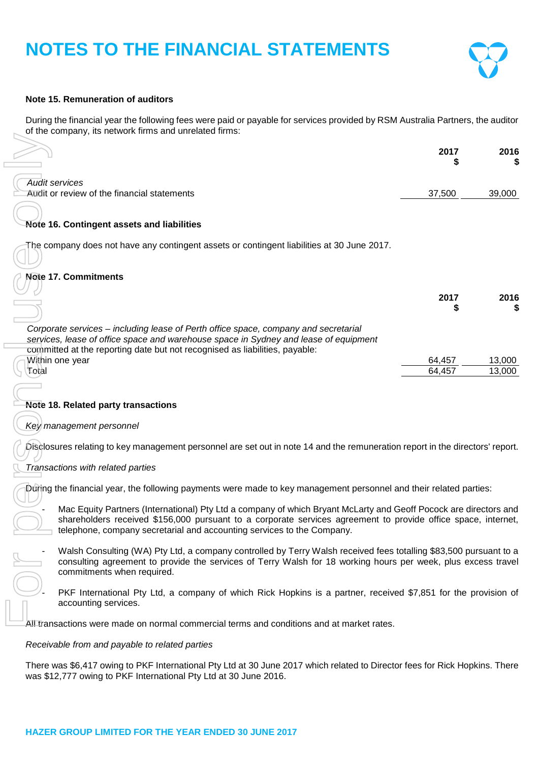

### **Note 15. Remuneration of auditors**

During the financial year the following fees were paid or payable for services provided by RSM Australia Partners, the auditor of the company, its network firms and unrelated firms:

|                                                                      | 2017   | 2016   |
|----------------------------------------------------------------------|--------|--------|
| <b>Audit services</b><br>Audit or review of the financial statements | 37.500 | 39,000 |

#### **Note 16. Contingent assets and liabilities**

### **Note 17. Commitments**

|                                                                                                                                                                                                                                                                                                             | 2017   | 2016   |
|-------------------------------------------------------------------------------------------------------------------------------------------------------------------------------------------------------------------------------------------------------------------------------------------------------------|--------|--------|
| <b>Audit services</b><br>Audit or review of the financial statements                                                                                                                                                                                                                                        | 37,500 | 39,000 |
| Note 16. Contingent assets and liabilities                                                                                                                                                                                                                                                                  |        |        |
| The company does not have any contingent assets or contingent liabilities at 30 June 2017.                                                                                                                                                                                                                  |        |        |
| Note 17. Commitments                                                                                                                                                                                                                                                                                        |        |        |
|                                                                                                                                                                                                                                                                                                             | 2017   | 2016   |
| Corporate services – including lease of Perth office space, company and secretarial<br>services, lease of office space and warehouse space in Sydney and lease of equipment<br>committed at the reporting date but not recognised as liabilities, payable:                                                  |        |        |
| Within one year                                                                                                                                                                                                                                                                                             | 64,457 | 13,000 |
| Total                                                                                                                                                                                                                                                                                                       | 64,457 | 13,000 |
| <b>Note 18. Related party transactions</b><br>Key management personnel                                                                                                                                                                                                                                      |        |        |
| Disclosures relating to key management personnel are set out in note 14 and the remuneration report in the directors' report.                                                                                                                                                                               |        |        |
| Transactions with related parties                                                                                                                                                                                                                                                                           |        |        |
| During the financial year, the following payments were made to key management personnel and their related parties:                                                                                                                                                                                          |        |        |
| Mac Equity Partners (International) Pty Ltd a company of which Bryant McLarty and Geoff Pocock are directors and<br>shareholders received \$156,000 pursuant to a corporate services agreement to provide office space, internet,<br>telephone, company secretarial and accounting services to the Company. |        |        |
| Walsh Consulting (WA) Pty Ltd, a company controlled by Terry Walsh received fees totalling \$83,500 pursuant to a<br>consulting agreement to provide the services of Terry Walsh for 18 working hours per week, plus excess travel<br>commitments when required.                                            |        |        |
| PKF International Pty Ltd, a company of which Rick Hopkins is a partner, received \$7,851 for the provision of<br>accounting services.                                                                                                                                                                      |        |        |
| All transactions were made on normal commercial terms and conditions and at market rates.                                                                                                                                                                                                                   |        |        |
| Receivable from and payable to related parties                                                                                                                                                                                                                                                              |        |        |
| There was \$6,417 owing to PKF International Pty Ltd at 30 June 2017 which related to Director fees for Rick Hopkins. There<br>was \$12,777 owing to PKF International Pty Ltd at 30 June 2016.                                                                                                             |        |        |

# **Note 18. Related party transactions**

#### *Key management personnel*

# *Transactions with related parties*

#### *Receivable from and payable to related parties*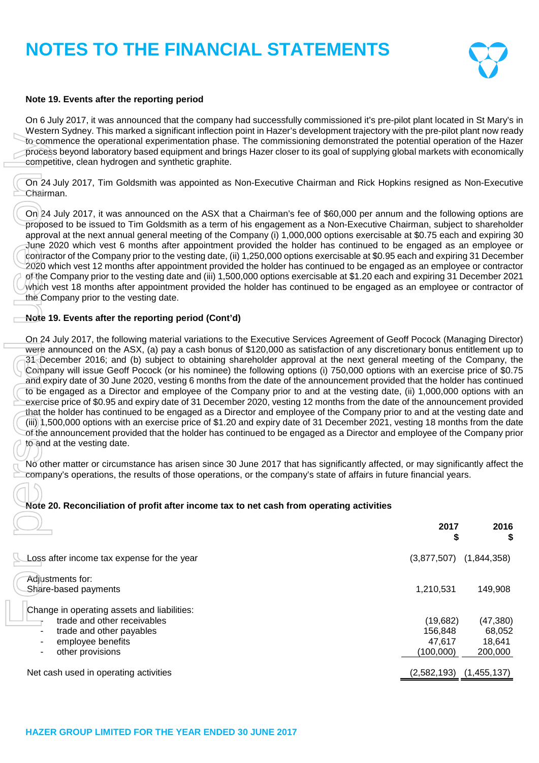

### **Note 19. Events after the reporting period**

On 6 July 2017, it was announced that the company had successfully commissioned it's pre-pilot plant located in St Mary's in Western Sydney. This marked a significant inflection point in Hazer's development trajectory with the pre-pilot plant now ready to commence the operational experimentation phase. The commissioning demonstrated the potential operation of the Hazer process beyond laboratory based equipment and brings Hazer closer to its goal of supplying global markets with economically competitive, clean hydrogen and synthetic graphite.

On 24 July 2017, Tim Goldsmith was appointed as Non-Executive Chairman and Rick Hopkins resigned as Non-Executive Chairman.

On 24 July 2017, it was announced on the ASX that a Chairman's fee of \$60,000 per annum and the following options are proposed to be issued to Tim Goldsmith as a term of his engagement as a Non-Executive Chairman, subject to shareholder approval at the next annual general meeting of the Company (i) 1,000,000 options exercisable at \$0.75 each and expiring 30 June 2020 which vest 6 months after appointment provided the holder has continued to be engaged as an employee or contractor of the Company prior to the vesting date, (ii) 1,250,000 options exercisable at \$0.95 each and expiring 31 December 2020 which vest 12 months after appointment provided the holder has continued to be engaged as an employee or contractor of the Company prior to the vesting date and (iii) 1,500,000 options exercisable at \$1.20 each and expiring 31 December 2021 which vest 18 months after appointment provided the holder has continued to be engaged as an employee or contractor of the Company prior to the vesting date.

### **Note 19. Events after the reporting period (Cont'd)**

On 24 July 2017, the following material variations to the Executive Services Agreement of Geoff Pocock (Managing Director) were announced on the ASX, (a) pay a cash bonus of \$120,000 as satisfaction of any discretionary bonus entitlement up to 31 December 2016; and (b) subject to obtaining shareholder approval at the next general meeting of the Company, the Company will issue Geoff Pocock (or his nominee) the following options (i) 750,000 options with an exercise price of \$0.75 and expiry date of 30 June 2020, vesting 6 months from the date of the announcement provided that the holder has continued to be engaged as a Director and employee of the Company prior to and at the vesting date, (ii) 1,000,000 options with an exercise price of \$0.95 and expiry date of 31 December 2020, vesting 12 months from the date of the announcement provided that the holder has continued to be engaged as a Director and employee of the Company prior to and at the vesting date and (iii) 1,500,000 options with an exercise price of \$1.20 and expiry date of 31 December 2021, vesting 18 months from the date of the announcement provided that the holder has continued to be engaged as a Director and employee of the Company prior to and at the vesting date. Company of the Company prior to the vesting dimension in personal of the potential of the company's operations, the company's operations, the company's or the company's or the company's or the company's or the state of a s

No other matter or circumstance has arisen since 30 June 2017 that has significantly affected, or may significantly affect the<br>company's operations, the results of those operations, or the company's state of affairs in fut

# **Note 20. Reconciliation of profit after income tax to net cash from operating activities**

|                                                                                                                                                 | 2017<br>S                                  | 2016<br>S                                |
|-------------------------------------------------------------------------------------------------------------------------------------------------|--------------------------------------------|------------------------------------------|
| Loss after income tax expense for the year                                                                                                      | (3,877,507)                                | (1,844,358)                              |
| Adiustments for:<br>Share-based payments                                                                                                        | 1,210,531                                  | 149,908                                  |
| Change in operating assets and liabilities:<br>trade and other receivables<br>trade and other payables<br>employee benefits<br>other provisions | (19,682)<br>156.848<br>47.617<br>(100,000) | (47, 380)<br>68,052<br>18.641<br>200,000 |
| Net cash used in operating activities                                                                                                           | $(2,582,193)$ $(1,455,137)$                |                                          |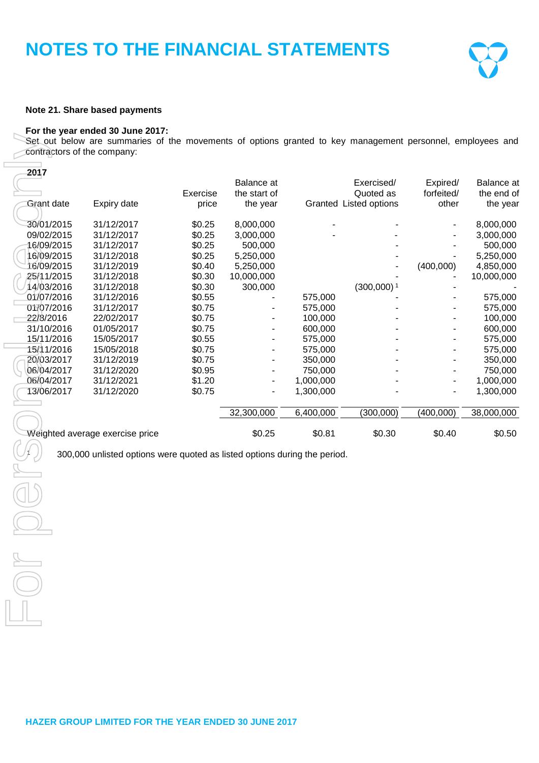

#### **Note 21. Share based payments**

#### **For the year ended 30 June 2017:**

| contractors of the company: | Set out below are summaries of the movements of options granted to key management personnel, employees and |          |              |           |                                     |                     |            |
|-----------------------------|------------------------------------------------------------------------------------------------------------|----------|--------------|-----------|-------------------------------------|---------------------|------------|
| 2017                        |                                                                                                            |          | Balance at   |           | Exercised/                          | Expired/            | Balance at |
|                             |                                                                                                            | Exercise | the start of |           | Quoted as<br>Granted Listed options | forfeited/<br>other | the end of |
| <b>Grant date</b>           | Expiry date                                                                                                | price    | the year     |           |                                     |                     | the year   |
| 30/01/2015                  | 31/12/2017                                                                                                 | \$0.25   | 8,000,000    |           |                                     |                     | 8,000,000  |
| 09/02/2015                  | 31/12/2017                                                                                                 | \$0.25   | 3,000,000    |           |                                     |                     | 3,000,000  |
| 16/09/2015                  | 31/12/2017                                                                                                 | \$0.25   | 500,000      |           |                                     |                     | 500,000    |
| 16/09/2015                  | 31/12/2018                                                                                                 | \$0.25   | 5,250,000    |           |                                     |                     | 5,250,000  |
| 16/09/2015                  | 31/12/2019                                                                                                 | \$0.40   | 5,250,000    |           |                                     | (400,000)           | 4,850,000  |
| 25/11/2015                  | 31/12/2018                                                                                                 | \$0.30   | 10,000,000   |           |                                     |                     | 10,000,000 |
| 14/03/2016                  | 31/12/2018                                                                                                 | \$0.30   | 300,000      |           | $(300,000)$ <sup>1</sup>            |                     |            |
| 01/07/2016                  | 31/12/2016                                                                                                 | \$0.55   |              | 575,000   |                                     |                     | 575,000    |
| 01/07/2016                  | 31/12/2017                                                                                                 | \$0.75   |              | 575,000   |                                     |                     | 575,000    |
| 22/8/2016                   | 22/02/2017                                                                                                 | \$0.75   |              | 100,000   |                                     |                     | 100,000    |
| 31/10/2016                  | 01/05/2017                                                                                                 | \$0.75   |              | 600,000   |                                     |                     | 600,000    |
| 15/11/2016                  | 15/05/2017                                                                                                 | \$0.55   |              | 575,000   |                                     |                     | 575,000    |
| 15/11/2016                  | 15/05/2018                                                                                                 | \$0.75   |              | 575,000   |                                     |                     | 575,000    |
| 20/03/2017                  | 31/12/2019                                                                                                 | \$0.75   |              | 350,000   |                                     |                     | 350,000    |
| 06/04/2017                  | 31/12/2020                                                                                                 | \$0.95   |              | 750,000   |                                     | $\overline{a}$      | 750,000    |
| 06/04/2017                  | 31/12/2021                                                                                                 | \$1.20   |              | 1,000,000 |                                     |                     | 1,000,000  |
| 13/06/2017                  | 31/12/2020                                                                                                 | \$0.75   |              | 1,300,000 |                                     |                     | 1,300,000  |
|                             |                                                                                                            |          | 32,300,000   | 6,400,000 | (300,000)                           | (400,000)           | 38,000,000 |
|                             |                                                                                                            |          |              |           |                                     |                     |            |
|                             | Weighted average exercise price                                                                            |          | \$0.25       | \$0.81    | \$0.30                              | \$0.40              | \$0.50     |
|                             | 300,000 unlisted options were quoted as listed options during the period.                                  |          |              |           |                                     |                     |            |
|                             |                                                                                                            |          |              |           |                                     |                     |            |
|                             |                                                                                                            |          |              |           |                                     |                     |            |
|                             |                                                                                                            |          |              |           |                                     |                     |            |
|                             |                                                                                                            |          |              |           |                                     |                     |            |
|                             |                                                                                                            |          |              |           |                                     |                     |            |
|                             |                                                                                                            |          |              |           |                                     |                     |            |
|                             |                                                                                                            |          |              |           |                                     |                     |            |
|                             |                                                                                                            |          |              |           |                                     |                     |            |
|                             |                                                                                                            |          |              |           |                                     |                     |            |
|                             |                                                                                                            |          |              |           |                                     |                     |            |

**HAZER GROUP LIMITED FOR THE YEAR ENDED 30 JUNE 2017**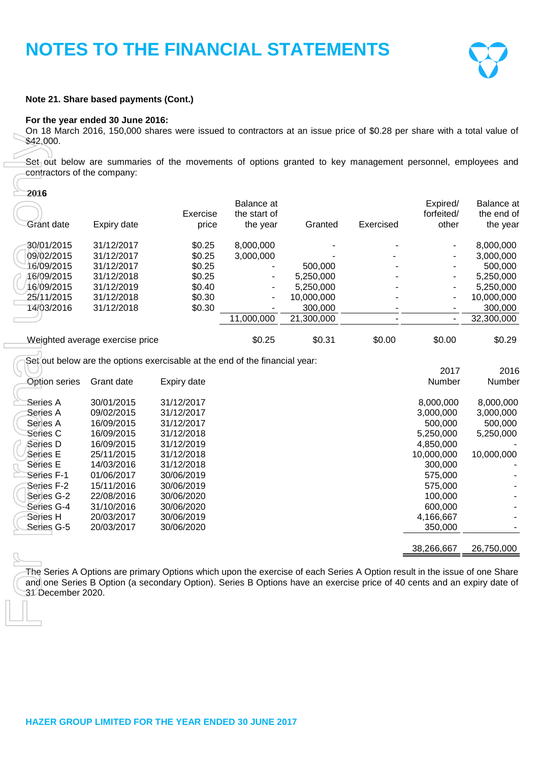

#### **Note 21. Share based payments (Cont.)**

#### **For the year ended 30 June 2016:**

On 18 March 2016, 150,000 shares were issued to contractors at an issue price of \$0.28 per share with a total value of \$42,000.

|                        |                                 |                                                                             | Balance at               |            |           | Expired/                 | Balance at |
|------------------------|---------------------------------|-----------------------------------------------------------------------------|--------------------------|------------|-----------|--------------------------|------------|
|                        |                                 | Exercise                                                                    | the start of             |            |           | forfeited/               | the end of |
| Grant date             | Expiry date                     | price                                                                       | the year                 | Granted    | Exercised | other                    | the year   |
| 30/01/2015             | 31/12/2017                      | \$0.25                                                                      | 8,000,000                |            |           | $\overline{\phantom{a}}$ | 8,000,000  |
| 09/02/2015             | 31/12/2017                      | \$0.25                                                                      | 3,000,000                |            |           |                          | 3,000,000  |
| 16/09/2015             | 31/12/2017                      | \$0.25                                                                      |                          | 500,000    |           |                          | 500,000    |
| 16/09/2015             | 31/12/2018                      | \$0.25                                                                      |                          | 5,250,000  |           |                          | 5,250,000  |
| 16/09/2015             | 31/12/2019                      | \$0.40                                                                      |                          | 5,250,000  |           |                          | 5,250,000  |
| 25/11/2015             | 31/12/2018                      | \$0.30                                                                      | $\overline{\phantom{a}}$ | 10,000,000 |           | $\overline{\phantom{a}}$ | 10,000,000 |
| 14/03/2016             | 31/12/2018                      | \$0.30                                                                      |                          | 300,000    |           |                          | 300,000    |
|                        |                                 |                                                                             | 11,000,000               | 21,300,000 |           |                          | 32,300,000 |
|                        | Weighted average exercise price |                                                                             | \$0.25                   | \$0.31     | \$0.00    | \$0.00                   | \$0.29     |
|                        |                                 | Set out below are the options exercisable at the end of the financial year: |                          |            |           |                          |            |
|                        |                                 |                                                                             |                          |            |           | 2017                     | 2016       |
| <b>Option series</b>   | Grant date                      | Expiry date                                                                 |                          |            |           | Number                   | Number     |
|                        |                                 |                                                                             |                          |            |           |                          |            |
|                        |                                 |                                                                             |                          |            |           |                          |            |
| Series A               | 30/01/2015                      | 31/12/2017                                                                  |                          |            |           | 8,000,000                | 8,000,000  |
| Series A               | 09/02/2015                      | 31/12/2017                                                                  |                          |            |           | 3,000,000                | 3,000,000  |
| Series A               | 16/09/2015                      | 31/12/2017                                                                  |                          |            |           | 500,000                  | 500,000    |
| Series C               | 16/09/2015                      | 31/12/2018                                                                  |                          |            |           | 5,250,000                | 5,250,000  |
| Series D               | 16/09/2015                      | 31/12/2019                                                                  |                          |            |           | 4,850,000                |            |
| Series E               | 25/11/2015                      | 31/12/2018<br>31/12/2018                                                    |                          |            |           | 10,000,000               | 10,000,000 |
| Series E<br>Series F-1 | 14/03/2016<br>01/06/2017        | 30/06/2019                                                                  |                          |            |           | 300,000                  |            |
|                        |                                 |                                                                             |                          |            |           | 575,000                  |            |
| Series F-2             | 15/11/2016                      | 30/06/2019                                                                  |                          |            |           | 575,000                  |            |
| Series G-2             | 22/08/2016                      | 30/06/2020                                                                  |                          |            |           | 100,000                  |            |
| Series G-4             | 31/10/2016                      | 30/06/2020                                                                  |                          |            |           | 600,000                  |            |
| Series H<br>Series G-5 | 20/03/2017<br>20/03/2017        | 30/06/2019<br>30/06/2020                                                    |                          |            |           | 4,166,667<br>350,000     |            |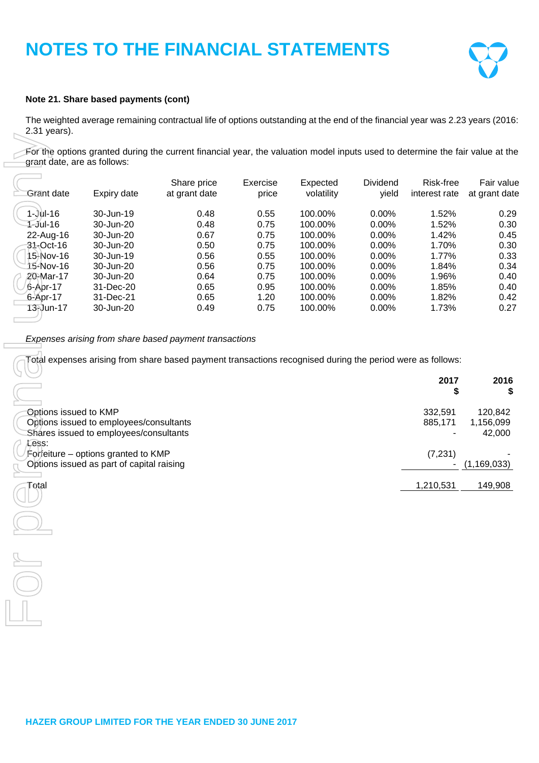

### **Note 21. Share based payments (cont)**

The weighted average remaining contractual life of options outstanding at the end of the financial year was 2.23 years (2016: 2.31 years).

|                             |                                                                                  | For the options granted during the current financial year, the valuation model inputs used to determine the fair value at the |          |            |          |               |               |
|-----------------------------|----------------------------------------------------------------------------------|-------------------------------------------------------------------------------------------------------------------------------|----------|------------|----------|---------------|---------------|
| grant date, are as follows: |                                                                                  |                                                                                                                               |          |            |          |               |               |
|                             |                                                                                  | Share price                                                                                                                   | Exercise | Expected   | Dividend | Risk-free     | Fair value    |
| Grant date                  | Expiry date                                                                      | at grant date                                                                                                                 | price    | volatility | yield    | interest rate | at grant date |
| $1 -$ Jul-16                | 30-Jun-19                                                                        | 0.48                                                                                                                          | 0.55     | 100.00%    | 0.00%    | 1.52%         | 0.29          |
| 1-Jul-16                    | 30-Jun-20                                                                        | 0.48                                                                                                                          | 0.75     | 100.00%    | 0.00%    | 1.52%         | 0.30          |
| 22-Aug-16                   | 30-Jun-20                                                                        | 0.67                                                                                                                          | 0.75     | 100.00%    | 0.00%    | 1.42%         | 0.45          |
| $31 - Oct-16$               | 30-Jun-20                                                                        | 0.50                                                                                                                          | 0.75     | 100.00%    | 0.00%    | 1.70%         | 0.30          |
| 15-Nov-16                   | 30-Jun-19                                                                        | 0.56                                                                                                                          | 0.55     | 100.00%    | 0.00%    | 1.77%         | 0.33          |
| 15-Nov-16                   | 30-Jun-20                                                                        | 0.56                                                                                                                          | 0.75     | 100.00%    | 0.00%    | 1.84%         | 0.34          |
| 20-Mar-17                   | 30-Jun-20                                                                        | 0.64                                                                                                                          | 0.75     | 100.00%    | 0.00%    | 1.96%         | 0.40          |
| 6-Apr-17                    | 31-Dec-20                                                                        | 0.65                                                                                                                          | 0.95     | 100.00%    | 0.00%    | 1.85%         | 0.40          |
| 6-Apr-17                    | 31-Dec-21                                                                        | 0.65                                                                                                                          | 1.20     | 100.00%    | 0.00%    | 1.82%         | 0.42          |
| 13-Jun-17                   | 30-Jun-20                                                                        | 0.49                                                                                                                          | 0.75     | 100.00%    | 0.00%    | 1.73%         | 0.27          |
|                             |                                                                                  |                                                                                                                               |          |            |          |               |               |
|                             |                                                                                  | Expenses arising from share based payment transactions                                                                        |          |            |          |               |               |
|                             |                                                                                  | Fotal expenses arising from share based payment transactions recognised during the period were as follows:                    |          |            |          |               |               |
|                             |                                                                                  |                                                                                                                               |          |            |          | 2017          | 2016          |
|                             |                                                                                  |                                                                                                                               |          |            |          | \$            | \$            |
| Options issued to KMP       |                                                                                  |                                                                                                                               |          |            |          | 332,591       | 120,842       |
|                             | Options issued to employees/consultants                                          |                                                                                                                               |          |            |          | 885,171       | 1,156,099     |
|                             | Shares issued to employees/consultants                                           |                                                                                                                               |          |            |          |               | 42,000        |
| Less:                       |                                                                                  |                                                                                                                               |          |            |          |               |               |
|                             | Forfeiture – options granted to KMP<br>Options issued as part of capital raising |                                                                                                                               |          |            |          | (7, 231)      | (1, 169, 033) |
| Total                       |                                                                                  |                                                                                                                               |          |            |          |               |               |
|                             |                                                                                  |                                                                                                                               |          |            |          | 1,210,531     | 149,908       |
|                             |                                                                                  |                                                                                                                               |          |            |          |               |               |
|                             |                                                                                  |                                                                                                                               |          |            |          |               |               |
|                             |                                                                                  |                                                                                                                               |          |            |          |               |               |
|                             |                                                                                  |                                                                                                                               |          |            |          |               |               |
|                             |                                                                                  |                                                                                                                               |          |            |          |               |               |
|                             |                                                                                  |                                                                                                                               |          |            |          |               |               |
|                             |                                                                                  |                                                                                                                               |          |            |          |               |               |

| ーー                                        | 2017<br>⊅ | 2016          |
|-------------------------------------------|-----------|---------------|
| Options issued to KMP                     | 332,591   | 120,842       |
| Options issued to employees/consultants   | 885.171   | 1,156,099     |
| Shares issued to employees/consultants    |           | 42,000        |
| Less:                                     |           |               |
| Forfeiture – options granted to KMP       | (7, 231)  |               |
| Options issued as part of capital raising |           | (1, 169, 033) |
| Total                                     | 1,210,531 | 149,908       |
|                                           |           |               |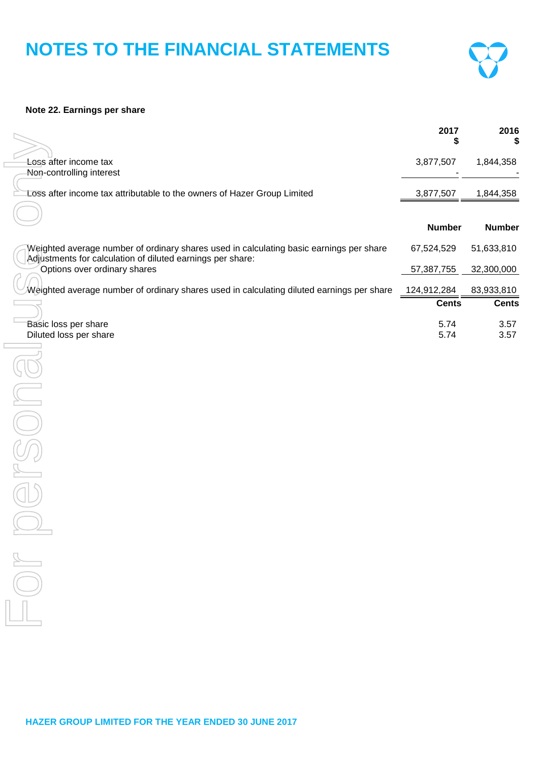

# **Note 22. Earnings per share**

|                                                                                                                                                       | 2017<br>\$    | 2016<br>5     |
|-------------------------------------------------------------------------------------------------------------------------------------------------------|---------------|---------------|
| Loss after income tax<br>Non-controlling interest                                                                                                     | 3,877,507     | 1,844,358     |
| Loss after income tax attributable to the owners of Hazer Group Limited                                                                               | 3,877,507     | 1,844,358     |
|                                                                                                                                                       | <b>Number</b> | <b>Number</b> |
| Weighted average number of ordinary shares used in calculating basic earnings per share<br>Adjustments for calculation of diluted earnings per share: | 67,524,529    | 51,633,810    |
| Options over ordinary shares                                                                                                                          | 57,387,755    | 32,300,000    |
| Weighted average number of ordinary shares used in calculating diluted earnings per share                                                             | 124,912,284   | 83,933,810    |
|                                                                                                                                                       | <b>Cents</b>  | <b>Cents</b>  |
| Basic loss per share<br>Diluted loss per share                                                                                                        | 5.74<br>5.74  | 3.57<br>3.57  |
|                                                                                                                                                       |               |               |
|                                                                                                                                                       |               |               |
|                                                                                                                                                       |               |               |
|                                                                                                                                                       |               |               |
|                                                                                                                                                       |               |               |
|                                                                                                                                                       |               |               |
|                                                                                                                                                       |               |               |
|                                                                                                                                                       |               |               |
|                                                                                                                                                       |               |               |
|                                                                                                                                                       |               |               |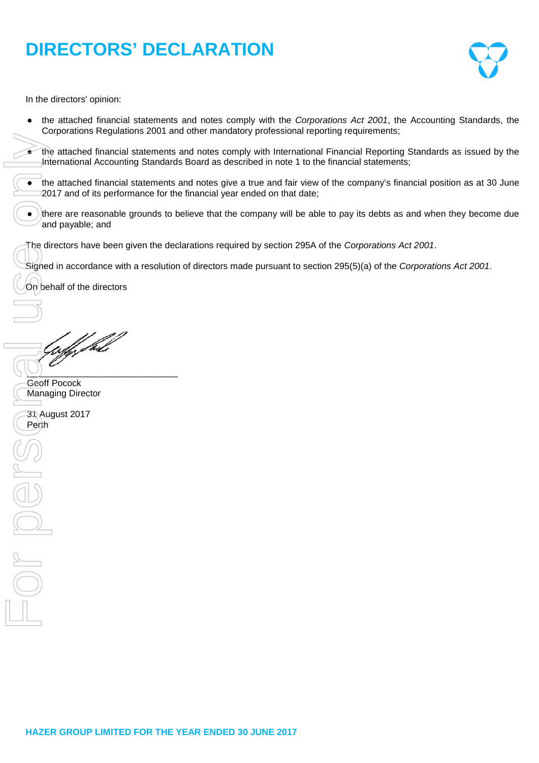# **DIRECTORS' DECLARATION**



In the directors' opinion:

the attached financial statements and notes comply with the *Corporations Act 2001*, the Accounting Standards, the Corporations Regulations 2001 and other mandatory professional reporting requirements;

the attached financial statements and notes comply with International Financial Reporting Standards as issued by the International Accounting Standards Board as described in note 1 to the financial statements;

- the attached financial statements and notes give a true and fair view of the company's financial position as at 30 June 2017 and of its performance for the financial year ended on that date;
- $\bullet$ ) there are reasonable grounds to believe that the company will be able to pay its debts as and when they become due and payable; and
- The directors have been given the declarations required by section 295A of the *Corporations Act 2001*.
- Signed in accordance with a resolution of directors made pursuant to section 295(5)(a) of the *Corporations Act 2001*.

On behalf of the directors

Perth Concept Concept Concept Concept Concept Concept Concept Concept Concept Concept Concept Concept Concept Concept Concept Concept Concept Concept Concept Concept Concept Concept Concept Concept Concept Concept Concept ff fall

 $\cup$ 

Geoff Pocock Managing Director

31 August 2017 Perth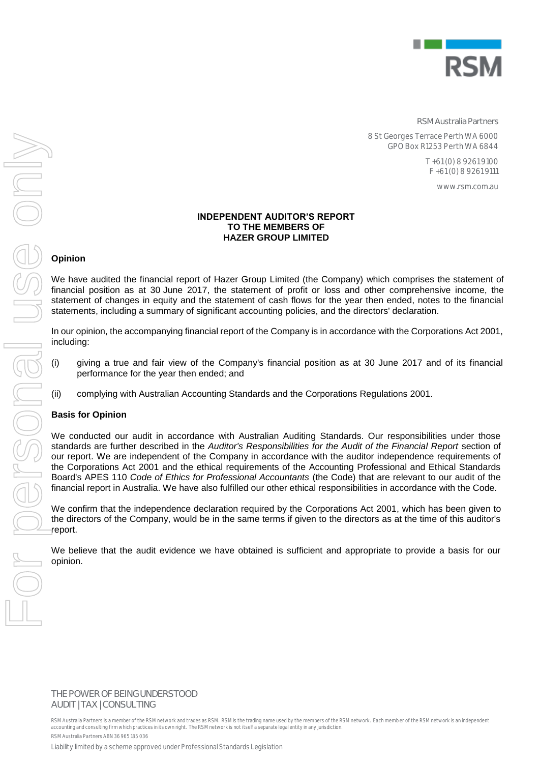

**RSM Australia Partners**

8 St Georges Terrace Perth WA 6000 GPO Box R1253 Perth WA 6844

> T +61 (0) 8 9261 9100 F +61 (0) 8 9261 9111

> > www.rsm.com.au

#### **INDEPENDENT AUDITOR'S REPORT TO THE MEMBERS OF HAZER GROUP LIMITED**

# **Opinion**

We have audited the financial report of Hazer Group Limited (the Company) which comprises the statement of financial position as at 30 June 2017, the statement of profit or loss and other comprehensive income, the statement of changes in equity and the statement of cash flows for the year then ended, notes to the financial statements, including a summary of significant accounting policies, and the directors' declaration.

In our opinion, the accompanying financial report of the Company is in accordance with the Corporations Act 2001, including:

- (i) giving a true and fair view of the Company's financial position as at 30 June 2017 and of its financial performance for the year then ended; and
- (ii) complying with Australian Accounting Standards and the Corporations Regulations 2001.

# **Basis for Opinion**

We conducted our audit in accordance with Australian Auditing Standards. Our responsibilities under those standards are further described in the *Auditor's Responsibilities for the Audit of the Financial Report* section of our report. We are independent of the Company in accordance with the auditor independence requirements of the Corporations Act 2001 and the ethical requirements of the Accounting Professional and Ethical Standards Board's APES 110 *Code of Ethics for Professional Accountants* (the Code) that are relevant to our audit of the financial report in Australia. We have also fulfilled our other ethical responsibilities in accordance with the Code.

We confirm that the independence declaration required by the Corporations Act 2001, which has been given to the directors of the Company, would be in the same terms if given to the directors as at the time of this auditor's report.

We believe that the audit evidence we have obtained is sufficient and appropriate to provide a basis for our opinion.

**THE POWER OF BEING UNDERSTOOD** AUDIT | TAX | CONSULTING

RSM Australia Partners is a member of the RSM network and trades as RSM. RSM is the trading name used by the members of the RSM network. Each memb er of the RSM network is an independent accounting and consulting firm which practices in its own right. The RSM network is not itself a separate legal entity in any jurisdiction. RSM Australia Partners ABN 36 965 185 036

Liability limited by a scheme approved under Professional Standards Legislation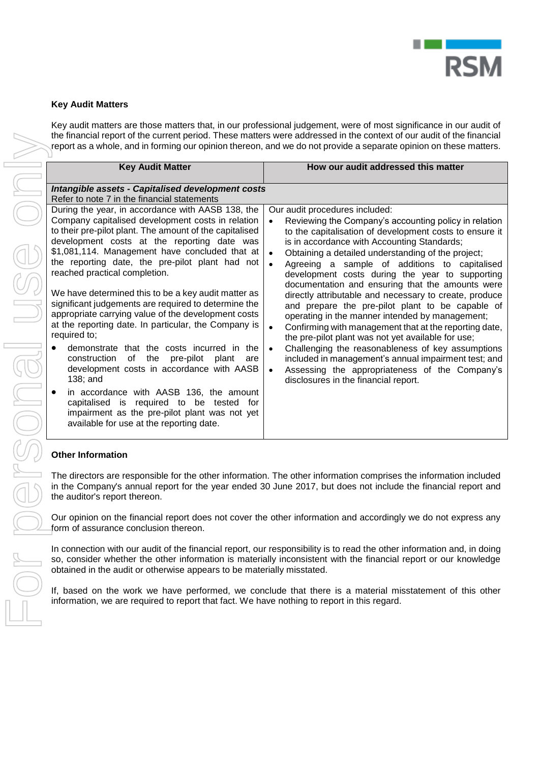

# **Key Audit Matters**

Key audit matters are those matters that, in our professional judgement, were of most significance in our audit of the financial report of the current period. These matters were addressed in the context of our audit of the financial report as a whole, and in forming our opinion thereon, and we do not provide a separate opinion on these matters.

|                                                                                                                                                                                                                                                                                                                                                                                                                                                                                                                                                                                                                                                                                                                                                                                                                                                                                                                                                        | the financial report of the current period. These matters were addressed in the context of our audit of the financial<br>report as a whole, and in forming our opinion thereon, and we do not provide a separate opinion on these matters.                                                                                                                                                                                                                                                                                                                                                                                                                                                                                                                                                                                                                                                                                                                               |
|--------------------------------------------------------------------------------------------------------------------------------------------------------------------------------------------------------------------------------------------------------------------------------------------------------------------------------------------------------------------------------------------------------------------------------------------------------------------------------------------------------------------------------------------------------------------------------------------------------------------------------------------------------------------------------------------------------------------------------------------------------------------------------------------------------------------------------------------------------------------------------------------------------------------------------------------------------|--------------------------------------------------------------------------------------------------------------------------------------------------------------------------------------------------------------------------------------------------------------------------------------------------------------------------------------------------------------------------------------------------------------------------------------------------------------------------------------------------------------------------------------------------------------------------------------------------------------------------------------------------------------------------------------------------------------------------------------------------------------------------------------------------------------------------------------------------------------------------------------------------------------------------------------------------------------------------|
| <b>Key Audit Matter</b>                                                                                                                                                                                                                                                                                                                                                                                                                                                                                                                                                                                                                                                                                                                                                                                                                                                                                                                                | How our audit addressed this matter                                                                                                                                                                                                                                                                                                                                                                                                                                                                                                                                                                                                                                                                                                                                                                                                                                                                                                                                      |
| Intangible assets - Capitalised development costs                                                                                                                                                                                                                                                                                                                                                                                                                                                                                                                                                                                                                                                                                                                                                                                                                                                                                                      |                                                                                                                                                                                                                                                                                                                                                                                                                                                                                                                                                                                                                                                                                                                                                                                                                                                                                                                                                                          |
| During the year, in accordance with AASB 138, the<br>Company capitalised development costs in relation<br>to their pre-pilot plant. The amount of the capitalised<br>development costs at the reporting date was<br>\$1,081,114. Management have concluded that at<br>the reporting date, the pre-pilot plant had not<br>reached practical completion.<br>We have determined this to be a key audit matter as<br>significant judgements are required to determine the<br>appropriate carrying value of the development costs<br>at the reporting date. In particular, the Company is<br>required to;<br>demonstrate that the costs incurred in the<br>of the<br>pre-pilot<br>construction<br>plant<br>are<br>development costs in accordance with AASB<br>138; and<br>in accordance with AASB 136, the amount<br>capitalised is required to be tested for<br>impairment as the pre-pilot plant was not yet<br>available for use at the reporting date. | Our audit procedures included:<br>Reviewing the Company's accounting policy in relation<br>to the capitalisation of development costs to ensure it<br>is in accordance with Accounting Standards;<br>Obtaining a detailed understanding of the project;<br>$\bullet$<br>Agreeing a sample of additions to capitalised<br>$\bullet$<br>development costs during the year to supporting<br>documentation and ensuring that the amounts were<br>directly attributable and necessary to create, produce<br>and prepare the pre-pilot plant to be capable of<br>operating in the manner intended by management;<br>Confirming with management that at the reporting date,<br>$\bullet$<br>the pre-pilot plant was not yet available for use;<br>Challenging the reasonableness of key assumptions<br>$\bullet$<br>included in management's annual impairment test; and<br>Assessing the appropriateness of the Company's<br>$\bullet$<br>disclosures in the financial report. |
|                                                                                                                                                                                                                                                                                                                                                                                                                                                                                                                                                                                                                                                                                                                                                                                                                                                                                                                                                        |                                                                                                                                                                                                                                                                                                                                                                                                                                                                                                                                                                                                                                                                                                                                                                                                                                                                                                                                                                          |
| the auditor's report thereon.                                                                                                                                                                                                                                                                                                                                                                                                                                                                                                                                                                                                                                                                                                                                                                                                                                                                                                                          | The directors are responsible for the other information. The other information comprises the information included<br>in the Company's annual report for the year ended 30 June 2017, but does not include the financial report and                                                                                                                                                                                                                                                                                                                                                                                                                                                                                                                                                                                                                                                                                                                                       |
| form of assurance conclusion thereon.                                                                                                                                                                                                                                                                                                                                                                                                                                                                                                                                                                                                                                                                                                                                                                                                                                                                                                                  | Our opinion on the financial report does not cover the other information and accordingly we do not express any                                                                                                                                                                                                                                                                                                                                                                                                                                                                                                                                                                                                                                                                                                                                                                                                                                                           |
| obtained in the audit or otherwise appears to be materially misstated.<br>information, we are required to report that fact. We have nothing to report in this regard.                                                                                                                                                                                                                                                                                                                                                                                                                                                                                                                                                                                                                                                                                                                                                                                  | In connection with our audit of the financial report, our responsibility is to read the other information and, in doing<br>so, consider whether the other information is materially inconsistent with the financial report or our knowledge<br>If, based on the work we have performed, we conclude that there is a material misstatement of this other                                                                                                                                                                                                                                                                                                                                                                                                                                                                                                                                                                                                                  |
|                                                                                                                                                                                                                                                                                                                                                                                                                                                                                                                                                                                                                                                                                                                                                                                                                                                                                                                                                        | Refer to note 7 in the financial statements<br><b>Other Information</b>                                                                                                                                                                                                                                                                                                                                                                                                                                                                                                                                                                                                                                                                                                                                                                                                                                                                                                  |

# **Other Information**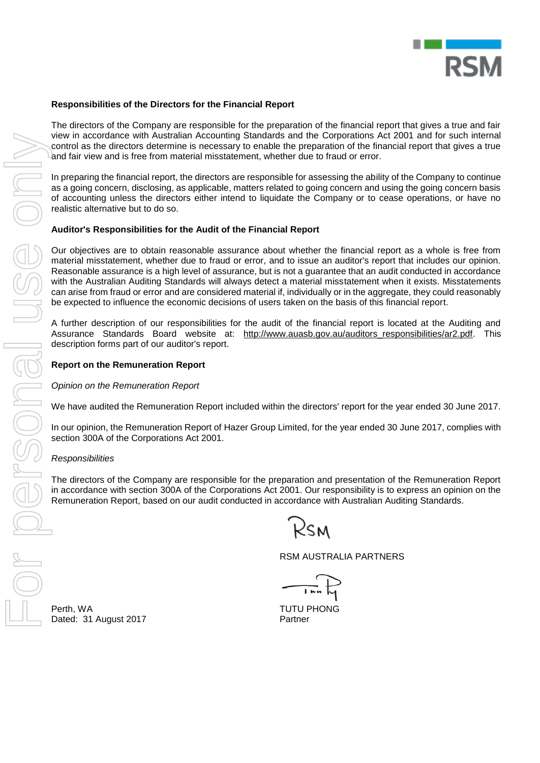

### **Responsibilities of the Directors for the Financial Report**

The directors of the Company are responsible for the preparation of the financial report that gives a true and fair view in accordance with Australian Accounting Standards and the Corporations Act 2001 and for such internal control as the directors determine is necessary to enable the preparation of the financial report that gives a true and fair view and is free from material misstatement, whether due to fraud or error.

In preparing the financial report, the directors are responsible for assessing the ability of the Company to continue as a going concern, disclosing, as applicable, matters related to going concern and using the going concern basis of accounting unless the directors either intend to liquidate the Company or to cease operations, or have no realistic alternative but to do so.

#### **Auditor's Responsibilities for the Audit of the Financial Report**

Our objectives are to obtain reasonable assurance about whether the financial report as a whole is free from material misstatement, whether due to fraud or error, and to issue an auditor's report that includes our opinion. Reasonable assurance is a high level of assurance, but is not a guarantee that an audit conducted in accordance with the Australian Auditing Standards will always detect a material misstatement when it exists. Misstatements can arise from fraud or error and are considered material if, individually or in the aggregate, they could reasonably be expected to influence the economic decisions of users taken on the basis of this financial report.

A further description of our responsibilities for the audit of the financial report is located at the Auditing and Assurance Standards Board website at: [http://www.auasb.gov.au/auditors\\_responsibilities/ar2.pdf.](http://www.auasb.gov.au/auditors_responsibilities/ar2.pdf) This description forms part of our auditor's report.

#### **Report on the Remuneration Report**

*Opinion on the Remuneration Report*

We have audited the Remuneration Report included within the directors' report for the year ended 30 June 2017.

In our opinion, the Remuneration Report of Hazer Group Limited, for the year ended 30 June 2017, complies with section 300A of the Corporations Act 2001.

#### *Responsibilities*

The directors of the Company are responsible for the preparation and presentation of the Remuneration Report in accordance with section 300A of the Corporations Act 2001. Our responsibility is to express an opinion on the Remuneration Report, based on our audit conducted in accordance with Australian Auditing Standards.

RSM AUSTRALIA PARTNERS

From Accordation Machigal Accolunity States with a control of the Conservation Account of the transition of the directors determine is necessary to enable the preparation and far view and is free from material misstatement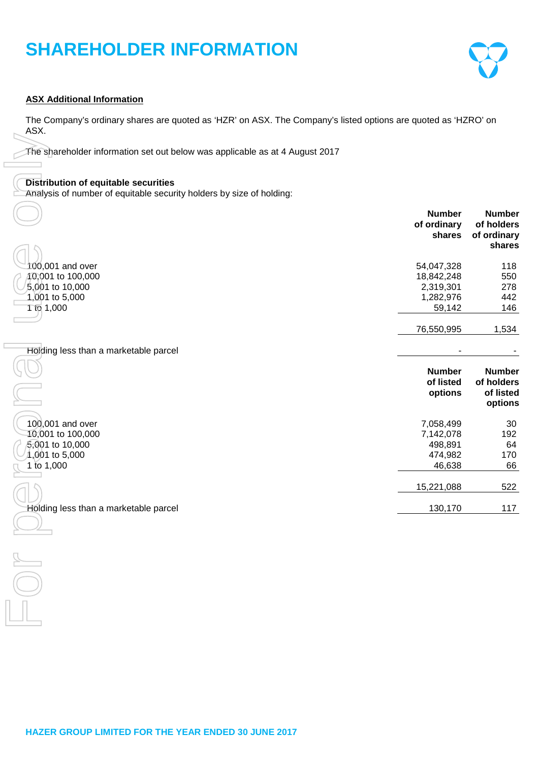# **SHAREHOLDER INFORMATION**



# **ASX Additional Information**

The Company's ordinary shares are quoted as 'HZR' on ASX. The Company's listed options are quoted as 'HZRO' on ASX.

### **Distribution of equitable securities**

| The shareholder information set out below was applicable as at 4 August 2017                                        |                                                              |                                                      |
|---------------------------------------------------------------------------------------------------------------------|--------------------------------------------------------------|------------------------------------------------------|
| <b>Distribution of equitable securities</b><br>Analysis of number of equitable security holders by size of holding: |                                                              |                                                      |
|                                                                                                                     | <b>Number</b><br>of ordinary<br>shares                       | <b>Number</b><br>of holders<br>of ordinary<br>shares |
| 100,001 and over<br>10,001 to 100,000<br>5,001 to 10,000<br>$1,001$ to 5,000<br><b>110 1,000</b>                    | 54,047,328<br>18,842,248<br>2,319,301<br>1,282,976<br>59,142 | 118<br>550<br>278<br>442<br>146                      |
|                                                                                                                     | 76,550,995                                                   | 1,534                                                |
| Holding less than a marketable parcel                                                                               |                                                              |                                                      |
|                                                                                                                     | <b>Number</b><br>of listed<br>options                        | <b>Number</b><br>of holders<br>of listed<br>options  |
| 100,001 and over<br>10,001 to 100,000<br>5,001 to 10,000<br>1,001 to 5,000<br>1 to 1,000                            | 7,058,499<br>7,142,078<br>498,891<br>474,982<br>46,638       | 30<br>192<br>64<br>170<br>66                         |
|                                                                                                                     | 15,221,088                                                   | 522                                                  |
| Holding less than a marketable parcel                                                                               | 130,170                                                      | 117                                                  |
|                                                                                                                     |                                                              |                                                      |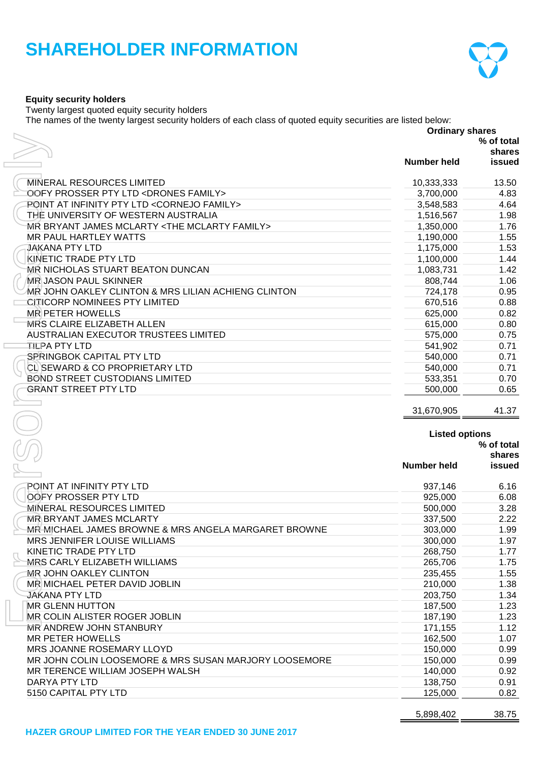# **SHAREHOLDER INFORMATION**



# **Equity security holders**

Twenty largest quoted equity security holders

The names of the twenty largest security holders of each class of quoted equity securities are listed below:

|                                                                                      | <b>Ordinary shares</b> |                                        |
|--------------------------------------------------------------------------------------|------------------------|----------------------------------------|
|                                                                                      |                        | % of total                             |
|                                                                                      |                        | shares                                 |
|                                                                                      | Number held            | issued                                 |
| <b>MINERAL RESOURCES LIMITED</b>                                                     | 10,333,333             | 13.50                                  |
| OOFY PROSSER PTY LTD <drones family=""></drones>                                     | 3,700,000              | 4.83                                   |
| POINT AT INFINITY PTY LTD < CORNEJO FAMILY>                                          | 3,548,583              | 4.64                                   |
| THE UNIVERSITY OF WESTERN AUSTRALIA                                                  | 1,516,567              | 1.98                                   |
| MR BRYANT JAMES MCLARTY <the family="" mclarty=""></the>                             | 1,350,000              | 1.76                                   |
| MR PAUL HARTLEY WATTS                                                                | 1,190,000              | 1.55                                   |
| <b>JAKANA PTY LTD</b>                                                                | 1,175,000              | 1.53                                   |
| <b>KINETIC TRADE PTY LTD</b>                                                         | 1,100,000              | 1.44                                   |
| <b>MR NICHOLAS STUART BEATON DUNCAN</b>                                              | 1,083,731              | 1.42                                   |
| <b>MR JASON PAUL SKINNER</b>                                                         | 808,744                | 1.06                                   |
| MR JOHN OAKLEY CLINTON & MRS LILIAN ACHIENG CLINTON                                  | 724,178                | 0.95                                   |
| <b>CITICORP NOMINEES PTY LIMITED</b>                                                 | 670,516                | 0.88                                   |
| <b>MR PETER HOWELLS</b>                                                              | 625,000                | 0.82                                   |
| <b>MRS CLAIRE ELIZABETH ALLEN</b>                                                    | 615,000                | 0.80                                   |
| AUSTRALIAN EXECUTOR TRUSTEES LIMITED                                                 | 575,000                | 0.75                                   |
| <b>TILPA PTY LTD</b>                                                                 | 541,902                | 0.71                                   |
| SPRINGBOK CAPITAL PTY LTD                                                            | 540,000                | 0.71                                   |
| CL SEWARD & CO PROPRIETARY LTD                                                       | 540,000                | 0.71                                   |
| <b>BOND STREET CUSTODIANS LIMITED</b>                                                | 533,351                | 0.70                                   |
| <b>GRANT STREET PTY LTD</b>                                                          | 500,000                | 0.65                                   |
|                                                                                      | 31,670,905             | 41.37                                  |
|                                                                                      | <b>Listed options</b>  |                                        |
|                                                                                      |                        |                                        |
|                                                                                      |                        |                                        |
|                                                                                      | <b>Number held</b>     |                                        |
| POINT AT INFINITY PTY LTD                                                            |                        |                                        |
| <b>OOFY PROSSER PTY LTD</b>                                                          | 937,146                | 6.16                                   |
|                                                                                      | 925,000                | 6.08                                   |
| MINERAL RESOURCES LIMITED<br><b>MR BRYANT JAMES MCLARTY</b>                          | 500,000                | 3.28<br>2.22                           |
|                                                                                      | 337,500                | 1.99                                   |
| MR MICHAEL JAMES BROWNE & MRS ANGELA MARGARET BROWNE<br>MRS JENNIFER LOUISE WILLIAMS | 303,000                |                                        |
| KINETIC TRADE PTY LTD                                                                | 300,000<br>268,750     | 1.97<br>1.77                           |
| MRS CARLY ELIZABETH WILLIAMS                                                         | 265,706                | 1.75                                   |
| <b>MR JOHN OAKLEY CLINTON</b>                                                        | 235,455                | 1.55                                   |
| MR MICHAEL PETER DAVID JOBLIN                                                        | 210,000                | 1.38                                   |
| <b>JAKANA PTY LTD</b>                                                                | 203,750                | 1.34                                   |
| MR GLENN HUTTON                                                                      | 187,500                | 1.23                                   |
| MR COLIN ALISTER ROGER JOBLIN                                                        | 187,190                | 1.23                                   |
| <b>MR ANDREW JOHN STANBURY</b>                                                       | 171,155                | 1.12                                   |
| MR PETER HOWELLS                                                                     | 162,500                | 1.07                                   |
| MRS JOANNE ROSEMARY LLOYD                                                            | 150,000                | 0.99                                   |
| MR JOHN COLIN LOOSEMORE & MRS SUSAN MARJORY LOOSEMORE                                | 150,000                | 0.99                                   |
| MR TERENCE WILLIAM JOSEPH WALSH                                                      | 140,000                | 0.92                                   |
| DARYA PTY LTD                                                                        | 138,750                | % of total<br>shares<br>issued<br>0.91 |
| 5150 CAPITAL PTY LTD                                                                 | 125,000                | 0.82                                   |